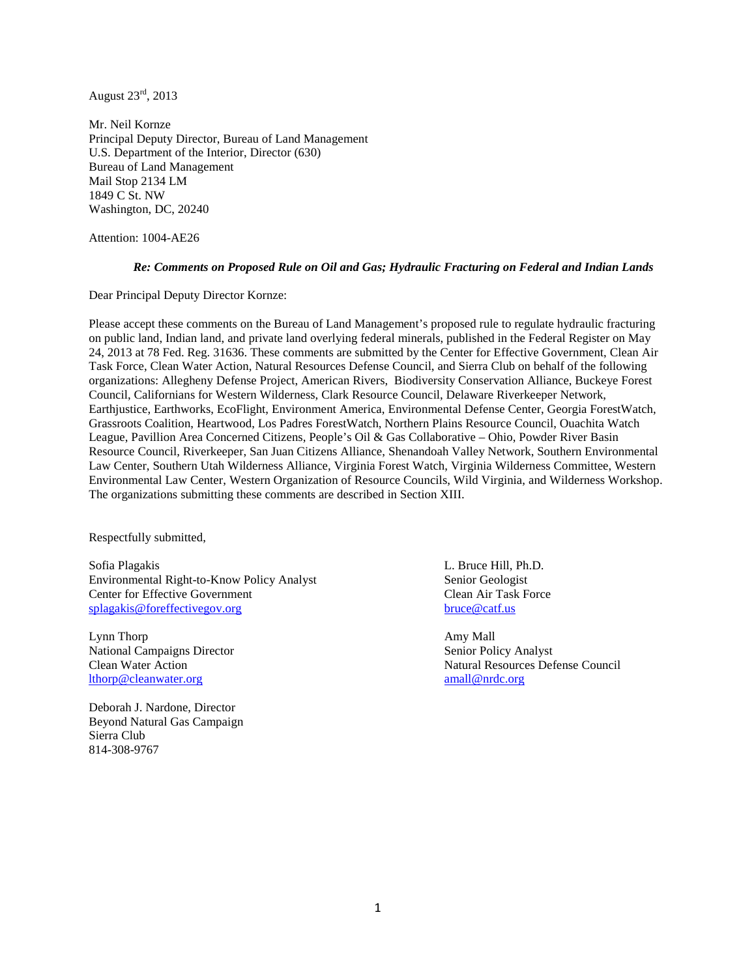August 23rd, 2013

Mr. Neil Kornze Principal Deputy Director, Bureau of Land Management U.S. Department of the Interior, Director (630) Bureau of Land Management Mail Stop 2134 LM 1849 C St. NW Washington, DC, 20240

Attention: 1004-AE26

#### *Re: Comments on Proposed Rule on Oil and Gas; Hydraulic Fracturing on Federal and Indian Lands*

Dear Principal Deputy Director Kornze:

Please accept these comments on the Bureau of Land Management's proposed rule to regulate hydraulic fracturing on public land, Indian land, and private land overlying federal minerals, published in the Federal Register on May 24, 2013 at 78 Fed. Reg. 31636. These comments are submitted by the Center for Effective Government, Clean Air Task Force, Clean Water Action, Natural Resources Defense Council, and Sierra Club on behalf of the following organizations: Allegheny Defense Project, American Rivers, Biodiversity Conservation Alliance, Buckeye Forest Council, Californians for Western Wilderness, Clark Resource Council, Delaware Riverkeeper Network, Earthjustice, Earthworks, EcoFlight, Environment America, Environmental Defense Center, Georgia ForestWatch, Grassroots Coalition, Heartwood, Los Padres ForestWatch, Northern Plains Resource Council, Ouachita Watch League, Pavillion Area Concerned Citizens, People's Oil & Gas Collaborative – Ohio, Powder River Basin Resource Council, Riverkeeper, San Juan Citizens Alliance, Shenandoah Valley Network, Southern Environmental Law Center, Southern Utah Wilderness Alliance, Virginia Forest Watch, Virginia Wilderness Committee, Western Environmental Law Center, Western Organization of Resource Councils, Wild Virginia, and Wilderness Workshop. The organizations submitting these comments are described in Section XIII.

Respectfully submitted,

Sofia Plagakis L. Bruce Hill, Ph.D. Environmental Right-to-Know Policy Analyst Senior Geologist<br>
Center for Effective Government<br>
Clean Air Task Force Center for Effective Government [splagakis@foreffectivegov.org](mailto:splagakis@foreffectivegov.org) [bruce@catf.us](mailto:bruce@catf.us)

Lynn Thorp **Amy Mall** National Campaigns Director Senior Policy Analyst [lthorp@cleanwater.org](mailto:lthorp@cleanwater.org)

Deborah J. Nardone, Director Beyond Natural Gas Campaign Sierra Club 814-308-9767

Clean Water Action Natural Resources Defense Council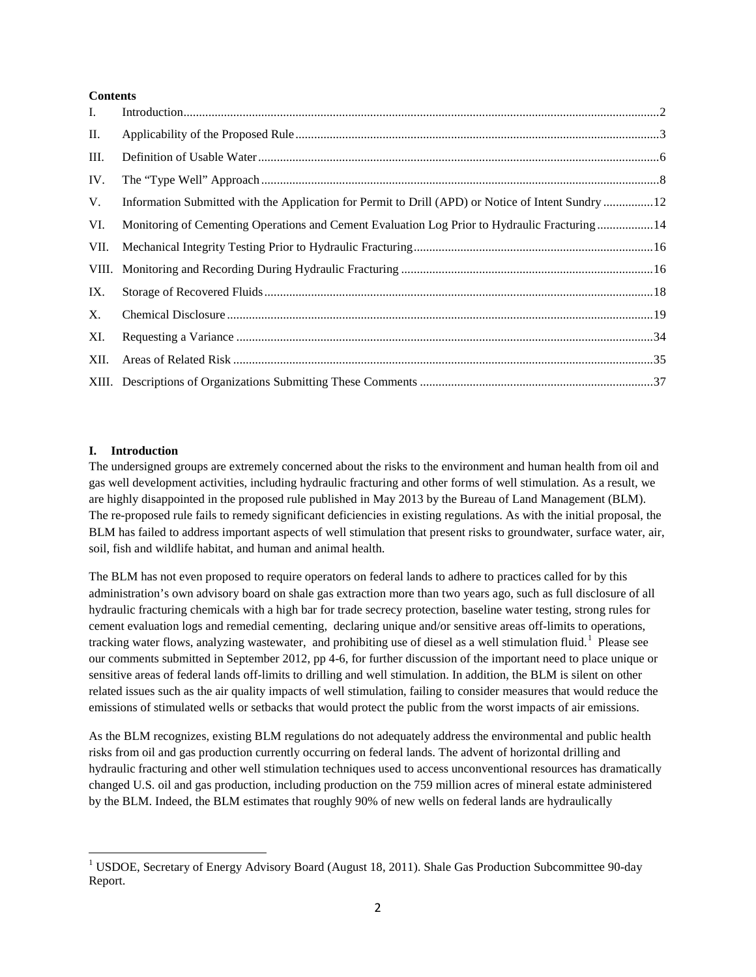### **Contents**

| L.   |                                                                                               |  |
|------|-----------------------------------------------------------------------------------------------|--|
| П.   |                                                                                               |  |
| III. |                                                                                               |  |
| IV.  |                                                                                               |  |
| V.   |                                                                                               |  |
| VI.  | Monitoring of Cementing Operations and Cement Evaluation Log Prior to Hydraulic Fracturing 14 |  |
| VII. |                                                                                               |  |
|      |                                                                                               |  |
| IX.  |                                                                                               |  |
| X.   |                                                                                               |  |
| XI.  |                                                                                               |  |
| XII. |                                                                                               |  |
|      |                                                                                               |  |

## <span id="page-1-0"></span>**I. Introduction**

The undersigned groups are extremely concerned about the risks to the environment and human health from oil and gas well development activities, including hydraulic fracturing and other forms of well stimulation. As a result, we are highly disappointed in the proposed rule published in May 2013 by the Bureau of Land Management (BLM). The re-proposed rule fails to remedy significant deficiencies in existing regulations. As with the initial proposal, the BLM has failed to address important aspects of well stimulation that present risks to groundwater, surface water, air, soil, fish and wildlife habitat, and human and animal health.

The BLM has not even proposed to require operators on federal lands to adhere to practices called for by this administration's own advisory board on shale gas extraction more than two years ago, such as full disclosure of all hydraulic fracturing chemicals with a high bar for trade secrecy protection, baseline water testing, strong rules for cement evaluation logs and remedial cementing, declaring unique and/or sensitive areas off-limits to operations, tracking water flows, analyzing wastewater, and prohibiting use of diesel as a well stimulation fluid.<sup>[1](#page-1-1)</sup> Please see our comments submitted in September 2012, pp 4-6, for further discussion of the important need to place unique or sensitive areas of federal lands off-limits to drilling and well stimulation. In addition, the BLM is silent on other related issues such as the air quality impacts of well stimulation, failing to consider measures that would reduce the emissions of stimulated wells or setbacks that would protect the public from the worst impacts of air emissions.

As the BLM recognizes, existing BLM regulations do not adequately address the environmental and public health risks from oil and gas production currently occurring on federal lands. The advent of horizontal drilling and hydraulic fracturing and other well stimulation techniques used to access unconventional resources has dramatically changed U.S. oil and gas production, including production on the 759 million acres of mineral estate administered by the BLM. Indeed, the BLM estimates that roughly 90% of new wells on federal lands are hydraulically

<span id="page-1-1"></span><sup>&</sup>lt;sup>1</sup> USDOE, Secretary of Energy Advisory Board (August 18, 2011). Shale Gas Production Subcommittee 90-day Report.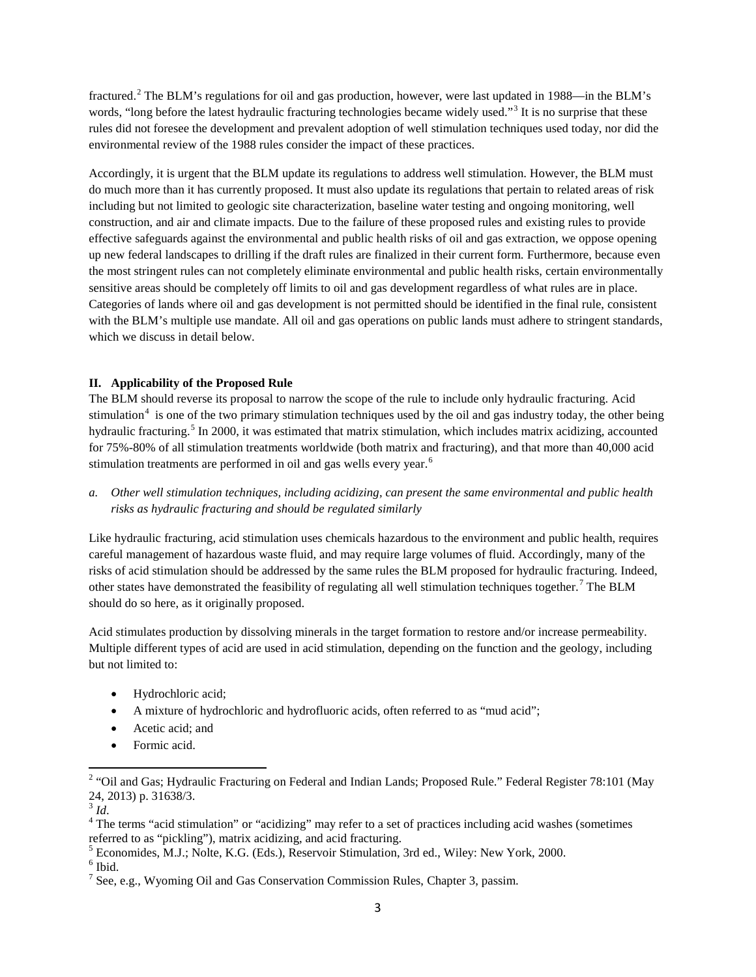fractured.[2](#page-2-1) The BLM's regulations for oil and gas production, however, were last updated in 1988—in the BLM's words, "long before the latest hydraulic fracturing technologies became widely used."<sup>[3](#page-2-2)</sup> It is no surprise that these rules did not foresee the development and prevalent adoption of well stimulation techniques used today, nor did the environmental review of the 1988 rules consider the impact of these practices.

Accordingly, it is urgent that the BLM update its regulations to address well stimulation. However, the BLM must do much more than it has currently proposed. It must also update its regulations that pertain to related areas of risk including but not limited to geologic site characterization, baseline water testing and ongoing monitoring, well construction, and air and climate impacts. Due to the failure of these proposed rules and existing rules to provide effective safeguards against the environmental and public health risks of oil and gas extraction, we oppose opening up new federal landscapes to drilling if the draft rules are finalized in their current form. Furthermore, because even the most stringent rules can not completely eliminate environmental and public health risks, certain environmentally sensitive areas should be completely off limits to oil and gas development regardless of what rules are in place. Categories of lands where oil and gas development is not permitted should be identified in the final rule, consistent with the BLM's multiple use mandate. All oil and gas operations on public lands must adhere to stringent standards, which we discuss in detail below.

### <span id="page-2-0"></span>**II. Applicability of the Proposed Rule**

The BLM should reverse its proposal to narrow the scope of the rule to include only hydraulic fracturing. Acid stimulation<sup>[4](#page-2-3)</sup> is one of the two primary stimulation techniques used by the oil and gas industry today, the other being hydraulic fracturing.<sup>[5](#page-2-4)</sup> In 2000, it was estimated that matrix stimulation, which includes matrix acidizing, accounted for 75%-80% of all stimulation treatments worldwide (both matrix and fracturing), and that more than 40,000 acid stimulation treatments are performed in oil and gas wells every year.<sup>[6](#page-2-5)</sup>

*a. Other well stimulation techniques, including acidizing, can present the same environmental and public health risks as hydraulic fracturing and should be regulated similarly*

Like hydraulic fracturing, acid stimulation uses chemicals hazardous to the environment and public health, requires careful management of hazardous waste fluid, and may require large volumes of fluid. Accordingly, many of the risks of acid stimulation should be addressed by the same rules the BLM proposed for hydraulic fracturing. Indeed, other states have demonstrated the feasibility of regulating all well stimulation techniques together.<sup>[7](#page-2-6)</sup> The BLM should do so here, as it originally proposed.

Acid stimulates production by dissolving minerals in the target formation to restore and/or increase permeability. Multiple different types of acid are used in acid stimulation, depending on the function and the geology, including but not limited to:

- Hydrochloric acid;
- A mixture of hydrochloric and hydrofluoric acids, often referred to as "mud acid";
- Acetic acid; and
- Formic acid.

<span id="page-2-5"></span><span id="page-2-4"></span> $<sup>6</sup>$  Ibid.</sup>

<span id="page-2-1"></span><sup>&</sup>lt;sup>2</sup> "Oil and Gas; Hydraulic Fracturing on Federal and Indian Lands; Proposed Rule." Federal Register 78:101 (May 24, 2013) p. 31638/3.<br> $\frac{3}{1}$ Id.

<span id="page-2-3"></span><span id="page-2-2"></span><sup>&</sup>lt;sup>4</sup> The terms "acid stimulation" or "acidizing" may refer to a set of practices including acid washes (sometimes referred to as "pickling"), matrix acidizing, and acid fracturing.<br><sup>5</sup> Economides, M.J.; Nolte, K.G. (Eds.), Reservoir Stimulation, 3rd ed., Wiley: New York, 2000.

<span id="page-2-6"></span><sup>7</sup> See, e.g., Wyoming Oil and Gas Conservation Commission Rules, Chapter 3, passim.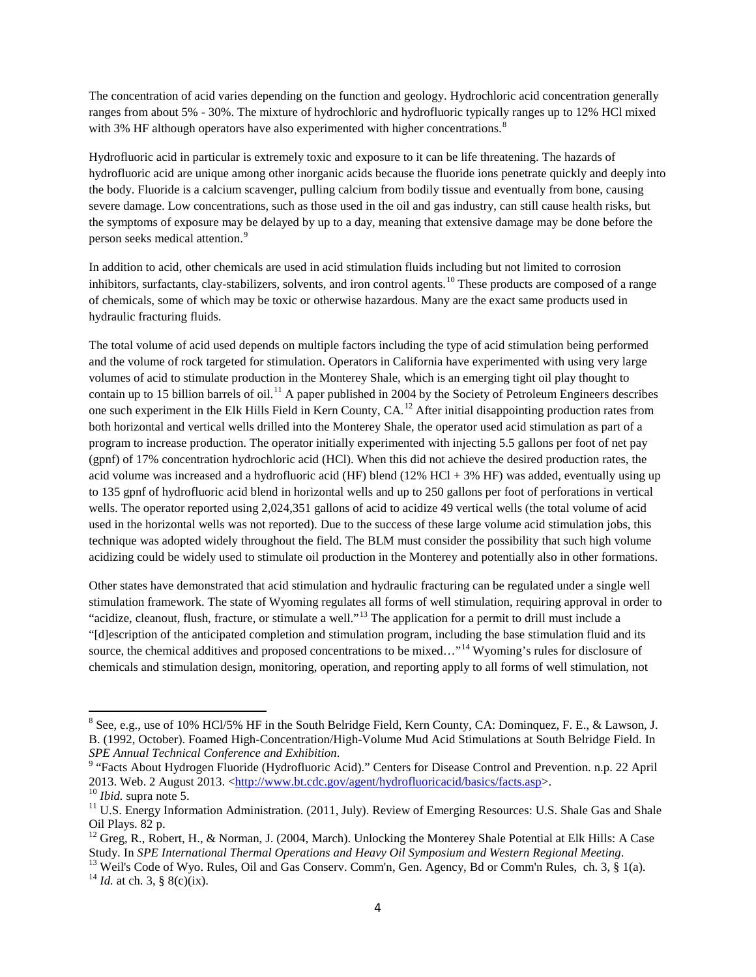The concentration of acid varies depending on the function and geology. Hydrochloric acid concentration generally ranges from about 5% - 30%. The mixture of hydrochloric and hydrofluoric typically ranges up to 12% HCl mixed with 3% HF although operators have also experimented with higher concentrations.<sup>[8](#page-3-0)</sup>

Hydrofluoric acid in particular is extremely toxic and exposure to it can be life threatening. The hazards of hydrofluoric acid are unique among other inorganic acids because the fluoride ions penetrate quickly and deeply into the body. Fluoride is a calcium scavenger, pulling calcium from bodily tissue and eventually from bone, causing severe damage. Low concentrations, such as those used in the oil and gas industry, can still cause health risks, but the symptoms of exposure may be delayed by up to a day, meaning that extensive damage may be done before the person seeks medical attention.<sup>[9](#page-3-1)</sup>

In addition to acid, other chemicals are used in acid stimulation fluids including but not limited to corrosion inhibitors, surfactants, clay-stabilizers, solvents, and iron control agents.<sup>[10](#page-3-2)</sup> These products are composed of a range of chemicals, some of which may be toxic or otherwise hazardous. Many are the exact same products used in hydraulic fracturing fluids.

The total volume of acid used depends on multiple factors including the type of acid stimulation being performed and the volume of rock targeted for stimulation. Operators in California have experimented with using very large volumes of acid to stimulate production in the Monterey Shale, which is an emerging tight oil play thought to contain up to 15 billion barrels of oil.<sup>[11](#page-3-3)</sup> A paper published in 2004 by the Society of Petroleum Engineers describes one such experiment in the Elk Hills Field in Kern County, CA.[12](#page-3-4) After initial disappointing production rates from both horizontal and vertical wells drilled into the Monterey Shale, the operator used acid stimulation as part of a program to increase production. The operator initially experimented with injecting 5.5 gallons per foot of net pay (gpnf) of 17% concentration hydrochloric acid (HCl). When this did not achieve the desired production rates, the acid volume was increased and a hydrofluoric acid (HF) blend (12% HCl + 3% HF) was added, eventually using up to 135 gpnf of hydrofluoric acid blend in horizontal wells and up to 250 gallons per foot of perforations in vertical wells. The operator reported using 2,024,351 gallons of acid to acidize 49 vertical wells (the total volume of acid used in the horizontal wells was not reported). Due to the success of these large volume acid stimulation jobs, this technique was adopted widely throughout the field. The BLM must consider the possibility that such high volume acidizing could be widely used to stimulate oil production in the Monterey and potentially also in other formations.

Other states have demonstrated that acid stimulation and hydraulic fracturing can be regulated under a single well stimulation framework. The state of Wyoming regulates all forms of well stimulation, requiring approval in order to "acidize, cleanout, flush, fracture, or stimulate a well."<sup>[13](#page-3-5)</sup> The application for a permit to drill must include a "[d]escription of the anticipated completion and stimulation program, including the base stimulation fluid and its source, the chemical additives and proposed concentrations to be mixed..."<sup>[14](#page-3-6)</sup> Wyoming's rules for disclosure of chemicals and stimulation design, monitoring, operation, and reporting apply to all forms of well stimulation, not

<span id="page-3-0"></span><sup>8</sup> See, e.g., use of 10% HCl/5% HF in the South Belridge Field, Kern County, CA: Dominquez, F. E., & Lawson, J. B. (1992, October). Foamed High-Concentration/High-Volume Mud Acid Stimulations at South Belridge Field. In SPE Annual Technical Conference and Exhibition.

<span id="page-3-1"></span><sup>&</sup>lt;sup>9</sup> "Facts About Hydrogen Fluoride (Hydrofluoric Acid)." Centers for Disease Control and Prevention. n.p. 22 April 2013. Web. 2 August 2013. <http://www.bt.cdc.gov/agent/hydrofluoricacid/basics/facts.asp>.

<span id="page-3-3"></span><span id="page-3-2"></span><sup>&</sup>lt;sup>10</sup> *Ibid.* supra note 5.<br><sup>11</sup> U.S. Energy Information Administration. (2011, July). Review of Emerging Resources: U.S. Shale Gas and Shale Oil Plays. 82 p.

<sup>&</sup>lt;sup>12</sup> Greg, R., Robert, H., & Norman, J. (2004, March). Unlocking the Monterey Shale Potential at Elk Hills: A Case

<span id="page-3-6"></span><span id="page-3-5"></span><span id="page-3-4"></span>Study. In *SPE International Thermal Operations and Heavy Oil Symposium and Western Regional Meeting*.<br><sup>13</sup> Weil's Code of Wyo. Rules, Oil and Gas Conserv. Comm'n, Gen. Agency, Bd or Comm'n Rules, ch. 3, § 1(a).<br><sup>14</sup> *Id.*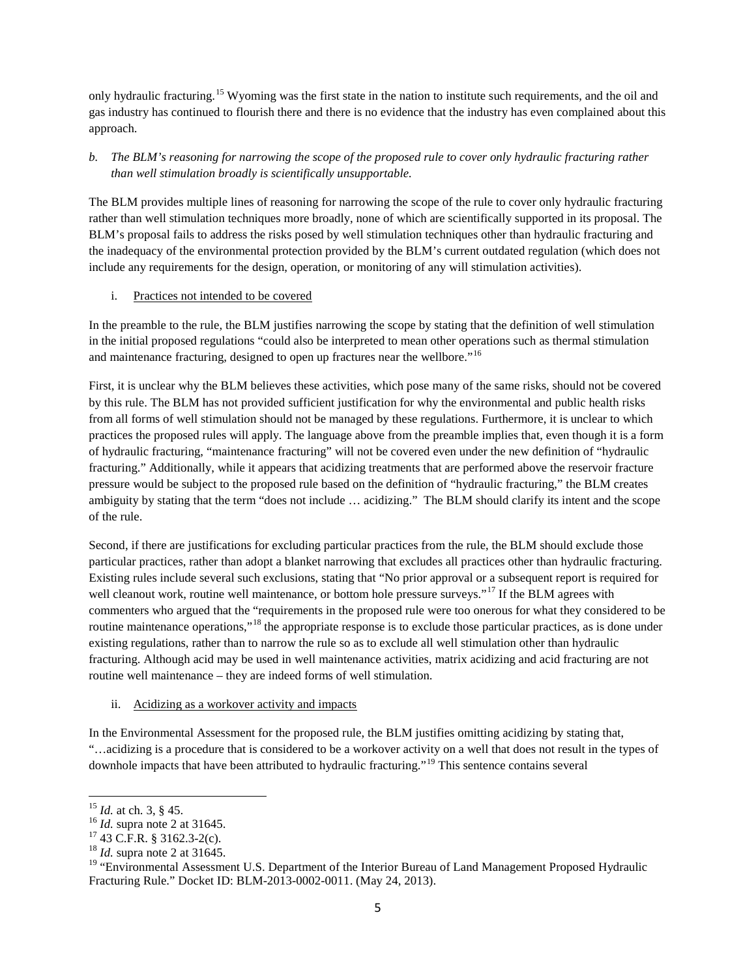only hydraulic fracturing.<sup>[15](#page-4-0)</sup> Wyoming was the first state in the nation to institute such requirements, and the oil and gas industry has continued to flourish there and there is no evidence that the industry has even complained about this approach.

# *b. The BLM's reasoning for narrowing the scope of the proposed rule to cover only hydraulic fracturing rather than well stimulation broadly is scientifically unsupportable.*

The BLM provides multiple lines of reasoning for narrowing the scope of the rule to cover only hydraulic fracturing rather than well stimulation techniques more broadly, none of which are scientifically supported in its proposal. The BLM's proposal fails to address the risks posed by well stimulation techniques other than hydraulic fracturing and the inadequacy of the environmental protection provided by the BLM's current outdated regulation (which does not include any requirements for the design, operation, or monitoring of any will stimulation activities).

## i. Practices not intended to be covered

In the preamble to the rule, the BLM justifies narrowing the scope by stating that the definition of well stimulation in the initial proposed regulations "could also be interpreted to mean other operations such as thermal stimulation and maintenance fracturing, designed to open up fractures near the wellbore."<sup>[16](#page-4-1)</sup>

First, it is unclear why the BLM believes these activities, which pose many of the same risks, should not be covered by this rule. The BLM has not provided sufficient justification for why the environmental and public health risks from all forms of well stimulation should not be managed by these regulations. Furthermore, it is unclear to which practices the proposed rules will apply. The language above from the preamble implies that, even though it is a form of hydraulic fracturing, "maintenance fracturing" will not be covered even under the new definition of "hydraulic fracturing." Additionally, while it appears that acidizing treatments that are performed above the reservoir fracture pressure would be subject to the proposed rule based on the definition of "hydraulic fracturing," the BLM creates ambiguity by stating that the term "does not include … acidizing." The BLM should clarify its intent and the scope of the rule.

Second, if there are justifications for excluding particular practices from the rule, the BLM should exclude those particular practices, rather than adopt a blanket narrowing that excludes all practices other than hydraulic fracturing. Existing rules include several such exclusions, stating that "No prior approval or a subsequent report is required for well cleanout work, routine well maintenance, or bottom hole pressure surveys."<sup>[17](#page-4-2)</sup> If the BLM agrees with commenters who argued that the "requirements in the proposed rule were too onerous for what they considered to be routine maintenance operations,"<sup>[18](#page-4-3)</sup> the appropriate response is to exclude those particular practices, as is done under existing regulations, rather than to narrow the rule so as to exclude all well stimulation other than hydraulic fracturing. Although acid may be used in well maintenance activities, matrix acidizing and acid fracturing are not routine well maintenance – they are indeed forms of well stimulation.

### ii. Acidizing as a workover activity and impacts

In the Environmental Assessment for the proposed rule, the BLM justifies omitting acidizing by stating that, "…acidizing is a procedure that is considered to be a workover activity on a well that does not result in the types of downhole impacts that have been attributed to hydraulic fracturing."[19](#page-4-4) This sentence contains several

<span id="page-4-2"></span>

<span id="page-4-1"></span><span id="page-4-0"></span><sup>&</sup>lt;sup>15</sup> *Id.* at ch. 3, § 45.<br><sup>16</sup> *Id.* supra note 2 at 31645.<br><sup>17</sup> 43 C.F.R. § 3162.3-2(c).<br><sup>18</sup> *Id.* supra note 2 at 31645.

<span id="page-4-4"></span><span id="page-4-3"></span><sup>&</sup>lt;sup>19</sup> "Environmental Assessment U.S. Department of the Interior Bureau of Land Management Proposed Hydraulic Fracturing Rule." Docket ID: BLM-2013-0002-0011. (May 24, 2013).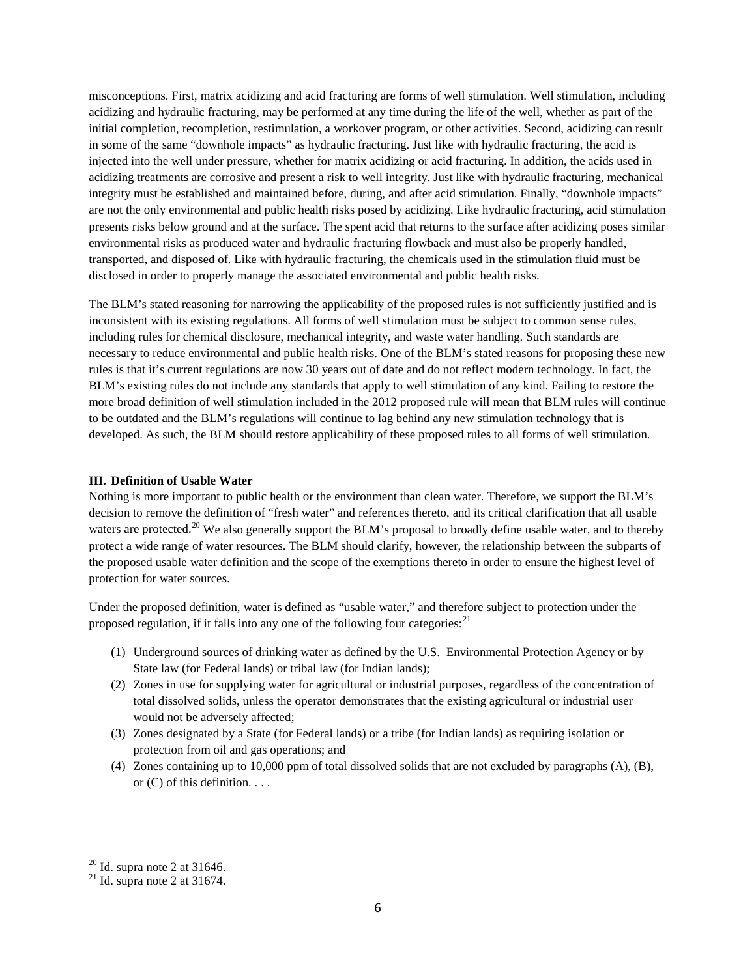misconceptions. First, matrix acidizing and acid fracturing are forms of well stimulation. Well stimulation, including acidizing and hydraulic fracturing, may be performed at any time during the life of the well, whether as part of the initial completion, recompletion, restimulation, a workover program, or other activities. Second, acidizing can result in some of the same "downhole impacts" as hydraulic fracturing. Just like with hydraulic fracturing, the acid is injected into the well under pressure, whether for matrix acidizing or acid fracturing. In addition, the acids used in acidizing treatments are corrosive and present a risk to well integrity. Just like with hydraulic fracturing, mechanical integrity must be established and maintained before, during, and after acid stimulation. Finally, "downhole impacts" are not the only environmental and public health risks posed by acidizing. Like hydraulic fracturing, acid stimulation presents risks below ground and at the surface. The spent acid that returns to the surface after acidizing poses similar environmental risks as produced water and hydraulic fracturing flowback and must also be properly handled, transported, and disposed of. Like with hydraulic fracturing, the chemicals used in the stimulation fluid must be disclosed in order to properly manage the associated environmental and public health risks.

The BLM's stated reasoning for narrowing the applicability of the proposed rules is not sufficiently justified and is inconsistent with its existing regulations. All forms of well stimulation must be subject to common sense rules, including rules for chemical disclosure, mechanical integrity, and waste water handling. Such standards are necessary to reduce environmental and public health risks. One of the BLM's stated reasons for proposing these new rules is that it's current regulations are now 30 years out of date and do not reflect modern technology. In fact, the BLM's existing rules do not include any standards that apply to well stimulation of any kind. Failing to restore the more broad definition of well stimulation included in the 2012 proposed rule will mean that BLM rules will continue to be outdated and the BLM's regulations will continue to lag behind any new stimulation technology that is developed. As such, the BLM should restore applicability of these proposed rules to all forms of well stimulation.

### <span id="page-5-0"></span>**III. Definition of Usable Water**

Nothing is more important to public health or the environment than clean water. Therefore, we support the BLM's decision to remove the definition of "fresh water" and references thereto, and its critical clarification that all usable waters are protected.<sup>[20](#page-5-1)</sup> We also generally support the BLM's proposal to broadly define usable water, and to thereby protect a wide range of water resources. The BLM should clarify, however, the relationship between the subparts of the proposed usable water definition and the scope of the exemptions thereto in order to ensure the highest level of protection for water sources.

Under the proposed definition, water is defined as "usable water," and therefore subject to protection under the proposed regulation, if it falls into any one of the following four categories:  $^{21}$  $^{21}$  $^{21}$ 

- (1) Underground sources of drinking water as defined by the U.S. Environmental Protection Agency or by State law (for Federal lands) or tribal law (for Indian lands);
- (2) Zones in use for supplying water for agricultural or industrial purposes, regardless of the concentration of total dissolved solids, unless the operator demonstrates that the existing agricultural or industrial user would not be adversely affected;
- (3) Zones designated by a State (for Federal lands) or a tribe (for Indian lands) as requiring isolation or protection from oil and gas operations; and
- (4) Zones containing up to 10,000 ppm of total dissolved solids that are not excluded by paragraphs (A), (B), or (C) of this definition. . . .

<span id="page-5-2"></span><span id="page-5-1"></span><sup>&</sup>lt;sup>20</sup> Id. supra note 2 at 31646.<br><sup>21</sup> Id. supra note 2 at 31674.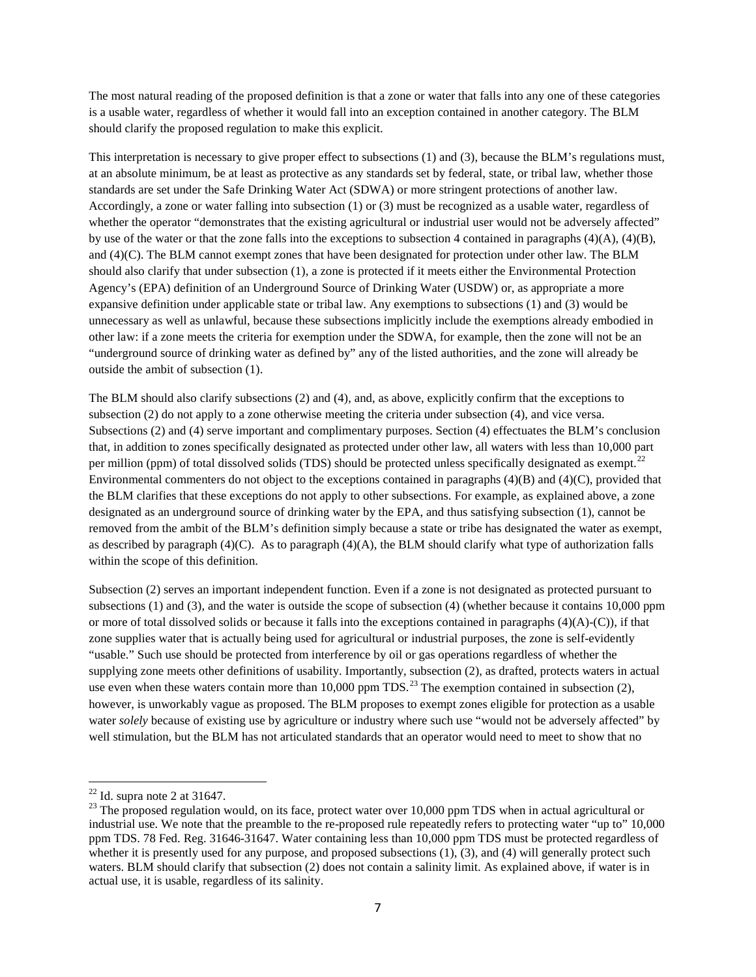The most natural reading of the proposed definition is that a zone or water that falls into any one of these categories is a usable water, regardless of whether it would fall into an exception contained in another category. The BLM should clarify the proposed regulation to make this explicit.

This interpretation is necessary to give proper effect to subsections (1) and (3), because the BLM's regulations must, at an absolute minimum, be at least as protective as any standards set by federal, state, or tribal law, whether those standards are set under the Safe Drinking Water Act (SDWA) or more stringent protections of another law. Accordingly, a zone or water falling into subsection (1) or (3) must be recognized as a usable water, regardless of whether the operator "demonstrates that the existing agricultural or industrial user would not be adversely affected" by use of the water or that the zone falls into the exceptions to subsection 4 contained in paragraphs  $(4)(A)$ ,  $(4)(B)$ , and (4)(C). The BLM cannot exempt zones that have been designated for protection under other law. The BLM should also clarify that under subsection (1), a zone is protected if it meets either the Environmental Protection Agency's (EPA) definition of an Underground Source of Drinking Water (USDW) or, as appropriate a more expansive definition under applicable state or tribal law. Any exemptions to subsections (1) and (3) would be unnecessary as well as unlawful, because these subsections implicitly include the exemptions already embodied in other law: if a zone meets the criteria for exemption under the SDWA, for example, then the zone will not be an "underground source of drinking water as defined by" any of the listed authorities, and the zone will already be outside the ambit of subsection (1).

The BLM should also clarify subsections (2) and (4), and, as above, explicitly confirm that the exceptions to subsection (2) do not apply to a zone otherwise meeting the criteria under subsection (4), and vice versa. Subsections (2) and (4) serve important and complimentary purposes. Section (4) effectuates the BLM's conclusion that, in addition to zones specifically designated as protected under other law, all waters with less than 10,000 part per million (ppm) of total dissolved solids (TDS) should be protected unless specifically designated as exempt.<sup>[22](#page-6-0)</sup> Environmental commenters do not object to the exceptions contained in paragraphs  $(4)(B)$  and  $(4)(C)$ , provided that the BLM clarifies that these exceptions do not apply to other subsections. For example, as explained above, a zone designated as an underground source of drinking water by the EPA, and thus satisfying subsection (1), cannot be removed from the ambit of the BLM's definition simply because a state or tribe has designated the water as exempt, as described by paragraph  $(4)(C)$ . As to paragraph  $(4)(A)$ , the BLM should clarify what type of authorization falls within the scope of this definition.

Subsection (2) serves an important independent function. Even if a zone is not designated as protected pursuant to subsections (1) and (3), and the water is outside the scope of subsection (4) (whether because it contains 10,000 ppm or more of total dissolved solids or because it falls into the exceptions contained in paragraphs  $(4)(A)-(C)$ , if that zone supplies water that is actually being used for agricultural or industrial purposes, the zone is self-evidently "usable." Such use should be protected from interference by oil or gas operations regardless of whether the supplying zone meets other definitions of usability. Importantly, subsection (2), as drafted, protects waters in actual use even when these waters contain more than 10,000 ppm TDS.<sup>[23](#page-6-1)</sup> The exemption contained in subsection (2), however, is unworkably vague as proposed. The BLM proposes to exempt zones eligible for protection as a usable water *solely* because of existing use by agriculture or industry where such use "would not be adversely affected" by well stimulation, but the BLM has not articulated standards that an operator would need to meet to show that no

<span id="page-6-1"></span><span id="page-6-0"></span><sup>&</sup>lt;sup>22</sup> Id. supra note 2 at 31647.<br><sup>23</sup> The proposed regulation would, on its face, protect water over 10,000 ppm TDS when in actual agricultural or industrial use. We note that the preamble to the re-proposed rule repeatedly refers to protecting water "up to" 10,000 ppm TDS. 78 Fed. Reg. 31646-31647. Water containing less than 10,000 ppm TDS must be protected regardless of whether it is presently used for any purpose, and proposed subsections  $(1)$ ,  $(3)$ , and  $(4)$  will generally protect such waters. BLM should clarify that subsection (2) does not contain a salinity limit. As explained above, if water is in actual use, it is usable, regardless of its salinity.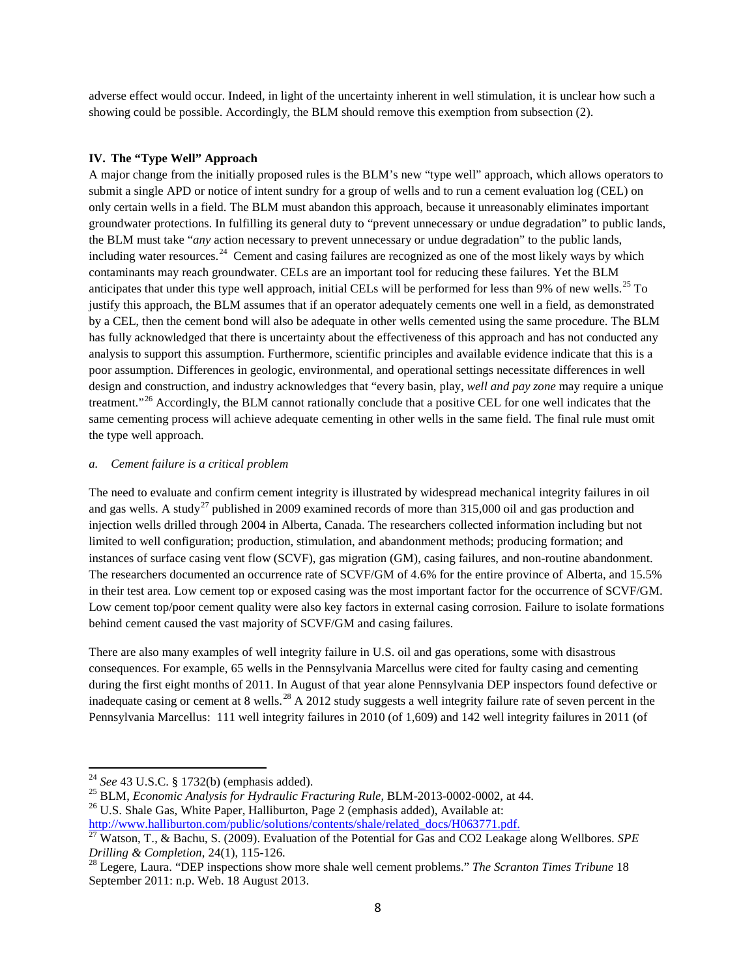adverse effect would occur. Indeed, in light of the uncertainty inherent in well stimulation, it is unclear how such a showing could be possible. Accordingly, the BLM should remove this exemption from subsection (2).

### <span id="page-7-0"></span>**IV. The "Type Well" Approach**

A major change from the initially proposed rules is the BLM's new "type well" approach, which allows operators to submit a single APD or notice of intent sundry for a group of wells and to run a cement evaluation log (CEL) on only certain wells in a field. The BLM must abandon this approach, because it unreasonably eliminates important groundwater protections. In fulfilling its general duty to "prevent unnecessary or undue degradation" to public lands, the BLM must take "*any* action necessary to prevent unnecessary or undue degradation" to the public lands, including water resources.<sup>[24](#page-7-1)</sup> Cement and casing failures are recognized as one of the most likely ways by which contaminants may reach groundwater. CELs are an important tool for reducing these failures. Yet the BLM anticipates that under this type well approach, initial CELs will be performed for less than 9% of new wells.<sup>[25](#page-7-2)</sup> To justify this approach, the BLM assumes that if an operator adequately cements one well in a field, as demonstrated by a CEL, then the cement bond will also be adequate in other wells cemented using the same procedure. The BLM has fully acknowledged that there is uncertainty about the effectiveness of this approach and has not conducted any analysis to support this assumption. Furthermore, scientific principles and available evidence indicate that this is a poor assumption. Differences in geologic, environmental, and operational settings necessitate differences in well design and construction, and industry acknowledges that "every basin, play, *well and pay zone* may require a unique treatment."<sup>[26](#page-7-3)</sup> Accordingly, the BLM cannot rationally conclude that a positive CEL for one well indicates that the same cementing process will achieve adequate cementing in other wells in the same field. The final rule must omit the type well approach.

#### *a. Cement failure is a critical problem*

The need to evaluate and confirm cement integrity is illustrated by widespread mechanical integrity failures in oil and gas wells. A study<sup>[27](#page-7-4)</sup> published in 2009 examined records of more than  $315,000$  oil and gas production and injection wells drilled through 2004 in Alberta, Canada. The researchers collected information including but not limited to well configuration; production, stimulation, and abandonment methods; producing formation; and instances of surface casing vent flow (SCVF), gas migration (GM), casing failures, and non-routine abandonment. The researchers documented an occurrence rate of SCVF/GM of 4.6% for the entire province of Alberta, and 15.5% in their test area. Low cement top or exposed casing was the most important factor for the occurrence of SCVF/GM. Low cement top/poor cement quality were also key factors in external casing corrosion. Failure to isolate formations behind cement caused the vast majority of SCVF/GM and casing failures.

There are also many examples of well integrity failure in U.S. oil and gas operations, some with disastrous consequences. For example, 65 wells in the Pennsylvania Marcellus were cited for faulty casing and cementing during the first eight months of 2011. In August of that year alone Pennsylvania DEP inspectors found defective or inadequate casing or cement at 8 wells.<sup>[28](#page-7-5)</sup> A 2012 study suggests a well integrity failure rate of seven percent in the Pennsylvania Marcellus: 111 well integrity failures in 2010 (of 1,609) and 142 well integrity failures in 2011 (of

<span id="page-7-1"></span><sup>24</sup> See 43 U.S.C. § 1732(b) (emphasis added).<br><sup>25</sup> BLM, *Economic Analysis for Hydraulic Fracturing Rule*, BLM-2013-0002-0002, at 44.<br><sup>26</sup> U.S. Shale Gas, White Paper, Halliburton, Page 2 (emphasis added), Available at:<br>

<span id="page-7-3"></span><span id="page-7-2"></span>

<span id="page-7-4"></span><sup>&</sup>lt;sup>27</sup> Watson, T., & Bachu, S. (2009). Evaluation of the Potential for Gas and CO2 Leakage along Wellbores. *SPE Drilling & Completion*, 24(1), 115-126.<br><sup>28</sup> Legere, Laura. "DEP inspections show more shale well cement problems." *The Scranton Times Tribune* 18

<span id="page-7-5"></span>September 2011: n.p. Web. 18 August 2013.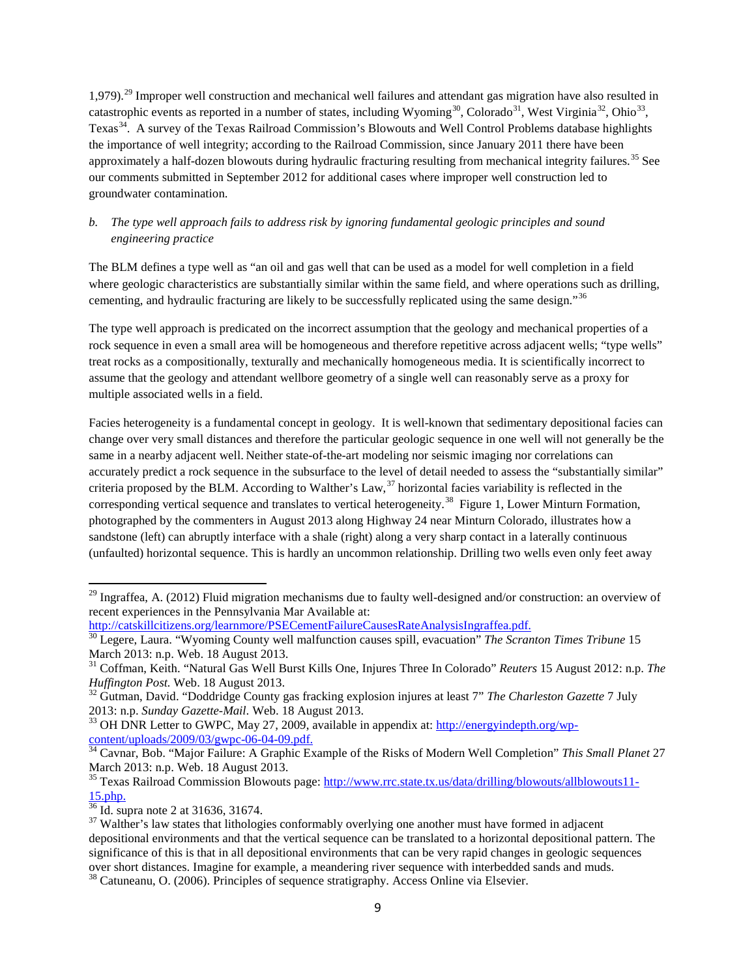1,979).[29](#page-8-0) Improper well construction and mechanical well failures and attendant gas migration have also resulted in catastrophic events as reported in a number of states, including Wyoming<sup>[30](#page-8-1)</sup>, Colorado<sup>[31](#page-8-2)</sup>, West Virginia<sup>32</sup>, Ohio<sup>33</sup>, Texas<sup>34</sup>. A survey of the Texas Railroad Commission's Blowouts and Well Control Problems database highlights the importance of well integrity; according to the Railroad Commission, since January 2011 there have been approximately a half-dozen blowouts during hydraulic fracturing resulting from mechanical integrity failures.<sup>[35](#page-8-6)</sup> See our comments submitted in September 2012 for additional cases where improper well construction led to groundwater contamination.

# *b. The type well approach fails to address risk by ignoring fundamental geologic principles and sound engineering practice*

The BLM defines a type well as "an oil and gas well that can be used as a model for well completion in a field where geologic characteristics are substantially similar within the same field, and where operations such as drilling, cementing, and hydraulic fracturing are likely to be successfully replicated using the same design."[36](#page-8-7)

The type well approach is predicated on the incorrect assumption that the geology and mechanical properties of a rock sequence in even a small area will be homogeneous and therefore repetitive across adjacent wells; "type wells" treat rocks as a compositionally, texturally and mechanically homogeneous media. It is scientifically incorrect to assume that the geology and attendant wellbore geometry of a single well can reasonably serve as a proxy for multiple associated wells in a field.

Facies heterogeneity is a fundamental concept in geology. It is well-known that sedimentary depositional facies can change over very small distances and therefore the particular geologic sequence in one well will not generally be the same in a nearby adjacent well. Neither state-of-the-art modeling nor seismic imaging nor correlations can accurately predict a rock sequence in the subsurface to the level of detail needed to assess the "substantially similar" criteria proposed by the BLM. According to Walther's Law,<sup>[37](#page-8-8)</sup> horizontal facies variability is reflected in the corresponding vertical sequence and translates to vertical heterogeneity.<sup>[38](#page-8-9)</sup> Figure 1, Lower Minturn Formation, photographed by the commenters in August 2013 along Highway 24 near Minturn Colorado, illustrates how a sandstone (left) can abruptly interface with a shale (right) along a very sharp contact in a laterally continuous (unfaulted) horizontal sequence. This is hardly an uncommon relationship. Drilling two wells even only feet away

<span id="page-8-0"></span> $^{29}$  Ingraffea, A. (2012) Fluid migration mechanisms due to faulty well-designed and/or construction: an overview of recent experiences in the Pennsylvania Mar Available at:<br>http://catskillcitizens.org/learnmore/PSECementFailureCausesRateAnalysisIngraffea.pdf.

<span id="page-8-1"></span><sup>&</sup>lt;sup>30</sup> Legere, Laura. "Wyoming County well malfunction causes spill, evacuation" *The Scranton Times Tribune* 15 March 2013: n.p. Web. 18 August 2013.

<span id="page-8-2"></span><sup>31</sup> Coffman, Keith. "Natural Gas Well Burst Kills One, Injures Three In Colorado" *Reuters* 15 August 2012: n.p. *The* 

<span id="page-8-3"></span><sup>&</sup>lt;sup>32</sup> Gutman, David. "Doddridge County gas fracking explosion injures at least 7" *The Charleston Gazette* 7 July 2013: n.p. *Sunday Gazette-Mail*. Web. 18 August 2013.<br><sup>33</sup> OH DNR Letter to GWPC, May 27, 2009, available in appendix at: [http://energyindepth.org/wp-](http://energyindepth.org/wp-content/uploads/2009/03/gwpc-06-04-09.pdf)

<span id="page-8-4"></span>[content/uploads/2009/03/gwpc-06-04-09.pdf.](http://energyindepth.org/wp-content/uploads/2009/03/gwpc-06-04-09.pdf) <sup>34</sup> Cavnar, Bob. "Major Failure: A Graphic Example of the Risks of Modern Well Completion" *This Small Planet* <sup>27</sup>

<span id="page-8-5"></span>March 2013: n.p. Web. 18 August 2013.

<span id="page-8-6"></span><sup>&</sup>lt;sup>35</sup> Texas Railroad Commission Blowouts page:  $\frac{http://www.rrc.state.tx.us/data/drilling/blowouts/allblowouts11-15.php.}$ <br>Id. supra note 2 at 31636, 31674.

<span id="page-8-8"></span><span id="page-8-7"></span><sup>&</sup>lt;sup>37</sup> Walther's law states that lithologies conformably overlying one another must have formed in adjacent depositional environments and that the vertical sequence can be translated to a horizontal depositional pattern. The significance of this is that in all depositional environments that can be very rapid changes in geologic sequences over short distances. Imagine for example, a meandering river sequence with interbedded sands and muds.

<span id="page-8-9"></span><sup>&</sup>lt;sup>38</sup> Catuneanu, O. (2006). Principles of sequence stratigraphy. Access Online via Elsevier.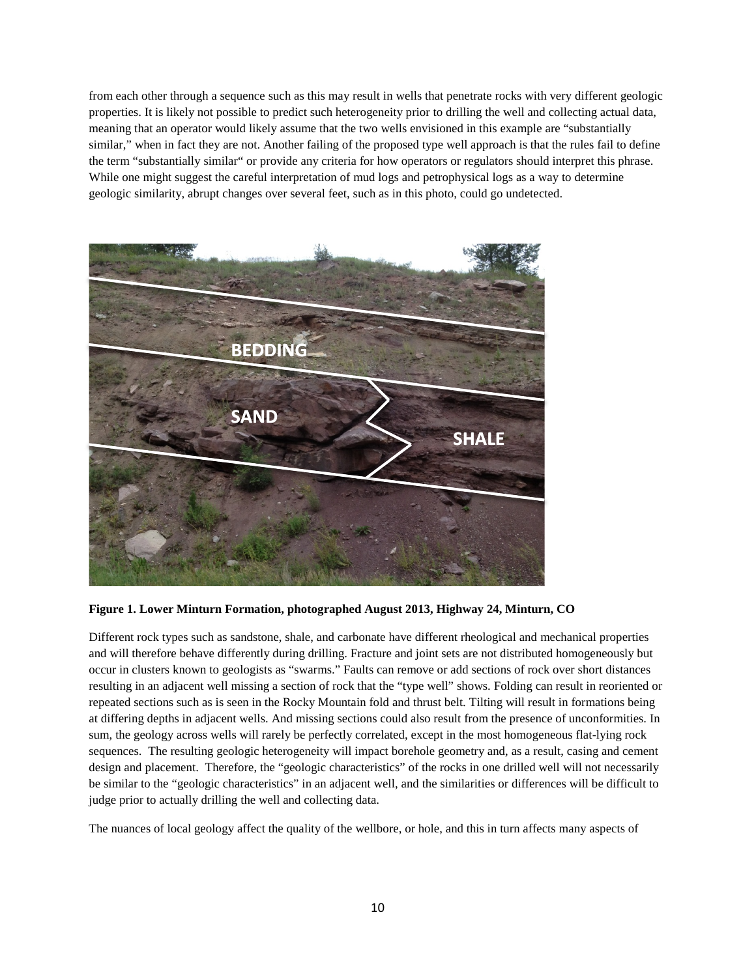from each other through a sequence such as this may result in wells that penetrate rocks with very different geologic properties. It is likely not possible to predict such heterogeneity prior to drilling the well and collecting actual data, meaning that an operator would likely assume that the two wells envisioned in this example are "substantially similar," when in fact they are not. Another failing of the proposed type well approach is that the rules fail to define the term "substantially similar" or provide any criteria for how operators or regulators should interpret this phrase. While one might suggest the careful interpretation of mud logs and petrophysical logs as a way to determine geologic similarity, abrupt changes over several feet, such as in this photo, could go undetected.



**Figure 1. Lower Minturn Formation, photographed August 2013, Highway 24, Minturn, CO**

Different rock types such as sandstone, shale, and carbonate have different rheological and mechanical properties and will therefore behave differently during drilling. Fracture and joint sets are not distributed homogeneously but occur in clusters known to geologists as "swarms." Faults can remove or add sections of rock over short distances resulting in an adjacent well missing a section of rock that the "type well" shows. Folding can result in reoriented or repeated sections such as is seen in the Rocky Mountain fold and thrust belt. Tilting will result in formations being at differing depths in adjacent wells. And missing sections could also result from the presence of unconformities. In sum, the geology across wells will rarely be perfectly correlated, except in the most homogeneous flat-lying rock sequences. The resulting geologic heterogeneity will impact borehole geometry and, as a result, casing and cement design and placement. Therefore, the "geologic characteristics" of the rocks in one drilled well will not necessarily be similar to the "geologic characteristics" in an adjacent well, and the similarities or differences will be difficult to judge prior to actually drilling the well and collecting data.

The nuances of local geology affect the quality of the wellbore, or hole, and this in turn affects many aspects of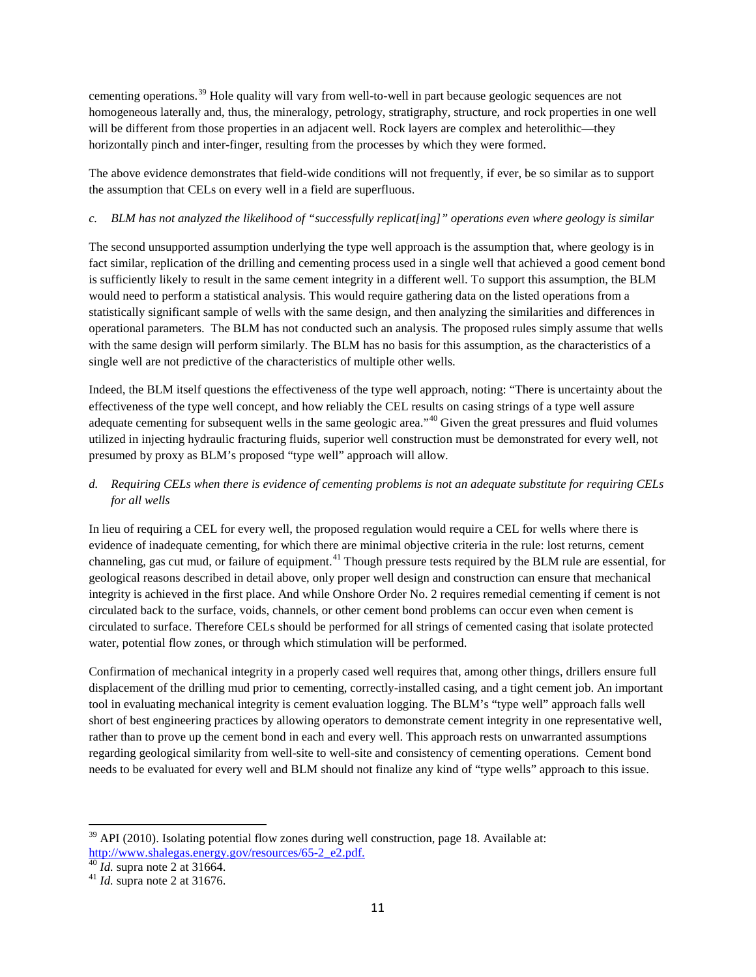cementing operations.[39](#page-10-0) Hole quality will vary from well-to-well in part because geologic sequences are not homogeneous laterally and, thus, the mineralogy, petrology, stratigraphy, structure, and rock properties in one well will be different from those properties in an adjacent well. Rock layers are complex and heterolithic—they horizontally pinch and inter-finger, resulting from the processes by which they were formed.

The above evidence demonstrates that field-wide conditions will not frequently, if ever, be so similar as to support the assumption that CELs on every well in a field are superfluous.

# *c. BLM has not analyzed the likelihood of "successfully replicat[ing]" operations even where geology is similar*

The second unsupported assumption underlying the type well approach is the assumption that, where geology is in fact similar, replication of the drilling and cementing process used in a single well that achieved a good cement bond is sufficiently likely to result in the same cement integrity in a different well. To support this assumption, the BLM would need to perform a statistical analysis. This would require gathering data on the listed operations from a statistically significant sample of wells with the same design, and then analyzing the similarities and differences in operational parameters. The BLM has not conducted such an analysis. The proposed rules simply assume that wells with the same design will perform similarly. The BLM has no basis for this assumption, as the characteristics of a single well are not predictive of the characteristics of multiple other wells.

Indeed, the BLM itself questions the effectiveness of the type well approach, noting: "There is uncertainty about the effectiveness of the type well concept, and how reliably the CEL results on casing strings of a type well assure adequate cementing for subsequent wells in the same geologic area."<sup>[40](#page-10-1)</sup> Given the great pressures and fluid volumes utilized in injecting hydraulic fracturing fluids, superior well construction must be demonstrated for every well, not presumed by proxy as BLM's proposed "type well" approach will allow.

# *d. Requiring CELs when there is evidence of cementing problems is not an adequate substitute for requiring CELs for all wells*

In lieu of requiring a CEL for every well, the proposed regulation would require a CEL for wells where there is evidence of inadequate cementing, for which there are minimal objective criteria in the rule: lost returns, cement channeling, gas cut mud, or failure of equipment.<sup>[41](#page-10-2)</sup> Though pressure tests required by the BLM rule are essential, for geological reasons described in detail above, only proper well design and construction can ensure that mechanical integrity is achieved in the first place. And while Onshore Order No. 2 requires remedial cementing if cement is not circulated back to the surface, voids, channels, or other cement bond problems can occur even when cement is circulated to surface. Therefore CELs should be performed for all strings of cemented casing that isolate protected water, potential flow zones, or through which stimulation will be performed.

Confirmation of mechanical integrity in a properly cased well requires that, among other things, drillers ensure full displacement of the drilling mud prior to cementing, correctly-installed casing, and a tight cement job. An important tool in evaluating mechanical integrity is cement evaluation logging. The BLM's "type well" approach falls well short of best engineering practices by allowing operators to demonstrate cement integrity in one representative well, rather than to prove up the cement bond in each and every well. This approach rests on unwarranted assumptions regarding geological similarity from well-site to well-site and consistency of cementing operations. Cement bond needs to be evaluated for every well and BLM should not finalize any kind of "type wells" approach to this issue.

<span id="page-10-0"></span> $39$  API (2010). Isolating potential flow zones during well construction, page 18. Available at: [http://www.shalegas.energy.gov/resources/65-2\\_e2.pdf.](http://www.shalegas.energy.gov/resources/65-2_e2.pdf)<br><sup>40</sup> *Id.* supra note 2 at 31664.<br><sup>41</sup> *Id.* supra note 2 at 31676.

<span id="page-10-1"></span>

<span id="page-10-2"></span>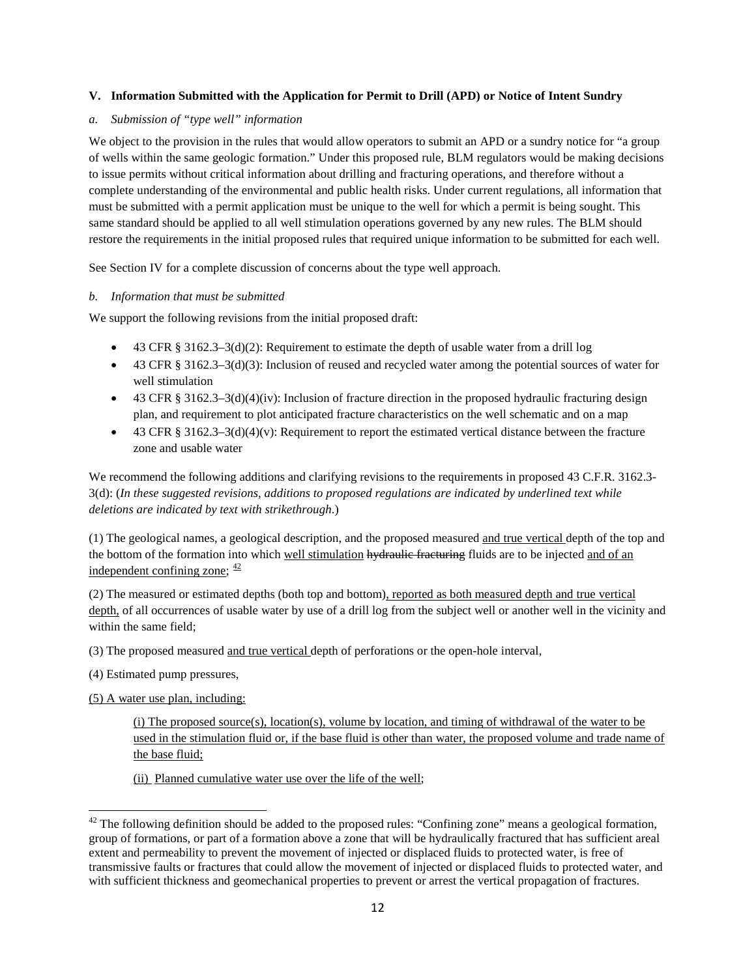### <span id="page-11-0"></span>**V. Information Submitted with the Application for Permit to Drill (APD) or Notice of Intent Sundry**

#### *a. Submission of "type well" information*

We object to the provision in the rules that would allow operators to submit an APD or a sundry notice for "a group of wells within the same geologic formation." Under this proposed rule, BLM regulators would be making decisions to issue permits without critical information about drilling and fracturing operations, and therefore without a complete understanding of the environmental and public health risks. Under current regulations, all information that must be submitted with a permit application must be unique to the well for which a permit is being sought. This same standard should be applied to all well stimulation operations governed by any new rules. The BLM should restore the requirements in the initial proposed rules that required unique information to be submitted for each well.

See Section IV for a complete discussion of concerns about the type well approach.

#### *b. Information that must be submitted*

We support the following revisions from the initial proposed draft:

- 43 CFR § 3162.3–3(d)(2): Requirement to estimate the depth of usable water from a drill log
- 43 CFR § 3162.3–3(d)(3): Inclusion of reused and recycled water among the potential sources of water for well stimulation
- 43 CFR §  $3162.3-3(d)(4)(iv)$ : Inclusion of fracture direction in the proposed hydraulic fracturing design plan, and requirement to plot anticipated fracture characteristics on the well schematic and on a map
- 43 CFR §  $3162.3-3(d)(4)(v)$ : Requirement to report the estimated vertical distance between the fracture zone and usable water

We recommend the following additions and clarifying revisions to the requirements in proposed 43 C.F.R. 3162.3-3(d): (*In these suggested revisions, additions to proposed regulations are indicated by underlined text while deletions are indicated by text with strikethrough*.)

(1) The geological names, a geological description, and the proposed measured and true vertical depth of the top and the bottom of the formation into which well stimulation hydraulic fracturing fluids are to be injected and of an independent confining zone;  $\frac{42}{ }$  $\frac{42}{ }$  $\frac{42}{ }$ 

(2) The measured or estimated depths (both top and bottom), reported as both measured depth and true vertical depth, of all occurrences of usable water by use of a drill log from the subject well or another well in the vicinity and within the same field;

(3) The proposed measured and true vertical depth of perforations or the open-hole interval,

- (4) Estimated pump pressures,
- (5) A water use plan, including:

(i) The proposed source(s), location(s), volume by location, and timing of withdrawal of the water to be used in the stimulation fluid or, if the base fluid is other than water, the proposed volume and trade name of the base fluid;

(ii) Planned cumulative water use over the life of the well;

<span id="page-11-1"></span> $42$  The following definition should be added to the proposed rules: "Confining zone" means a geological formation, group of formations, or part of a formation above a zone that will be hydraulically fractured that has sufficient areal extent and permeability to prevent the movement of injected or displaced fluids to protected water, is free of transmissive faults or fractures that could allow the movement of injected or displaced fluids to protected water, and with sufficient thickness and geomechanical properties to prevent or arrest the vertical propagation of fractures.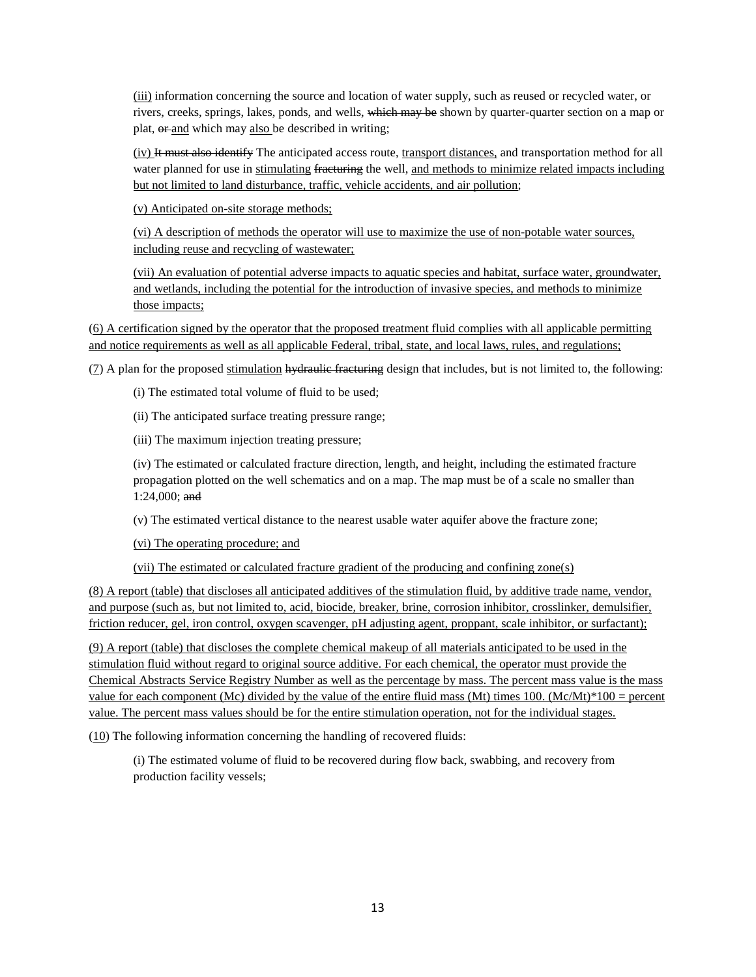(iii) information concerning the source and location of water supply, such as reused or recycled water, or rivers, creeks, springs, lakes, ponds, and wells, which may be shown by quarter-quarter section on a map or plat, or and which may also be described in writing;

(iv) It must also identify The anticipated access route, transport distances, and transportation method for all water planned for use in stimulating fracturing the well, and methods to minimize related impacts including but not limited to land disturbance, traffic, vehicle accidents, and air pollution;

(v) Anticipated on-site storage methods;

(vi) A description of methods the operator will use to maximize the use of non-potable water sources, including reuse and recycling of wastewater;

(vii) An evaluation of potential adverse impacts to aquatic species and habitat, surface water, groundwater, and wetlands, including the potential for the introduction of invasive species, and methods to minimize those impacts;

(6) A certification signed by the operator that the proposed treatment fluid complies with all applicable permitting and notice requirements as well as all applicable Federal, tribal, state, and local laws, rules, and regulations;

(7) A plan for the proposed stimulation hydraulic fracturing design that includes, but is not limited to, the following:

(i) The estimated total volume of fluid to be used;

(ii) The anticipated surface treating pressure range;

(iii) The maximum injection treating pressure;

(iv) The estimated or calculated fracture direction, length, and height, including the estimated fracture propagation plotted on the well schematics and on a map. The map must be of a scale no smaller than 1:24,000; and

(v) The estimated vertical distance to the nearest usable water aquifer above the fracture zone;

(vi) The operating procedure; and

(vii) The estimated or calculated fracture gradient of the producing and confining zone(s)

(8) A report (table) that discloses all anticipated additives of the stimulation fluid, by additive trade name, vendor, and purpose (such as, but not limited to, acid, biocide, breaker, brine, corrosion inhibitor, crosslinker, demulsifier, friction reducer, gel, iron control, oxygen scavenger, pH adjusting agent, proppant, scale inhibitor, or surfactant);

(9) A report (table) that discloses the complete chemical makeup of all materials anticipated to be used in the stimulation fluid without regard to original source additive. For each chemical, the operator must provide the Chemical Abstracts Service Registry Number as well as the percentage by mass. The percent mass value is the mass value for each component (Mc) divided by the value of the entire fluid mass (Mt) times 100. (Mc/Mt)\*100 = percent value. The percent mass values should be for the entire stimulation operation, not for the individual stages.

(10) The following information concerning the handling of recovered fluids:

(i) The estimated volume of fluid to be recovered during flow back, swabbing, and recovery from production facility vessels;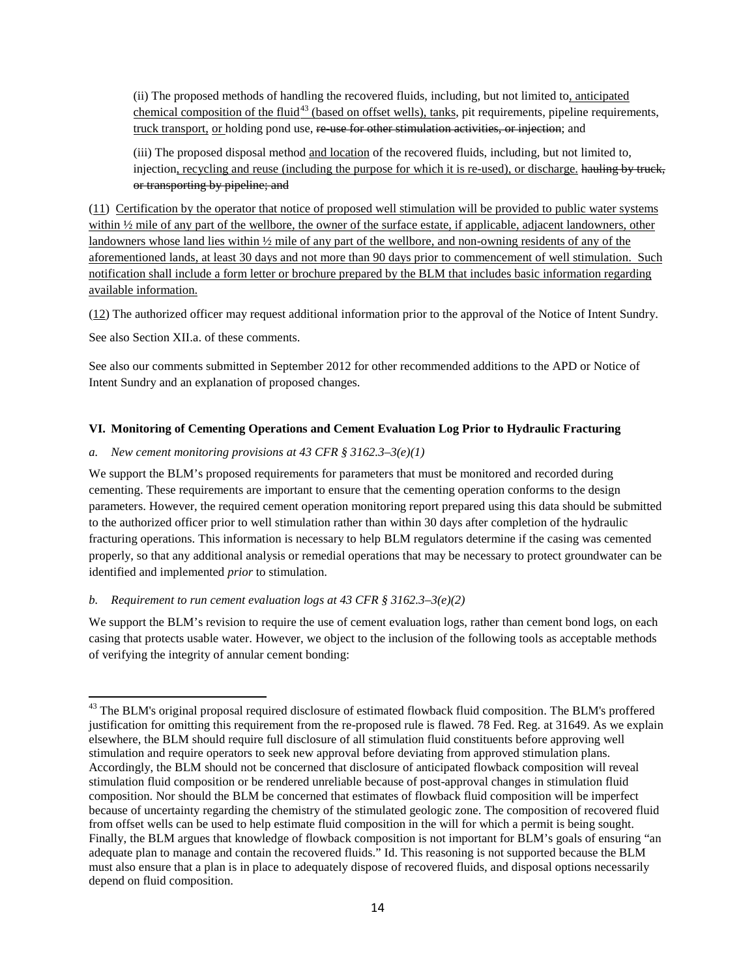(ii) The proposed methods of handling the recovered fluids, including, but not limited to, anticipated chemical composition of the fluid<sup>[43](#page-13-1)</sup> (based on offset wells), tanks, pit requirements, pipeline requirements, truck transport, or holding pond use, re use for other stimulation activities, or injection; and

(iii) The proposed disposal method and location of the recovered fluids, including, but not limited to, injection, recycling and reuse (including the purpose for which it is re-used), or discharge. hauling by truck, or transporting by pipeline; and

(11) Certification by the operator that notice of proposed well stimulation will be provided to public water systems within  $\frac{1}{2}$  mile of any part of the wellbore, the owner of the surface estate, if applicable, adjacent landowners, other landowners whose land lies within ½ mile of any part of the wellbore, and non-owning residents of any of the aforementioned lands, at least 30 days and not more than 90 days prior to commencement of well stimulation. Such notification shall include a form letter or brochure prepared by the BLM that includes basic information regarding available information.

(12) The authorized officer may request additional information prior to the approval of the Notice of Intent Sundry.

See also Section XII.a. of these comments.

See also our comments submitted in September 2012 for other recommended additions to the APD or Notice of Intent Sundry and an explanation of proposed changes.

### <span id="page-13-0"></span>**VI. Monitoring of Cementing Operations and Cement Evaluation Log Prior to Hydraulic Fracturing**

### *a. New cement monitoring provisions at 43 CFR § 3162.3–3(e)(1)*

We support the BLM's proposed requirements for parameters that must be monitored and recorded during cementing. These requirements are important to ensure that the cementing operation conforms to the design parameters. However, the required cement operation monitoring report prepared using this data should be submitted to the authorized officer prior to well stimulation rather than within 30 days after completion of the hydraulic fracturing operations. This information is necessary to help BLM regulators determine if the casing was cemented properly, so that any additional analysis or remedial operations that may be necessary to protect groundwater can be identified and implemented *prior* to stimulation.

### *b. Requirement to run cement evaluation logs at 43 CFR § 3162.3–3(e)(2)*

We support the BLM's revision to require the use of cement evaluation logs, rather than cement bond logs, on each casing that protects usable water. However, we object to the inclusion of the following tools as acceptable methods of verifying the integrity of annular cement bonding:

<span id="page-13-1"></span><sup>&</sup>lt;sup>43</sup> The BLM's original proposal required disclosure of estimated flowback fluid composition. The BLM's proffered justification for omitting this requirement from the re-proposed rule is flawed. 78 Fed. Reg. at 31649. As we explain elsewhere, the BLM should require full disclosure of all stimulation fluid constituents before approving well stimulation and require operators to seek new approval before deviating from approved stimulation plans. Accordingly, the BLM should not be concerned that disclosure of anticipated flowback composition will reveal stimulation fluid composition or be rendered unreliable because of post-approval changes in stimulation fluid composition. Nor should the BLM be concerned that estimates of flowback fluid composition will be imperfect because of uncertainty regarding the chemistry of the stimulated geologic zone. The composition of recovered fluid from offset wells can be used to help estimate fluid composition in the will for which a permit is being sought. Finally, the BLM argues that knowledge of flowback composition is not important for BLM's goals of ensuring "an adequate plan to manage and contain the recovered fluids." Id. This reasoning is not supported because the BLM must also ensure that a plan is in place to adequately dispose of recovered fluids, and disposal options necessarily depend on fluid composition.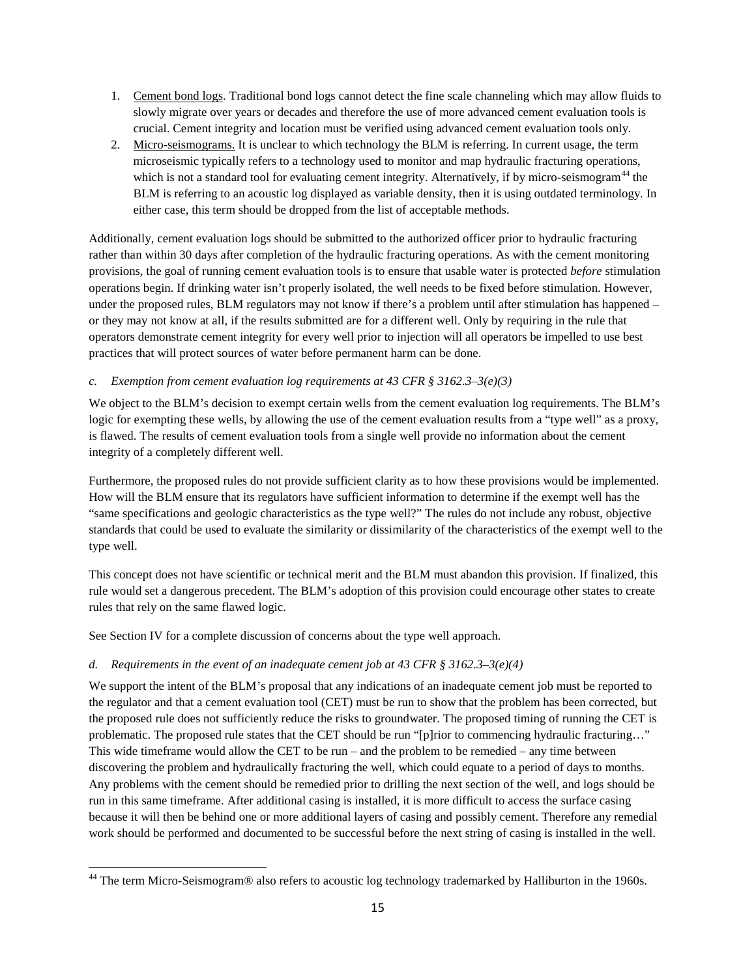- 1. Cement bond logs. Traditional bond logs cannot detect the fine scale channeling which may allow fluids to slowly migrate over years or decades and therefore the use of more advanced cement evaluation tools is crucial. Cement integrity and location must be verified using advanced cement evaluation tools only.
- 2. Micro-seismograms. It is unclear to which technology the BLM is referring. In current usage, the term microseismic typically refers to a technology used to monitor and map hydraulic fracturing operations, which is not a standard tool for evaluating cement integrity. Alternatively, if by micro-seismogram<sup>[44](#page-14-0)</sup> the BLM is referring to an acoustic log displayed as variable density, then it is using outdated terminology. In either case, this term should be dropped from the list of acceptable methods.

Additionally, cement evaluation logs should be submitted to the authorized officer prior to hydraulic fracturing rather than within 30 days after completion of the hydraulic fracturing operations. As with the cement monitoring provisions, the goal of running cement evaluation tools is to ensure that usable water is protected *before* stimulation operations begin. If drinking water isn't properly isolated, the well needs to be fixed before stimulation. However, under the proposed rules, BLM regulators may not know if there's a problem until after stimulation has happened – or they may not know at all, if the results submitted are for a different well. Only by requiring in the rule that operators demonstrate cement integrity for every well prior to injection will all operators be impelled to use best practices that will protect sources of water before permanent harm can be done.

### *c. Exemption from cement evaluation log requirements at 43 CFR § 3162.3–3(e)(3)*

We object to the BLM's decision to exempt certain wells from the cement evaluation log requirements. The BLM's logic for exempting these wells, by allowing the use of the cement evaluation results from a "type well" as a proxy, is flawed. The results of cement evaluation tools from a single well provide no information about the cement integrity of a completely different well.

Furthermore, the proposed rules do not provide sufficient clarity as to how these provisions would be implemented. How will the BLM ensure that its regulators have sufficient information to determine if the exempt well has the "same specifications and geologic characteristics as the type well?" The rules do not include any robust, objective standards that could be used to evaluate the similarity or dissimilarity of the characteristics of the exempt well to the type well.

This concept does not have scientific or technical merit and the BLM must abandon this provision. If finalized, this rule would set a dangerous precedent. The BLM's adoption of this provision could encourage other states to create rules that rely on the same flawed logic.

See Section IV for a complete discussion of concerns about the type well approach.

# *d. Requirements in the event of an inadequate cement job at 43 CFR § 3162.3–3(e)(4)*

We support the intent of the BLM's proposal that any indications of an inadequate cement job must be reported to the regulator and that a cement evaluation tool (CET) must be run to show that the problem has been corrected, but the proposed rule does not sufficiently reduce the risks to groundwater. The proposed timing of running the CET is problematic. The proposed rule states that the CET should be run "[p]rior to commencing hydraulic fracturing…" This wide timeframe would allow the CET to be run – and the problem to be remedied – any time between discovering the problem and hydraulically fracturing the well, which could equate to a period of days to months. Any problems with the cement should be remedied prior to drilling the next section of the well, and logs should be run in this same timeframe. After additional casing is installed, it is more difficult to access the surface casing because it will then be behind one or more additional layers of casing and possibly cement. Therefore any remedial work should be performed and documented to be successful before the next string of casing is installed in the well.

<span id="page-14-0"></span><sup>&</sup>lt;sup>44</sup> The term Micro-Seismogram® also refers to acoustic log technology trademarked by Halliburton in the 1960s.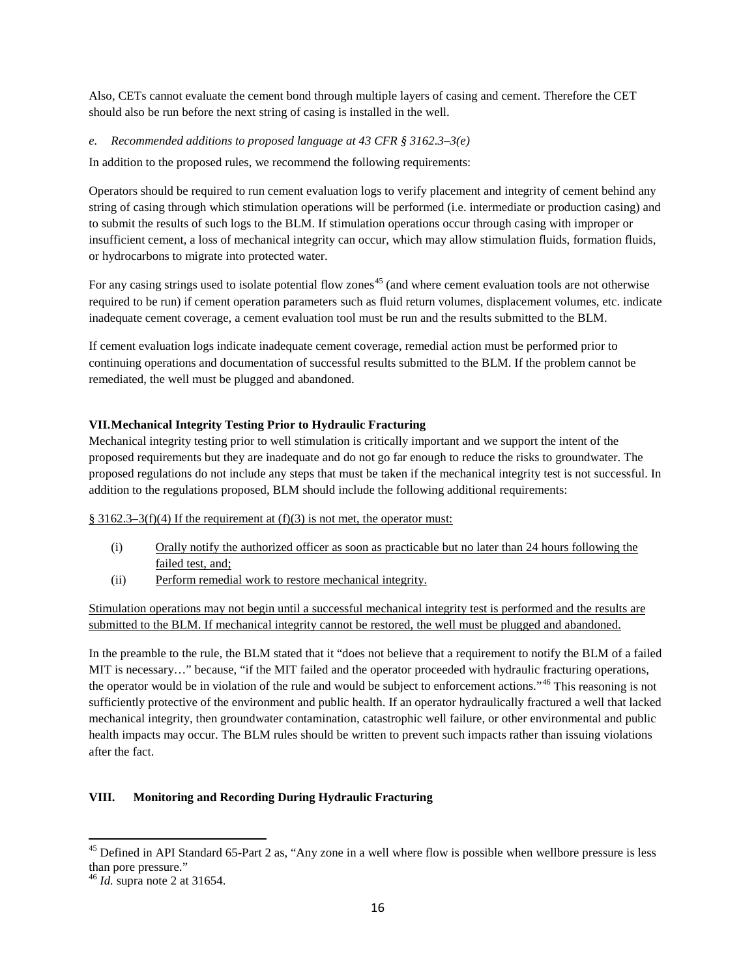Also, CETs cannot evaluate the cement bond through multiple layers of casing and cement. Therefore the CET should also be run before the next string of casing is installed in the well.

## *e. Recommended additions to proposed language at 43 CFR § 3162.3–3(e)*

In addition to the proposed rules, we recommend the following requirements:

Operators should be required to run cement evaluation logs to verify placement and integrity of cement behind any string of casing through which stimulation operations will be performed (i.e. intermediate or production casing) and to submit the results of such logs to the BLM. If stimulation operations occur through casing with improper or insufficient cement, a loss of mechanical integrity can occur, which may allow stimulation fluids, formation fluids, or hydrocarbons to migrate into protected water.

For any casing strings used to isolate potential flow zones<sup>[45](#page-15-2)</sup> (and where cement evaluation tools are not otherwise required to be run) if cement operation parameters such as fluid return volumes, displacement volumes, etc. indicate inadequate cement coverage, a cement evaluation tool must be run and the results submitted to the BLM.

If cement evaluation logs indicate inadequate cement coverage, remedial action must be performed prior to continuing operations and documentation of successful results submitted to the BLM. If the problem cannot be remediated, the well must be plugged and abandoned.

## <span id="page-15-0"></span>**VII.Mechanical Integrity Testing Prior to Hydraulic Fracturing**

Mechanical integrity testing prior to well stimulation is critically important and we support the intent of the proposed requirements but they are inadequate and do not go far enough to reduce the risks to groundwater. The proposed regulations do not include any steps that must be taken if the mechanical integrity test is not successful. In addition to the regulations proposed, BLM should include the following additional requirements:

### $§$  3162.3–3(f)(4) If the requirement at (f)(3) is not met, the operator must:

- (i) Orally notify the authorized officer as soon as practicable but no later than 24 hours following the failed test, and;
- (ii) Perform remedial work to restore mechanical integrity.

Stimulation operations may not begin until a successful mechanical integrity test is performed and the results are submitted to the BLM. If mechanical integrity cannot be restored, the well must be plugged and abandoned.

In the preamble to the rule, the BLM stated that it "does not believe that a requirement to notify the BLM of a failed MIT is necessary…" because, "if the MIT failed and the operator proceeded with hydraulic fracturing operations, the operator would be in violation of the rule and would be subject to enforcement actions."[46](#page-15-3) This reasoning is not sufficiently protective of the environment and public health. If an operator hydraulically fractured a well that lacked mechanical integrity, then groundwater contamination, catastrophic well failure, or other environmental and public health impacts may occur. The BLM rules should be written to prevent such impacts rather than issuing violations after the fact.

### <span id="page-15-1"></span>**VIII. Monitoring and Recording During Hydraulic Fracturing**

<span id="page-15-2"></span><sup>&</sup>lt;sup>45</sup> Defined in API Standard 65-Part 2 as, "Any zone in a well where flow is possible when wellbore pressure is less than pore pressure."

<span id="page-15-3"></span><sup>46</sup> *Id.* supra note 2 at 31654.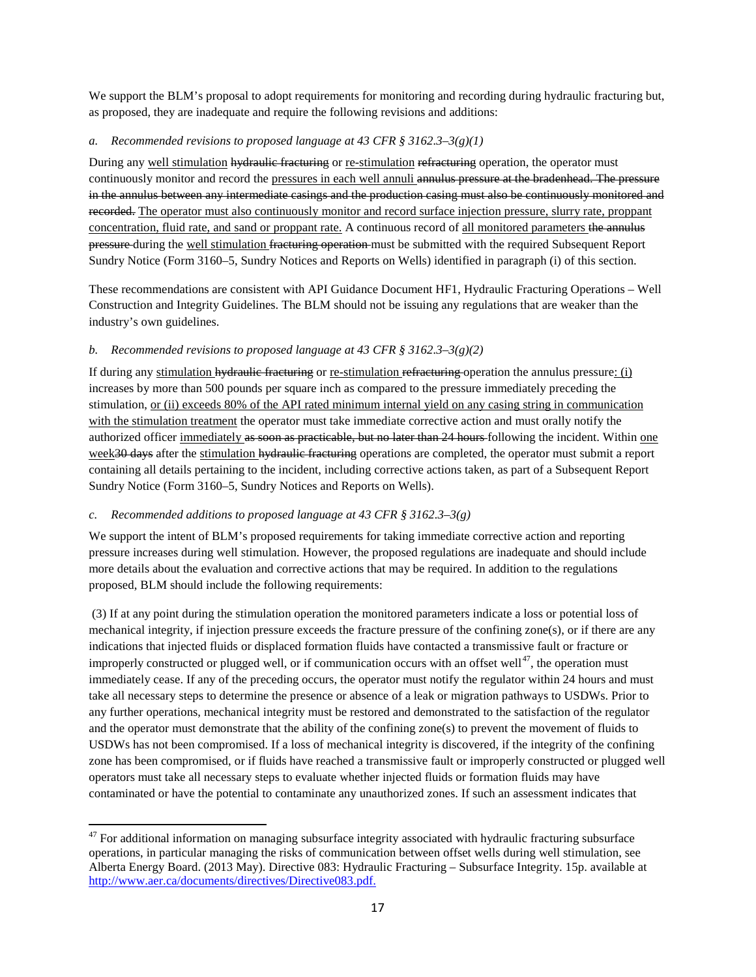We support the BLM's proposal to adopt requirements for monitoring and recording during hydraulic fracturing but, as proposed, they are inadequate and require the following revisions and additions:

## *a. Recommended revisions to proposed language at 43 CFR § 3162.3–3(g)(1)*

During any well stimulation hydraulic fracturing or re-stimulation refracturing operation, the operator must continuously monitor and record the pressures in each well annuli annulus pressure at the bradenhead. The pressure in the annulus between any intermediate casings and the production casing must also be continuously monitored and recorded. The operator must also continuously monitor and record surface injection pressure, slurry rate, proppant concentration, fluid rate, and sand or proppant rate. A continuous record of all monitored parameters the annulus **pressure** during the well stimulation fracturing operation must be submitted with the required Subsequent Report Sundry Notice (Form 3160–5, Sundry Notices and Reports on Wells) identified in paragraph (i) of this section.

These recommendations are consistent with API Guidance Document HF1, Hydraulic Fracturing Operations – Well Construction and Integrity Guidelines. The BLM should not be issuing any regulations that are weaker than the industry's own guidelines.

## *b. Recommended revisions to proposed language at 43 CFR § 3162.3–3(g)(2)*

If during any stimulation hydraulic fracturing or re-stimulation refracturing operation the annulus pressure: (i) increases by more than 500 pounds per square inch as compared to the pressure immediately preceding the stimulation, or (ii) exceeds 80% of the API rated minimum internal yield on any casing string in communication with the stimulation treatment the operator must take immediate corrective action and must orally notify the authorized officer immediately as soon as practicable, but no later than 24 hours following the incident. Within one week30 days after the stimulation hydraulic fracturing operations are completed, the operator must submit a report containing all details pertaining to the incident, including corrective actions taken, as part of a Subsequent Report Sundry Notice (Form 3160–5, Sundry Notices and Reports on Wells).

### *c. Recommended additions to proposed language at 43 CFR § 3162.3–3(g)*

We support the intent of BLM's proposed requirements for taking immediate corrective action and reporting pressure increases during well stimulation. However, the proposed regulations are inadequate and should include more details about the evaluation and corrective actions that may be required. In addition to the regulations proposed, BLM should include the following requirements:

(3) If at any point during the stimulation operation the monitored parameters indicate a loss or potential loss of mechanical integrity, if injection pressure exceeds the fracture pressure of the confining zone(s), or if there are any indications that injected fluids or displaced formation fluids have contacted a transmissive fault or fracture or improperly constructed or plugged well, or if communication occurs with an offset well<sup>47</sup>, the operation must immediately cease. If any of the preceding occurs, the operator must notify the regulator within 24 hours and must take all necessary steps to determine the presence or absence of a leak or migration pathways to USDWs. Prior to any further operations, mechanical integrity must be restored and demonstrated to the satisfaction of the regulator and the operator must demonstrate that the ability of the confining zone(s) to prevent the movement of fluids to USDWs has not been compromised. If a loss of mechanical integrity is discovered, if the integrity of the confining zone has been compromised, or if fluids have reached a transmissive fault or improperly constructed or plugged well operators must take all necessary steps to evaluate whether injected fluids or formation fluids may have contaminated or have the potential to contaminate any unauthorized zones. If such an assessment indicates that

<span id="page-16-0"></span> $47$  For additional information on managing subsurface integrity associated with hydraulic fracturing subsurface operations, in particular managing the risks of communication between offset wells during well stimulation, see Alberta Energy Board. (2013 May). Directive 083: Hydraulic Fracturing – Subsurface Integrity. 15p. available at [http://www.aer.ca/documents/directives/Directive083.pdf.](http://www.aer.ca/documents/directives/Directive083.pdf)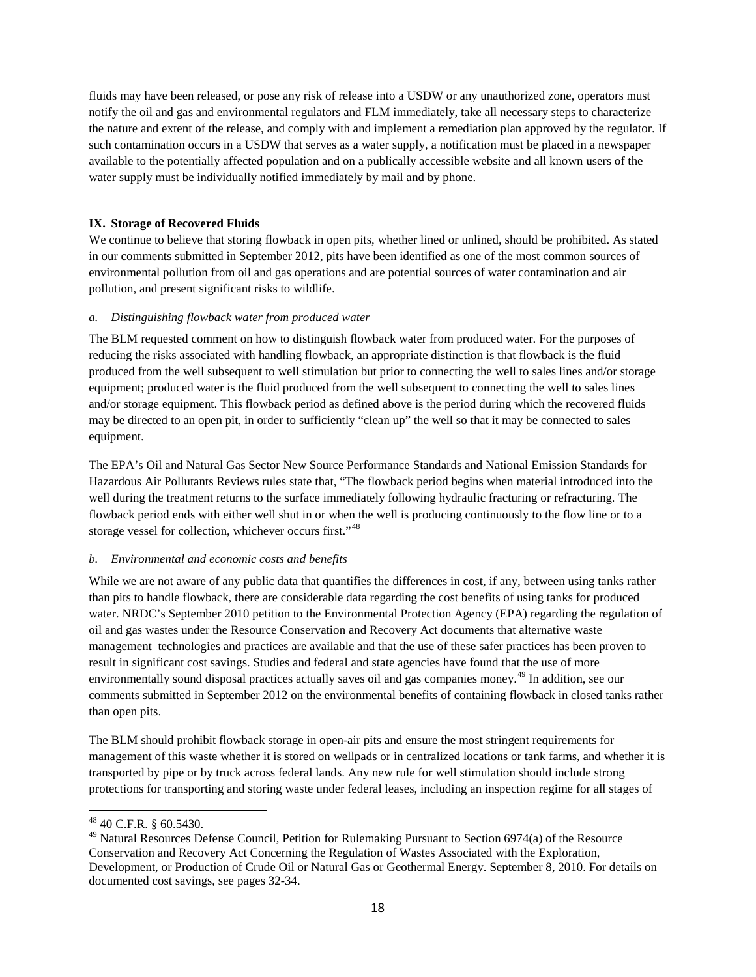fluids may have been released, or pose any risk of release into a USDW or any unauthorized zone, operators must notify the oil and gas and environmental regulators and FLM immediately, take all necessary steps to characterize the nature and extent of the release, and comply with and implement a remediation plan approved by the regulator. If such contamination occurs in a USDW that serves as a water supply, a notification must be placed in a newspaper available to the potentially affected population and on a publically accessible website and all known users of the water supply must be individually notified immediately by mail and by phone.

## <span id="page-17-0"></span>**IX. Storage of Recovered Fluids**

We continue to believe that storing flowback in open pits, whether lined or unlined, should be prohibited. As stated in our comments submitted in September 2012, pits have been identified as one of the most common sources of environmental pollution from oil and gas operations and are potential sources of water contamination and air pollution, and present significant risks to wildlife.

### *a. Distinguishing flowback water from produced water*

The BLM requested comment on how to distinguish flowback water from produced water. For the purposes of reducing the risks associated with handling flowback, an appropriate distinction is that flowback is the fluid produced from the well subsequent to well stimulation but prior to connecting the well to sales lines and/or storage equipment; produced water is the fluid produced from the well subsequent to connecting the well to sales lines and/or storage equipment. This flowback period as defined above is the period during which the recovered fluids may be directed to an open pit, in order to sufficiently "clean up" the well so that it may be connected to sales equipment.

The EPA's Oil and Natural Gas Sector New Source Performance Standards and National Emission Standards for Hazardous Air Pollutants Reviews rules state that, "The flowback period begins when material introduced into the well during the treatment returns to the surface immediately following hydraulic fracturing or refracturing. The flowback period ends with either well shut in or when the well is producing continuously to the flow line or to a storage vessel for collection, whichever occurs first."[48](#page-17-1)

# *b. Environmental and economic costs and benefits*

While we are not aware of any public data that quantifies the differences in cost, if any, between using tanks rather than pits to handle flowback, there are considerable data regarding the cost benefits of using tanks for produced water. NRDC's September 2010 petition to the Environmental Protection Agency (EPA) regarding the regulation of oil and gas wastes under the Resource Conservation and Recovery Act documents that alternative waste management technologies and practices are available and that the use of these safer practices has been proven to result in significant cost savings. Studies and federal and state agencies have found that the use of more environmentally sound disposal practices actually saves oil and gas companies money.[49](#page-17-2) In addition, see our comments submitted in September 2012 on the environmental benefits of containing flowback in closed tanks rather than open pits.

The BLM should prohibit flowback storage in open-air pits and ensure the most stringent requirements for management of this waste whether it is stored on wellpads or in centralized locations or tank farms, and whether it is transported by pipe or by truck across federal lands. Any new rule for well stimulation should include strong protections for transporting and storing waste under federal leases, including an inspection regime for all stages of

<span id="page-17-1"></span><sup>48</sup> 40 C.F.R. § 60.5430.

<span id="page-17-2"></span><sup>&</sup>lt;sup>49</sup> Natural Resources Defense Council, Petition for Rulemaking Pursuant to Section 6974(a) of the Resource Conservation and Recovery Act Concerning the Regulation of Wastes Associated with the Exploration, Development, or Production of Crude Oil or Natural Gas or Geothermal Energy. September 8, 2010. For details on documented cost savings, see pages 32-34.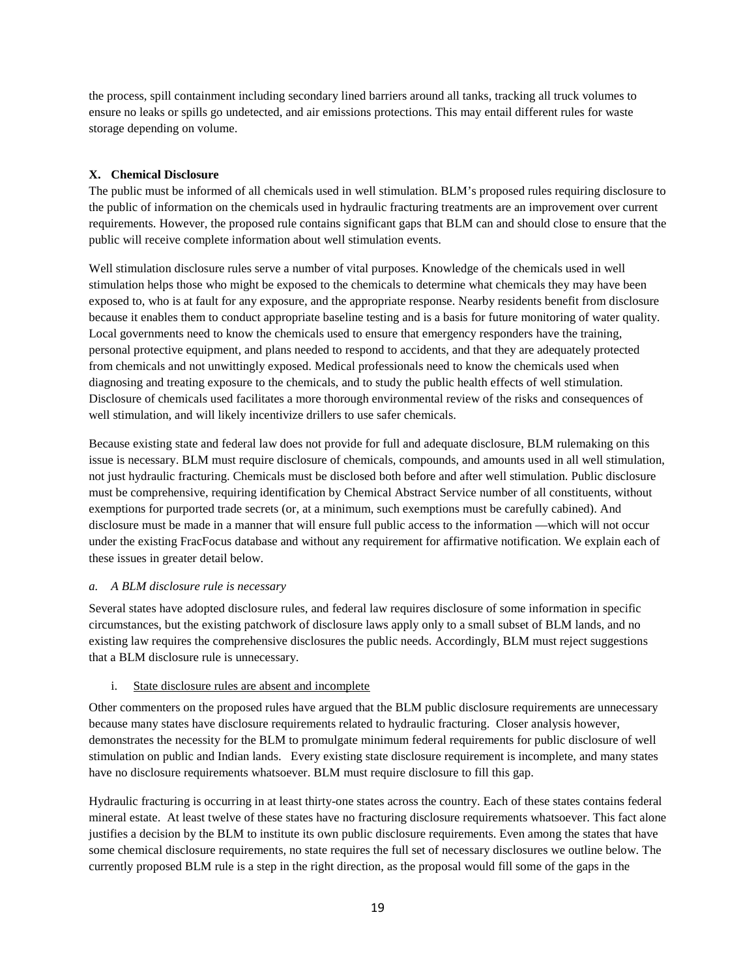the process, spill containment including secondary lined barriers around all tanks, tracking all truck volumes to ensure no leaks or spills go undetected, and air emissions protections. This may entail different rules for waste storage depending on volume.

### <span id="page-18-0"></span>**X. Chemical Disclosure**

The public must be informed of all chemicals used in well stimulation. BLM's proposed rules requiring disclosure to the public of information on the chemicals used in hydraulic fracturing treatments are an improvement over current requirements. However, the proposed rule contains significant gaps that BLM can and should close to ensure that the public will receive complete information about well stimulation events.

Well stimulation disclosure rules serve a number of vital purposes. Knowledge of the chemicals used in well stimulation helps those who might be exposed to the chemicals to determine what chemicals they may have been exposed to, who is at fault for any exposure, and the appropriate response. Nearby residents benefit from disclosure because it enables them to conduct appropriate baseline testing and is a basis for future monitoring of water quality. Local governments need to know the chemicals used to ensure that emergency responders have the training, personal protective equipment, and plans needed to respond to accidents, and that they are adequately protected from chemicals and not unwittingly exposed. Medical professionals need to know the chemicals used when diagnosing and treating exposure to the chemicals, and to study the public health effects of well stimulation. Disclosure of chemicals used facilitates a more thorough environmental review of the risks and consequences of well stimulation, and will likely incentivize drillers to use safer chemicals.

Because existing state and federal law does not provide for full and adequate disclosure, BLM rulemaking on this issue is necessary. BLM must require disclosure of chemicals, compounds, and amounts used in all well stimulation, not just hydraulic fracturing. Chemicals must be disclosed both before and after well stimulation. Public disclosure must be comprehensive, requiring identification by Chemical Abstract Service number of all constituents, without exemptions for purported trade secrets (or, at a minimum, such exemptions must be carefully cabined). And disclosure must be made in a manner that will ensure full public access to the information —which will not occur under the existing FracFocus database and without any requirement for affirmative notification. We explain each of these issues in greater detail below.

### *a. A BLM disclosure rule is necessary*

Several states have adopted disclosure rules, and federal law requires disclosure of some information in specific circumstances, but the existing patchwork of disclosure laws apply only to a small subset of BLM lands, and no existing law requires the comprehensive disclosures the public needs. Accordingly, BLM must reject suggestions that a BLM disclosure rule is unnecessary.

### i. State disclosure rules are absent and incomplete

Other commenters on the proposed rules have argued that the BLM public disclosure requirements are unnecessary because many states have disclosure requirements related to hydraulic fracturing. Closer analysis however, demonstrates the necessity for the BLM to promulgate minimum federal requirements for public disclosure of well stimulation on public and Indian lands. Every existing state disclosure requirement is incomplete, and many states have no disclosure requirements whatsoever. BLM must require disclosure to fill this gap.

Hydraulic fracturing is occurring in at least thirty-one states across the country. Each of these states contains federal mineral estate. At least twelve of these states have no fracturing disclosure requirements whatsoever. This fact alone justifies a decision by the BLM to institute its own public disclosure requirements. Even among the states that have some chemical disclosure requirements, no state requires the full set of necessary disclosures we outline below. The currently proposed BLM rule is a step in the right direction, as the proposal would fill some of the gaps in the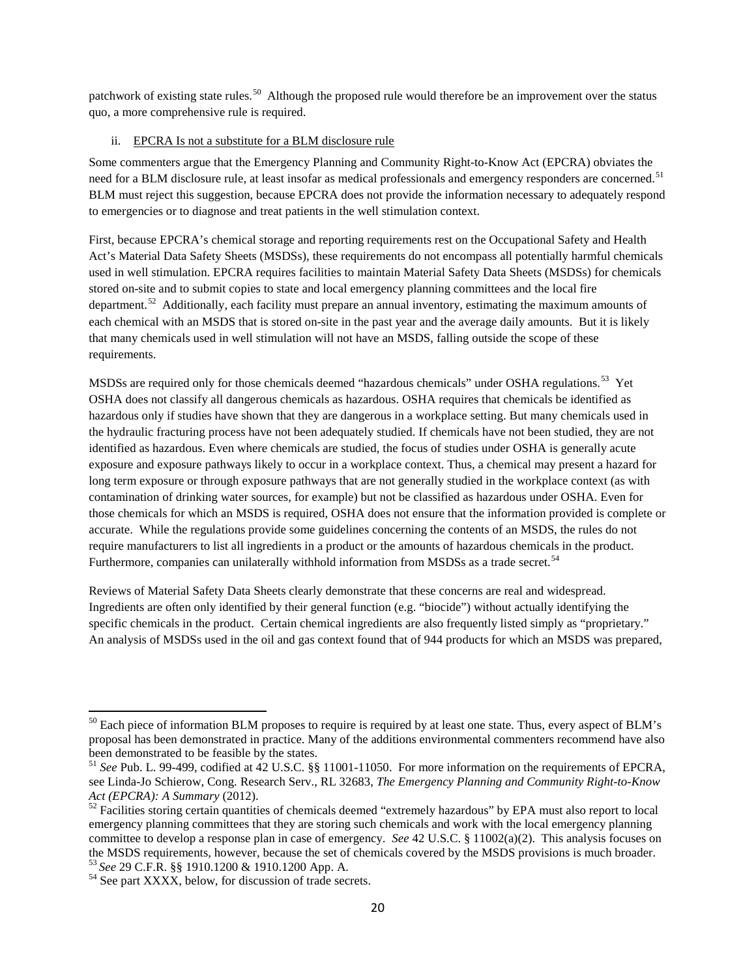patchwork of existing state rules.<sup>50</sup> Although the proposed rule would therefore be an improvement over the status quo, a more comprehensive rule is required.

### ii. EPCRA Is not a substitute for a BLM disclosure rule

Some commenters argue that the Emergency Planning and Community Right-to-Know Act (EPCRA) obviates the need for a BLM disclosure rule, at least insofar as medical professionals and emergency responders are concerned.<sup>[51](#page-19-1)</sup> BLM must reject this suggestion, because EPCRA does not provide the information necessary to adequately respond to emergencies or to diagnose and treat patients in the well stimulation context.

First, because EPCRA's chemical storage and reporting requirements rest on the Occupational Safety and Health Act's Material Data Safety Sheets (MSDSs), these requirements do not encompass all potentially harmful chemicals used in well stimulation. EPCRA requires facilities to maintain Material Safety Data Sheets (MSDSs) for chemicals stored on-site and to submit copies to state and local emergency planning committees and the local fire department.<sup>[52](#page-19-2)</sup> Additionally, each facility must prepare an annual inventory, estimating the maximum amounts of each chemical with an MSDS that is stored on-site in the past year and the average daily amounts. But it is likely that many chemicals used in well stimulation will not have an MSDS, falling outside the scope of these requirements.

MSDSs are required only for those chemicals deemed "hazardous chemicals" under OSHA regulations.<sup>[53](#page-19-3)</sup> Yet OSHA does not classify all dangerous chemicals as hazardous. OSHA requires that chemicals be identified as hazardous only if studies have shown that they are dangerous in a workplace setting. But many chemicals used in the hydraulic fracturing process have not been adequately studied. If chemicals have not been studied, they are not identified as hazardous. Even where chemicals are studied, the focus of studies under OSHA is generally acute exposure and exposure pathways likely to occur in a workplace context. Thus, a chemical may present a hazard for long term exposure or through exposure pathways that are not generally studied in the workplace context (as with contamination of drinking water sources, for example) but not be classified as hazardous under OSHA. Even for those chemicals for which an MSDS is required, OSHA does not ensure that the information provided is complete or accurate. While the regulations provide some guidelines concerning the contents of an MSDS, the rules do not require manufacturers to list all ingredients in a product or the amounts of hazardous chemicals in the product. Furthermore, companies can unilaterally withhold information from MSDSs as a trade secret.<sup>[54](#page-19-4)</sup>

Reviews of Material Safety Data Sheets clearly demonstrate that these concerns are real and widespread. Ingredients are often only identified by their general function (e.g. "biocide") without actually identifying the specific chemicals in the product. Certain chemical ingredients are also frequently listed simply as "proprietary." An analysis of MSDSs used in the oil and gas context found that of 944 products for which an MSDS was prepared,

<span id="page-19-0"></span> $50$  Each piece of information BLM proposes to require is required by at least one state. Thus, every aspect of BLM's proposal has been demonstrated in practice. Many of the additions environmental commenters recommend have also been demonstrated to be feasible by the states.

<span id="page-19-1"></span><sup>51</sup> *See* Pub. L. 99-499, codified at 42 U.S.C. §§ 11001-11050. For more information on the requirements of EPCRA, see Linda-Jo Schierow, Cong. Research Serv., RL 32683, *The Emergency Planning and Community Right-to-Know* 

<span id="page-19-2"></span><sup>&</sup>lt;sup>52</sup> Facilities storing certain quantities of chemicals deemed "extremely hazardous" by EPA must also report to local emergency planning committees that they are storing such chemicals and work with the local emergency planning committee to develop a response plan in case of emergency. *See* 42 U.S.C. § 11002(a)(2). This analysis focuses on the MSDS requirements, however, because the set of chemicals covered by the MSDS provisions is much broader.<br><sup>53</sup> *See* 29 C.F.R. §§ 1910.1200 & 1910.1200 App. A.<br><sup>54</sup> See part XXXX, below, for discussion of trade secrets.

<span id="page-19-4"></span><span id="page-19-3"></span>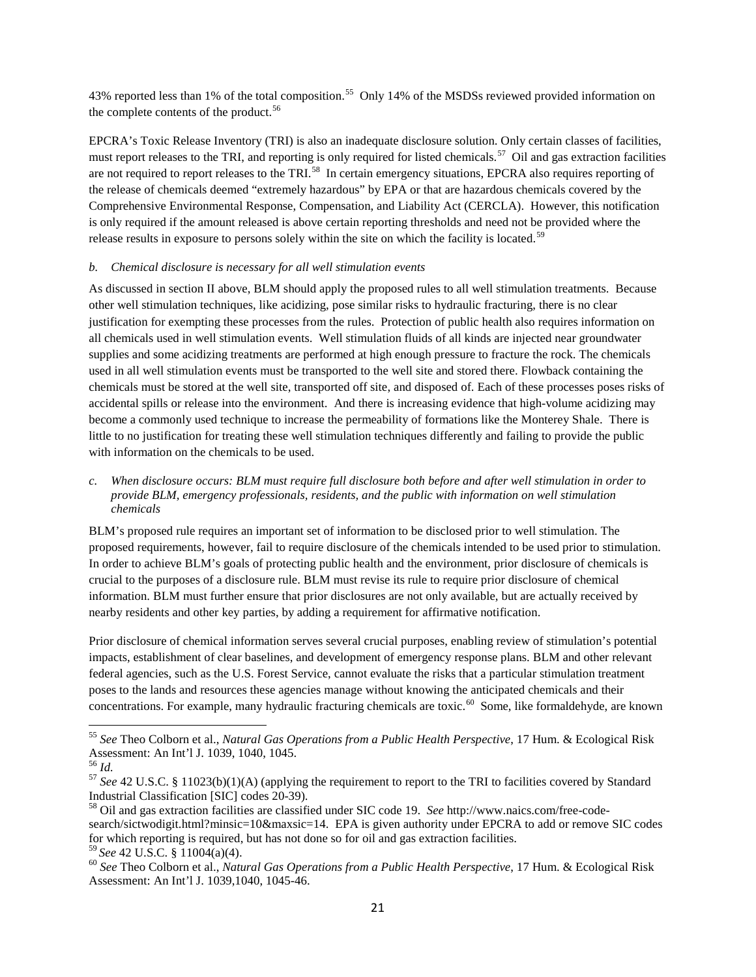43% reported less than 1% of the total composition.<sup>[55](#page-20-0)</sup> Only 14% of the MSDSs reviewed provided information on the complete contents of the product.<sup>[56](#page-20-1)</sup>

EPCRA's Toxic Release Inventory (TRI) is also an inadequate disclosure solution. Only certain classes of facilities, must report releases to the TRI, and reporting is only required for listed chemicals.<sup>57</sup> Oil and gas extraction facilities are not required to report releases to the TRI.<sup>[58](#page-20-3)</sup> In certain emergency situations, EPCRA also requires reporting of the release of chemicals deemed "extremely hazardous" by EPA or that are hazardous chemicals covered by the Comprehensive Environmental Response, Compensation, and Liability Act (CERCLA). However, this notification is only required if the amount released is above certain reporting thresholds and need not be provided where the release results in exposure to persons solely within the site on which the facility is located.<sup>[59](#page-20-4)</sup>

### *b. Chemical disclosure is necessary for all well stimulation events*

As discussed in section II above, BLM should apply the proposed rules to all well stimulation treatments. Because other well stimulation techniques, like acidizing, pose similar risks to hydraulic fracturing, there is no clear justification for exempting these processes from the rules. Protection of public health also requires information on all chemicals used in well stimulation events. Well stimulation fluids of all kinds are injected near groundwater supplies and some acidizing treatments are performed at high enough pressure to fracture the rock. The chemicals used in all well stimulation events must be transported to the well site and stored there. Flowback containing the chemicals must be stored at the well site, transported off site, and disposed of. Each of these processes poses risks of accidental spills or release into the environment. And there is increasing evidence that high-volume acidizing may become a commonly used technique to increase the permeability of formations like the Monterey Shale. There is little to no justification for treating these well stimulation techniques differently and failing to provide the public with information on the chemicals to be used.

### *c. When disclosure occurs: BLM must require full disclosure both before and after well stimulation in order to provide BLM, emergency professionals, residents, and the public with information on well stimulation chemicals*

BLM's proposed rule requires an important set of information to be disclosed prior to well stimulation. The proposed requirements, however, fail to require disclosure of the chemicals intended to be used prior to stimulation. In order to achieve BLM's goals of protecting public health and the environment, prior disclosure of chemicals is crucial to the purposes of a disclosure rule. BLM must revise its rule to require prior disclosure of chemical information. BLM must further ensure that prior disclosures are not only available, but are actually received by nearby residents and other key parties, by adding a requirement for affirmative notification.

Prior disclosure of chemical information serves several crucial purposes, enabling review of stimulation's potential impacts, establishment of clear baselines, and development of emergency response plans. BLM and other relevant federal agencies, such as the U.S. Forest Service, cannot evaluate the risks that a particular stimulation treatment poses to the lands and resources these agencies manage without knowing the anticipated chemicals and their concentrations. For example, many hydraulic fracturing chemicals are toxic.<sup>[60](#page-20-5)</sup> Some, like formaldehyde, are known

<span id="page-20-0"></span><sup>&</sup>lt;sup>55</sup> *See* Theo Colborn et al., *Natural Gas Operations from a Public Health Perspective*, 17 Hum. & Ecological Risk Assessment: An Int'l J. 1039, 1040, 1045.<br><sup>56</sup> *Id.* 

<span id="page-20-2"></span><span id="page-20-1"></span><sup>&</sup>lt;sup>57</sup> See 42 U.S.C. § 11023(b)(1)(A) (applying the requirement to report to the TRI to facilities covered by Standard Industrial Classification [SIC] codes 20-39).<br><sup>58</sup> Oil and gas extraction facilities are classified under SIC code 19. *See* http://www.naics.com/free-code-

<span id="page-20-3"></span>search/sictwodigit.html?minsic=10&maxsic=14. EPA is given authority under EPCRA to add or remove SIC codes for which reporting is required, but has not done so for oil and gas extraction facilities.<br><sup>59</sup> See 42 U.S.C. § 11004(a)(4).

<span id="page-20-5"></span><span id="page-20-4"></span><sup>&</sup>lt;sup>60</sup> See Theo Colborn et al., *Natural Gas Operations from a Public Health Perspective*, 17 Hum. & Ecological Risk Assessment: An Int'l J. 1039,1040, 1045-46.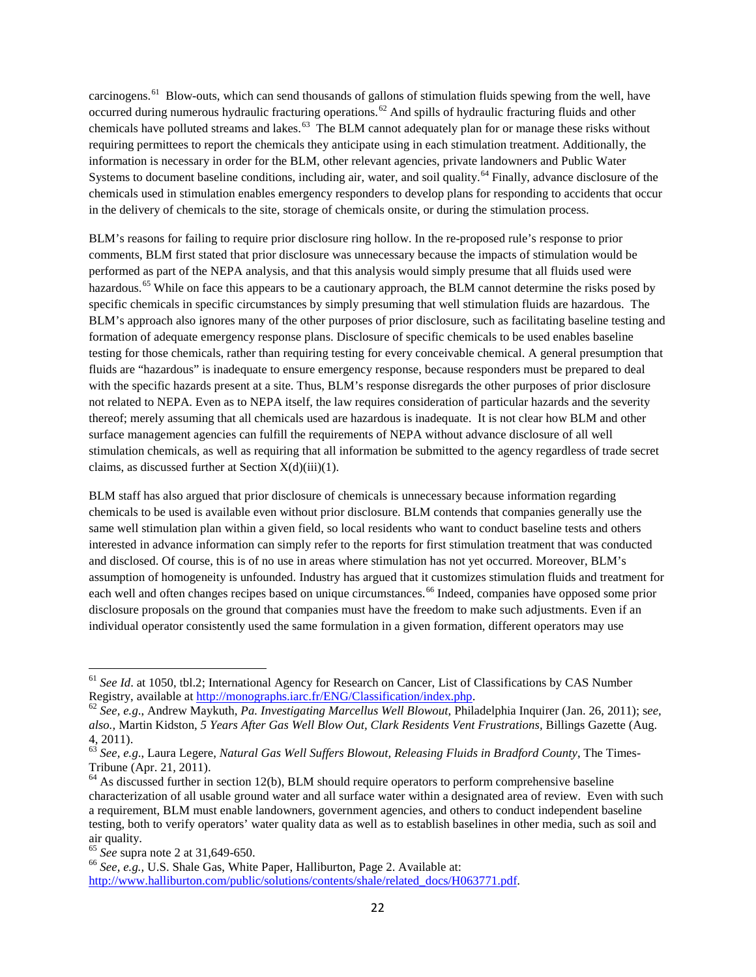carcinogens.<sup>[61](#page-21-0)</sup> Blow-outs, which can send thousands of gallons of stimulation fluids spewing from the well, have occurred during numerous hydraulic fracturing operations.<sup>[62](#page-21-1)</sup> And spills of hydraulic fracturing fluids and other chemicals have polluted streams and lakes.<sup>[63](#page-21-2)</sup> The BLM cannot adequately plan for or manage these risks without requiring permittees to report the chemicals they anticipate using in each stimulation treatment. Additionally, the information is necessary in order for the BLM, other relevant agencies, private landowners and Public Water Systems to document baseline conditions, including air, water, and soil quality.<sup>[64](#page-21-3)</sup> Finally, advance disclosure of the chemicals used in stimulation enables emergency responders to develop plans for responding to accidents that occur in the delivery of chemicals to the site, storage of chemicals onsite, or during the stimulation process.

BLM's reasons for failing to require prior disclosure ring hollow. In the re-proposed rule's response to prior comments, BLM first stated that prior disclosure was unnecessary because the impacts of stimulation would be performed as part of the NEPA analysis, and that this analysis would simply presume that all fluids used were hazardous.<sup>[65](#page-21-4)</sup> While on face this appears to be a cautionary approach, the BLM cannot determine the risks posed by specific chemicals in specific circumstances by simply presuming that well stimulation fluids are hazardous. The BLM's approach also ignores many of the other purposes of prior disclosure, such as facilitating baseline testing and formation of adequate emergency response plans. Disclosure of specific chemicals to be used enables baseline testing for those chemicals, rather than requiring testing for every conceivable chemical. A general presumption that fluids are "hazardous" is inadequate to ensure emergency response, because responders must be prepared to deal with the specific hazards present at a site. Thus, BLM's response disregards the other purposes of prior disclosure not related to NEPA. Even as to NEPA itself, the law requires consideration of particular hazards and the severity thereof; merely assuming that all chemicals used are hazardous is inadequate. It is not clear how BLM and other surface management agencies can fulfill the requirements of NEPA without advance disclosure of all well stimulation chemicals, as well as requiring that all information be submitted to the agency regardless of trade secret claims, as discussed further at Section  $X(d)(iii)(1)$ .

BLM staff has also argued that prior disclosure of chemicals is unnecessary because information regarding chemicals to be used is available even without prior disclosure. BLM contends that companies generally use the same well stimulation plan within a given field, so local residents who want to conduct baseline tests and others interested in advance information can simply refer to the reports for first stimulation treatment that was conducted and disclosed. Of course, this is of no use in areas where stimulation has not yet occurred. Moreover, BLM's assumption of homogeneity is unfounded. Industry has argued that it customizes stimulation fluids and treatment for each well and often changes recipes based on unique circumstances.<sup>[66](#page-21-5)</sup> Indeed, companies have opposed some prior disclosure proposals on the ground that companies must have the freedom to make such adjustments. Even if an individual operator consistently used the same formulation in a given formation, different operators may use

<span id="page-21-0"></span><sup>&</sup>lt;sup>61</sup> *See Id.* at 1050, tbl.2; International Agency for Research on Cancer, List of Classifications by CAS Number Registry, available at http://monographs.iarc.fr/ENG/Classification/index.php.

<span id="page-21-1"></span>Registry, available at [http://monographs.iarc.fr/ENG/Classification/index.php.](http://monographs.iarc.fr/ENG/Classification/index.php) 62 *See, e.g*., Andrew Maykuth, *Pa. Investigating Marcellus Well Blowout*, Philadelphia Inquirer (Jan. 26, 2011); s*ee, also.,* Martin Kidston, *5 Years After Gas Well Blow Out, Clark Residents Vent Frustrations,* Billings Gazette (Aug. 4, 2011).

<span id="page-21-2"></span><sup>63</sup> *See, e.g*., Laura Legere, *Natural Gas Well Suffers Blowout, Releasing Fluids in Bradford County*, The Times-Tribune (Apr. 21, 2011).

<span id="page-21-3"></span> $<sup>64</sup>$  As discussed further in section 12(b), BLM should require operators to perform comprehensive baseline</sup> characterization of all usable ground water and all surface water within a designated area of review. Even with such a requirement, BLM must enable landowners, government agencies, and others to conduct independent baseline testing, both to verify operators' water quality data as well as to establish baselines in other media, such as soil and air quality.<br> $^{65}$  *See* supra note 2 at 31,649-650.

<span id="page-21-4"></span>

<span id="page-21-5"></span><sup>&</sup>lt;sup>66</sup> See, e.g., U.S. Shale Gas, White Paper, Halliburton, Page 2. Available at: [http://www.halliburton.com/public/solutions/contents/shale/related\\_docs/H063771.pdf.](http://www.halliburton.com/public/solutions/contents/shale/related_docs/H063771.pdf)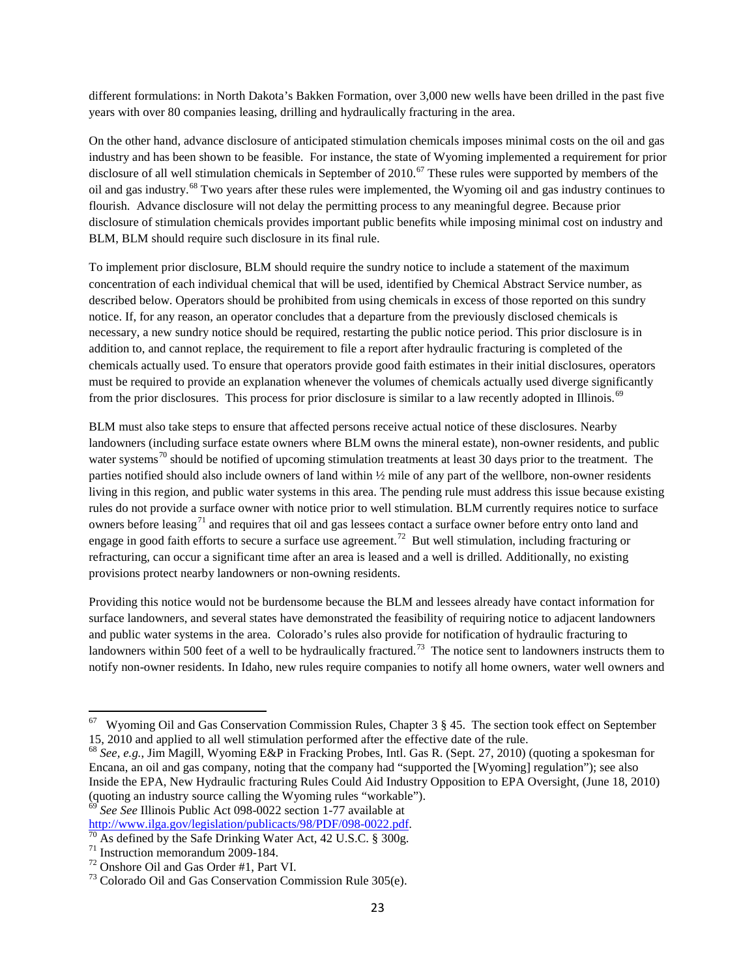different formulations: in North Dakota's Bakken Formation, over 3,000 new wells have been drilled in the past five years with over 80 companies leasing, drilling and hydraulically fracturing in the area.

On the other hand, advance disclosure of anticipated stimulation chemicals imposes minimal costs on the oil and gas industry and has been shown to be feasible. For instance, the state of Wyoming implemented a requirement for prior disclosure of all well stimulation chemicals in September of 2010.<sup>[67](#page-22-0)</sup> These rules were supported by members of the oil and gas industry.[68](#page-22-1) Two years after these rules were implemented, the Wyoming oil and gas industry continues to flourish. Advance disclosure will not delay the permitting process to any meaningful degree. Because prior disclosure of stimulation chemicals provides important public benefits while imposing minimal cost on industry and BLM, BLM should require such disclosure in its final rule.

To implement prior disclosure, BLM should require the sundry notice to include a statement of the maximum concentration of each individual chemical that will be used, identified by Chemical Abstract Service number, as described below. Operators should be prohibited from using chemicals in excess of those reported on this sundry notice. If, for any reason, an operator concludes that a departure from the previously disclosed chemicals is necessary, a new sundry notice should be required, restarting the public notice period. This prior disclosure is in addition to, and cannot replace, the requirement to file a report after hydraulic fracturing is completed of the chemicals actually used. To ensure that operators provide good faith estimates in their initial disclosures, operators must be required to provide an explanation whenever the volumes of chemicals actually used diverge significantly from the prior disclosures. This process for prior disclosure is similar to a law recently adopted in Illinois.<sup>[69](#page-22-2)</sup>

BLM must also take steps to ensure that affected persons receive actual notice of these disclosures. Nearby landowners (including surface estate owners where BLM owns the mineral estate), non-owner residents, and public water systems<sup>[70](#page-22-3)</sup> should be notified of upcoming stimulation treatments at least 30 days prior to the treatment. The parties notified should also include owners of land within ½ mile of any part of the wellbore, non-owner residents living in this region, and public water systems in this area. The pending rule must address this issue because existing rules do not provide a surface owner with notice prior to well stimulation. BLM currently requires notice to surface owners before leasing<sup>[71](#page-22-4)</sup> and requires that oil and gas lessees contact a surface owner before entry onto land and engage in good faith efforts to secure a surface use agreement.<sup>72</sup> But well stimulation, including fracturing or refracturing, can occur a significant time after an area is leased and a well is drilled. Additionally, no existing provisions protect nearby landowners or non-owning residents.

Providing this notice would not be burdensome because the BLM and lessees already have contact information for surface landowners, and several states have demonstrated the feasibility of requiring notice to adjacent landowners and public water systems in the area. Colorado's rules also provide for notification of hydraulic fracturing to landowners within 500 feet of a well to be hydraulically fractured.<sup>[73](#page-22-6)</sup> The notice sent to landowners instructs them to notify non-owner residents. In Idaho, new rules require companies to notify all home owners, water well owners and

<span id="page-22-2"></span><sup>69</sup> *See See* Illinois Public Act 098-0022 section 1-77 available at http://www.ilga.gov/legislation/publicacts/98/PDF/098-0022.pdf.

<span id="page-22-0"></span>67 Wyoming Oil and Gas Conservation Commission Rules, Chapter 3 § 45. The section took effect on September 15, 2010 and applied to all well stimulation performed after the effective date of the rule.

<span id="page-22-1"></span><sup>68</sup> *See, e.g.*, Jim Magill, Wyoming E&P in Fracking Probes, Intl. Gas R. (Sept. 27, 2010) (quoting a spokesman for Encana, an oil and gas company, noting that the company had "supported the [Wyoming] regulation"); see also Inside the EPA, New Hydraulic fracturing Rules Could Aid Industry Opposition to EPA Oversight, (June 18, 2010) (quoting an industry source calling the Wyoming rules "workable").

<span id="page-22-4"></span><span id="page-22-3"></span><sup>&</sup>lt;sup>70</sup> As defined by the Safe Drinking Water Act, 42 U.S.C. § 300g.<br><sup>71</sup> Instruction memorandum 2009-184.<br><sup>72</sup> Onshore Oil and Gas Order #1, Part VI.<br><sup>73</sup> Colorado Oil and Gas Conservation Commission Rule 305(e).

<span id="page-22-5"></span>

<span id="page-22-6"></span>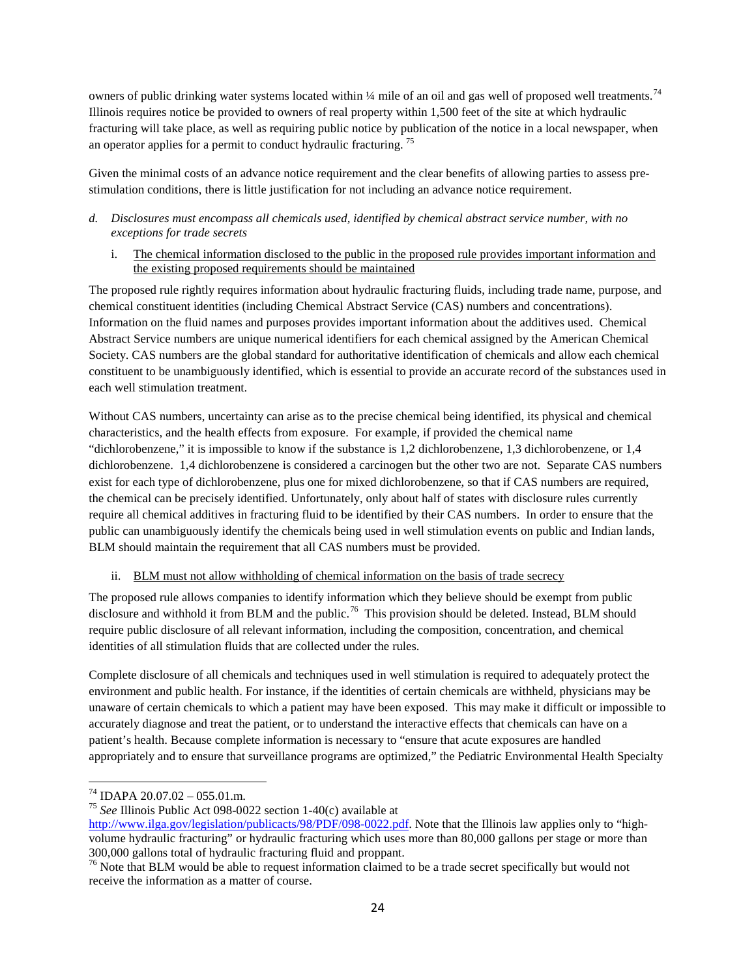owners of public drinking water systems located within ¼ mile of an oil and gas well of proposed well treatments.<sup>[74](#page-23-0)</sup> Illinois requires notice be provided to owners of real property within 1,500 feet of the site at which hydraulic fracturing will take place, as well as requiring public notice by publication of the notice in a local newspaper, when an operator applies for a permit to conduct hydraulic fracturing. [75](#page-23-1)

Given the minimal costs of an advance notice requirement and the clear benefits of allowing parties to assess prestimulation conditions, there is little justification for not including an advance notice requirement.

## *d. Disclosures must encompass all chemicals used, identified by chemical abstract service number, with no exceptions for trade secrets*

i. The chemical information disclosed to the public in the proposed rule provides important information and the existing proposed requirements should be maintained

The proposed rule rightly requires information about hydraulic fracturing fluids, including trade name, purpose, and chemical constituent identities (including Chemical Abstract Service (CAS) numbers and concentrations). Information on the fluid names and purposes provides important information about the additives used. Chemical Abstract Service numbers are unique numerical identifiers for each chemical assigned by the American Chemical Society. CAS numbers are the global standard for authoritative identification of chemicals and allow each chemical constituent to be unambiguously identified, which is essential to provide an accurate record of the substances used in each well stimulation treatment.

Without CAS numbers, uncertainty can arise as to the precise chemical being identified, its physical and chemical characteristics, and the health effects from exposure. For example, if provided the chemical name "dichlorobenzene," it is impossible to know if the substance is 1,2 dichlorobenzene, 1,3 dichlorobenzene, or 1,4 dichlorobenzene. 1,4 dichlorobenzene is considered a carcinogen but the other two are not. Separate CAS numbers exist for each type of dichlorobenzene, plus one for mixed dichlorobenzene, so that if CAS numbers are required, the chemical can be precisely identified. Unfortunately, only about half of states with disclosure rules currently require all chemical additives in fracturing fluid to be identified by their CAS numbers. In order to ensure that the public can unambiguously identify the chemicals being used in well stimulation events on public and Indian lands, BLM should maintain the requirement that all CAS numbers must be provided.

# ii. BLM must not allow withholding of chemical information on the basis of trade secrecy

The proposed rule allows companies to identify information which they believe should be exempt from public disclosure and withhold it from BLM and the public.<sup>[76](#page-23-2)</sup> This provision should be deleted. Instead, BLM should require public disclosure of all relevant information, including the composition, concentration, and chemical identities of all stimulation fluids that are collected under the rules.

Complete disclosure of all chemicals and techniques used in well stimulation is required to adequately protect the environment and public health. For instance, if the identities of certain chemicals are withheld, physicians may be unaware of certain chemicals to which a patient may have been exposed. This may make it difficult or impossible to accurately diagnose and treat the patient, or to understand the interactive effects that chemicals can have on a patient's health. Because complete information is necessary to "ensure that acute exposures are handled appropriately and to ensure that surveillance programs are optimized," the Pediatric Environmental Health Specialty

<span id="page-23-0"></span><sup>74</sup> IDAPA 20.07.02 – 055.01.m. <sup>75</sup> *See* Illinois Public Act 098-0022 section 1-40(c) available at

<span id="page-23-1"></span>[http://www.ilga.gov/legislation/publicacts/98/PDF/098-0022.pdf.](http://www.ilga.gov/legislation/publicacts/98/PDF/098-0022.pdf) Note that the Illinois law applies only to "highvolume hydraulic fracturing" or hydraulic fracturing which uses more than 80,000 gallons per stage or more than 300,000 gallons total of hydraulic fracturing fluid and proppant.

<span id="page-23-2"></span> $76$  Note that BLM would be able to request information claimed to be a trade secret specifically but would not receive the information as a matter of course.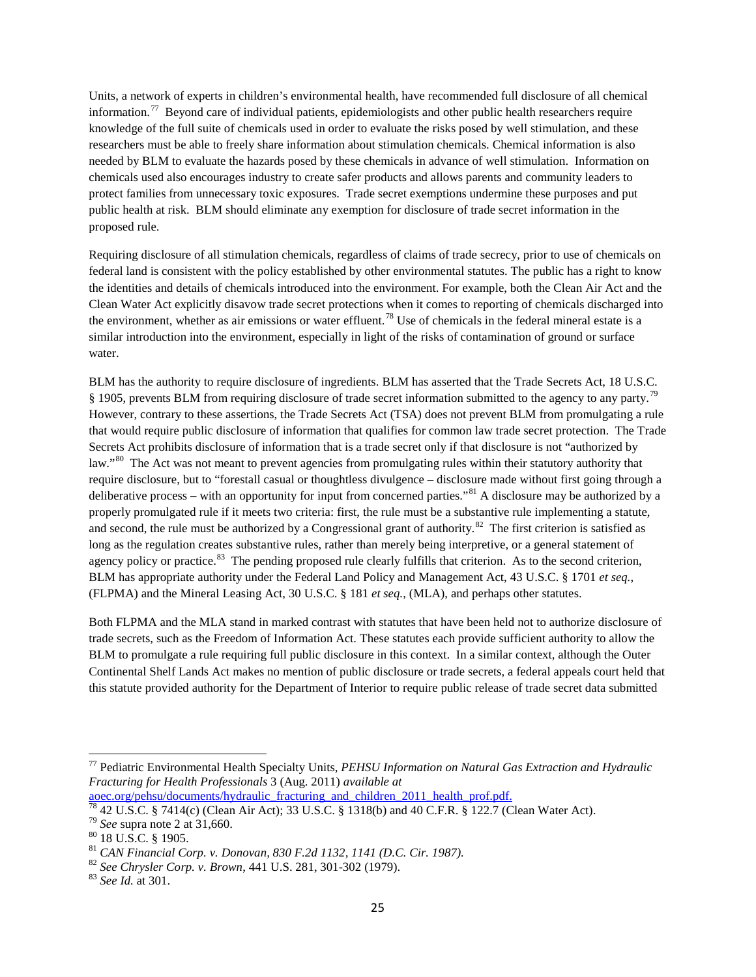Units, a network of experts in children's environmental health, have recommended full disclosure of all chemical information.<sup>77</sup> Beyond care of individual patients, epidemiologists and other public health researchers require knowledge of the full suite of chemicals used in order to evaluate the risks posed by well stimulation, and these researchers must be able to freely share information about stimulation chemicals. Chemical information is also needed by BLM to evaluate the hazards posed by these chemicals in advance of well stimulation. Information on chemicals used also encourages industry to create safer products and allows parents and community leaders to protect families from unnecessary toxic exposures. Trade secret exemptions undermine these purposes and put public health at risk. BLM should eliminate any exemption for disclosure of trade secret information in the proposed rule.

Requiring disclosure of all stimulation chemicals, regardless of claims of trade secrecy, prior to use of chemicals on federal land is consistent with the policy established by other environmental statutes. The public has a right to know the identities and details of chemicals introduced into the environment. For example, both the Clean Air Act and the Clean Water Act explicitly disavow trade secret protections when it comes to reporting of chemicals discharged into the environment, whether as air emissions or water effluent.<sup>[78](#page-24-1)</sup> Use of chemicals in the federal mineral estate is a similar introduction into the environment, especially in light of the risks of contamination of ground or surface water.

BLM has the authority to require disclosure of ingredients. BLM has asserted that the Trade Secrets Act, 18 U.S.C. § 1905, prevents BLM from requiring disclosure of trade secret information submitted to the agency to any party.<sup>[79](#page-24-2)</sup> However, contrary to these assertions, the Trade Secrets Act (TSA) does not prevent BLM from promulgating a rule that would require public disclosure of information that qualifies for common law trade secret protection. The Trade Secrets Act prohibits disclosure of information that is a trade secret only if that disclosure is not "authorized by law."<sup>[80](#page-24-3)</sup> The Act was not meant to prevent agencies from promulgating rules within their statutory authority that require disclosure, but to "forestall casual or thoughtless divulgence – disclosure made without first going through a deliberative process – with an opportunity for input from concerned parties."<sup>[81](#page-24-4)</sup> A disclosure may be authorized by a properly promulgated rule if it meets two criteria: first, the rule must be a substantive rule implementing a statute, and second, the rule must be authorized by a Congressional grant of authority. $82$  The first criterion is satisfied as long as the regulation creates substantive rules, rather than merely being interpretive, or a general statement of agency policy or practice.<sup>[83](#page-24-6)</sup> The pending proposed rule clearly fulfills that criterion. As to the second criterion, BLM has appropriate authority under the Federal Land Policy and Management Act, 43 U.S.C. § 1701 *et seq.*, (FLPMA) and the Mineral Leasing Act, 30 U.S.C. § 181 *et seq.*, (MLA), and perhaps other statutes.

Both FLPMA and the MLA stand in marked contrast with statutes that have been held not to authorize disclosure of trade secrets, such as the Freedom of Information Act. These statutes each provide sufficient authority to allow the BLM to promulgate a rule requiring full public disclosure in this context. In a similar context, although the Outer Continental Shelf Lands Act makes no mention of public disclosure or trade secrets, a federal appeals court held that this statute provided authority for the Department of Interior to require public release of trade secret data submitted

<span id="page-24-0"></span><sup>77</sup> Pediatric Environmental Health Specialty Units, *PEHSU Information on Natural Gas Extraction and Hydraulic Fracturing for Health Professionals* 3 (Aug. 2011) *available at*

<span id="page-24-1"></span> $\frac{\text{aoec.org/pehsu/documents/hydraulic\_fracturing\_and\_children\_2011\_health\_prof.pdf.}}{78\,42\,U.S.C. \frac{8}{9}\,7414(c)$  (Clean Air Act); 33 U.S.C. § 1318(b) and 40 C.F.R. § 122.7 (Clean Water Act).<br>  $^{79}\,See$  supra note 2 at 31,660.<br>  $^{81}\,CAN\,Financial\, Corp. \,v. \,Donovan, \,830\,F.2d\,1$ 

<span id="page-24-2"></span>

<span id="page-24-3"></span>

<span id="page-24-4"></span>

<span id="page-24-5"></span>

<span id="page-24-6"></span>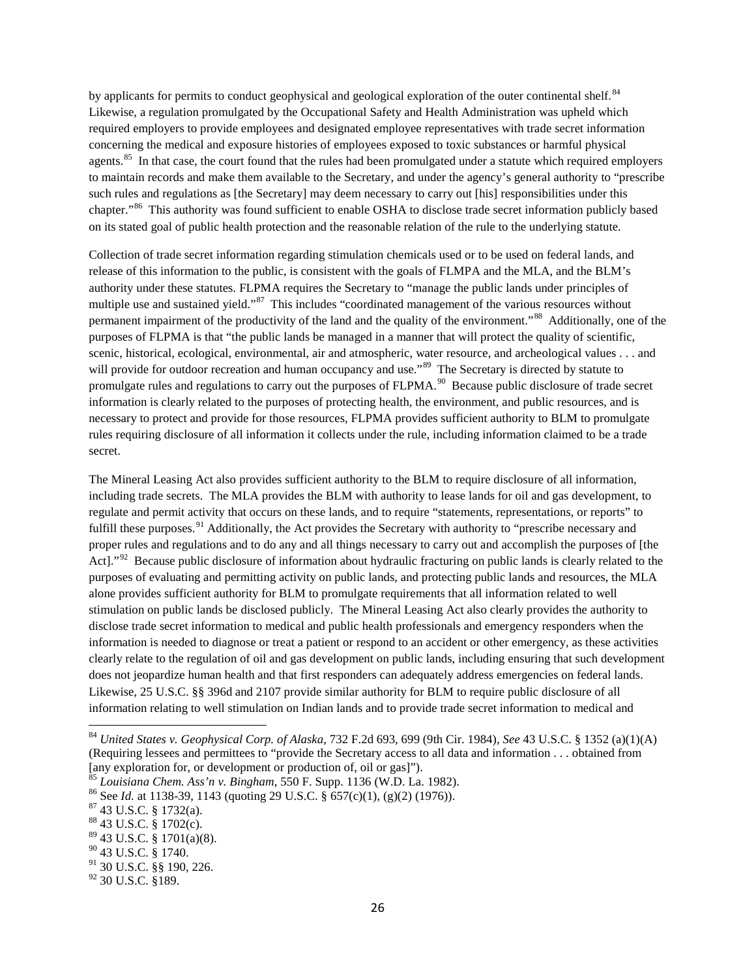by applicants for permits to conduct geophysical and geological exploration of the outer continental shelf.<sup>[84](#page-25-0)</sup> Likewise, a regulation promulgated by the Occupational Safety and Health Administration was upheld which required employers to provide employees and designated employee representatives with trade secret information concerning the medical and exposure histories of employees exposed to toxic substances or harmful physical agents.<sup>[85](#page-25-1)</sup> In that case, the court found that the rules had been promulgated under a statute which required employers to maintain records and make them available to the Secretary, and under the agency's general authority to "prescribe such rules and regulations as [the Secretary] may deem necessary to carry out [his] responsibilities under this chapter."[86](#page-25-2) This authority was found sufficient to enable OSHA to disclose trade secret information publicly based on its stated goal of public health protection and the reasonable relation of the rule to the underlying statute.

Collection of trade secret information regarding stimulation chemicals used or to be used on federal lands, and release of this information to the public, is consistent with the goals of FLMPA and the MLA, and the BLM's authority under these statutes. FLPMA requires the Secretary to "manage the public lands under principles of multiple use and sustained yield."<sup>[87](#page-25-3)</sup> This includes "coordinated management of the various resources without permanent impairment of the productivity of the land and the quality of the environment."<sup>[88](#page-25-4)</sup> Additionally, one of the purposes of FLPMA is that "the public lands be managed in a manner that will protect the quality of scientific, scenic, historical, ecological, environmental, air and atmospheric, water resource, and archeological values . . . and will provide for outdoor recreation and human occupancy and use."<sup>[89](#page-25-5)</sup> The Secretary is directed by statute to promulgate rules and regulations to carry out the purposes of FLPMA.<sup>90</sup> Because public disclosure of trade secret information is clearly related to the purposes of protecting health, the environment, and public resources, and is necessary to protect and provide for those resources, FLPMA provides sufficient authority to BLM to promulgate rules requiring disclosure of all information it collects under the rule, including information claimed to be a trade secret.

The Mineral Leasing Act also provides sufficient authority to the BLM to require disclosure of all information, including trade secrets. The MLA provides the BLM with authority to lease lands for oil and gas development, to regulate and permit activity that occurs on these lands, and to require "statements, representations, or reports" to fulfill these purposes.<sup>[91](#page-25-7)</sup> Additionally, the Act provides the Secretary with authority to "prescribe necessary and proper rules and regulations and to do any and all things necessary to carry out and accomplish the purposes of [the Act]."<sup>92</sup> Because public disclosure of information about hydraulic fracturing on public lands is clearly related to the purposes of evaluating and permitting activity on public lands, and protecting public lands and resources, the MLA alone provides sufficient authority for BLM to promulgate requirements that all information related to well stimulation on public lands be disclosed publicly. The Mineral Leasing Act also clearly provides the authority to disclose trade secret information to medical and public health professionals and emergency responders when the information is needed to diagnose or treat a patient or respond to an accident or other emergency, as these activities clearly relate to the regulation of oil and gas development on public lands, including ensuring that such development does not jeopardize human health and that first responders can adequately address emergencies on federal lands. Likewise, 25 U.S.C. §§ 396d and 2107 provide similar authority for BLM to require public disclosure of all information relating to well stimulation on Indian lands and to provide trade secret information to medical and

<span id="page-25-0"></span><sup>84</sup> *United States v. Geophysical Corp. of Alaska*, 732 F.2d 693, 699 (9th Cir. 1984), *See* 43 U.S.C. § 1352 (a)(1)(A) (Requiring lessees and permittees to "provide the Secretary access to all data and information . . . obtained from [any exploration for, or development or production of, oil or gas]").<br><sup>85</sup> Louisiana Chem. Ass'n v. Bingham, 550 F. Supp. 1136 (W.D. La. 1982).

<span id="page-25-3"></span><span id="page-25-2"></span><span id="page-25-1"></span><sup>&</sup>lt;sup>86</sup> See *Id.* at 1138-39, 1143 (quoting 29 U.S.C. § 657(c)(1), (g)(2) (1976)). <sup>87</sup> 43 U.S.C. § 1732(a). <sup>88</sup> 43 U.S.C. § 1702(c).

<span id="page-25-4"></span>

<span id="page-25-5"></span> $89$  43 U.S.C. § 1701(a)(8).

<span id="page-25-6"></span><sup>90</sup> 43 U.S.C. § 1740.

<span id="page-25-7"></span> $91$  30 U.S.C. §§ 190, 226.

<span id="page-25-8"></span><sup>&</sup>lt;sup>92</sup> 30 U.S.C. §189.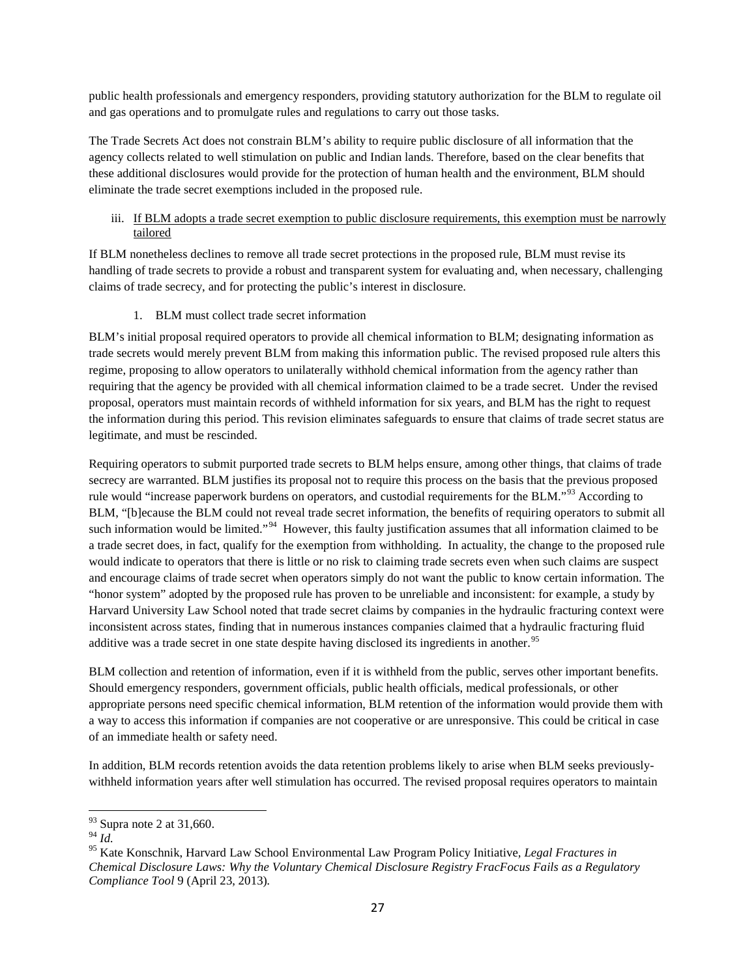public health professionals and emergency responders, providing statutory authorization for the BLM to regulate oil and gas operations and to promulgate rules and regulations to carry out those tasks.

The Trade Secrets Act does not constrain BLM's ability to require public disclosure of all information that the agency collects related to well stimulation on public and Indian lands. Therefore, based on the clear benefits that these additional disclosures would provide for the protection of human health and the environment, BLM should eliminate the trade secret exemptions included in the proposed rule.

## iii. If BLM adopts a trade secret exemption to public disclosure requirements, this exemption must be narrowly tailored

If BLM nonetheless declines to remove all trade secret protections in the proposed rule, BLM must revise its handling of trade secrets to provide a robust and transparent system for evaluating and, when necessary, challenging claims of trade secrecy, and for protecting the public's interest in disclosure.

1. BLM must collect trade secret information

BLM's initial proposal required operators to provide all chemical information to BLM; designating information as trade secrets would merely prevent BLM from making this information public. The revised proposed rule alters this regime, proposing to allow operators to unilaterally withhold chemical information from the agency rather than requiring that the agency be provided with all chemical information claimed to be a trade secret. Under the revised proposal, operators must maintain records of withheld information for six years, and BLM has the right to request the information during this period. This revision eliminates safeguards to ensure that claims of trade secret status are legitimate, and must be rescinded.

Requiring operators to submit purported trade secrets to BLM helps ensure, among other things, that claims of trade secrecy are warranted. BLM justifies its proposal not to require this process on the basis that the previous proposed rule would "increase paperwork burdens on operators, and custodial requirements for the BLM."<sup>[93](#page-26-0)</sup> According to BLM, "[b]ecause the BLM could not reveal trade secret information, the benefits of requiring operators to submit all such information would be limited."<sup>[94](#page-26-1)</sup> However, this faulty justification assumes that all information claimed to be a trade secret does, in fact, qualify for the exemption from withholding. In actuality, the change to the proposed rule would indicate to operators that there is little or no risk to claiming trade secrets even when such claims are suspect and encourage claims of trade secret when operators simply do not want the public to know certain information. The "honor system" adopted by the proposed rule has proven to be unreliable and inconsistent: for example, a study by Harvard University Law School noted that trade secret claims by companies in the hydraulic fracturing context were inconsistent across states, finding that in numerous instances companies claimed that a hydraulic fracturing fluid additive was a trade secret in one state despite having disclosed its ingredients in another.<sup>[95](#page-26-2)</sup>

BLM collection and retention of information, even if it is withheld from the public, serves other important benefits. Should emergency responders, government officials, public health officials, medical professionals, or other appropriate persons need specific chemical information, BLM retention of the information would provide them with a way to access this information if companies are not cooperative or are unresponsive. This could be critical in case of an immediate health or safety need.

In addition, BLM records retention avoids the data retention problems likely to arise when BLM seeks previouslywithheld information years after well stimulation has occurred. The revised proposal requires operators to maintain

<sup>&</sup>lt;sup>93</sup> Supra note 2 at 31,660.

<span id="page-26-1"></span><span id="page-26-0"></span><sup>94</sup> *Id.*

<span id="page-26-2"></span><sup>95</sup> Kate Konschnik, Harvard Law School Environmental Law Program Policy Initiative*, Legal Fractures in Chemical Disclosure Laws: Why the Voluntary Chemical Disclosure Registry FracFocus Fails as a Regulatory Compliance Tool* 9 (April 23, 2013)*.*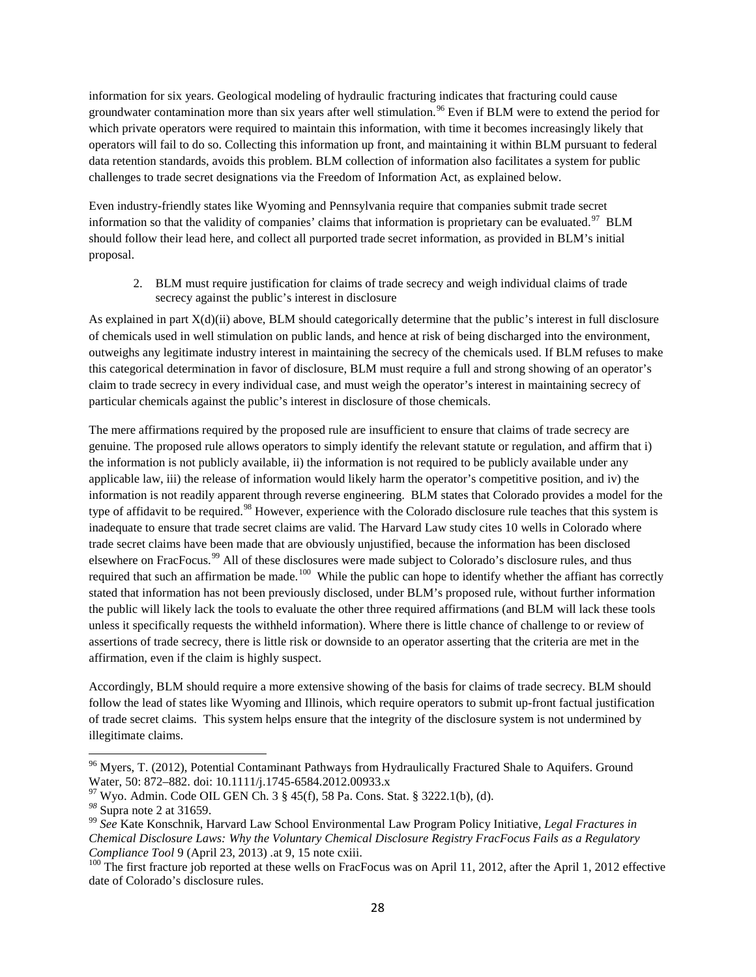information for six years. Geological modeling of hydraulic fracturing indicates that fracturing could cause groundwater contamination more than six years after well stimulation.<sup>[96](#page-27-0)</sup> Even if BLM were to extend the period for which private operators were required to maintain this information, with time it becomes increasingly likely that operators will fail to do so. Collecting this information up front, and maintaining it within BLM pursuant to federal data retention standards, avoids this problem. BLM collection of information also facilitates a system for public challenges to trade secret designations via the Freedom of Information Act, as explained below.

Even industry-friendly states like Wyoming and Pennsylvania require that companies submit trade secret information so that the validity of companies' claims that information is proprietary can be evaluated.<sup>97</sup> BLM should follow their lead here, and collect all purported trade secret information, as provided in BLM's initial proposal.

2. BLM must require justification for claims of trade secrecy and weigh individual claims of trade secrecy against the public's interest in disclosure

As explained in part X(d)(ii) above, BLM should categorically determine that the public's interest in full disclosure of chemicals used in well stimulation on public lands, and hence at risk of being discharged into the environment, outweighs any legitimate industry interest in maintaining the secrecy of the chemicals used. If BLM refuses to make this categorical determination in favor of disclosure, BLM must require a full and strong showing of an operator's claim to trade secrecy in every individual case, and must weigh the operator's interest in maintaining secrecy of particular chemicals against the public's interest in disclosure of those chemicals.

The mere affirmations required by the proposed rule are insufficient to ensure that claims of trade secrecy are genuine. The proposed rule allows operators to simply identify the relevant statute or regulation, and affirm that i) the information is not publicly available, ii) the information is not required to be publicly available under any applicable law, iii) the release of information would likely harm the operator's competitive position, and iv) the information is not readily apparent through reverse engineering. BLM states that Colorado provides a model for the type of affidavit to be required.<sup>[98](#page-27-2)</sup> However, experience with the Colorado disclosure rule teaches that this system is inadequate to ensure that trade secret claims are valid. The Harvard Law study cites 10 wells in Colorado where trade secret claims have been made that are obviously unjustified, because the information has been disclosed elsewhere on FracFocus.<sup>[99](#page-27-3)</sup> All of these disclosures were made subject to Colorado's disclosure rules, and thus required that such an affirmation be made.<sup>100</sup> While the public can hope to identify whether the affiant has correctly stated that information has not been previously disclosed, under BLM's proposed rule, without further information the public will likely lack the tools to evaluate the other three required affirmations (and BLM will lack these tools unless it specifically requests the withheld information). Where there is little chance of challenge to or review of assertions of trade secrecy, there is little risk or downside to an operator asserting that the criteria are met in the affirmation, even if the claim is highly suspect.

Accordingly, BLM should require a more extensive showing of the basis for claims of trade secrecy. BLM should follow the lead of states like Wyoming and Illinois, which require operators to submit up-front factual justification of trade secret claims. This system helps ensure that the integrity of the disclosure system is not undermined by illegitimate claims.

<span id="page-27-0"></span><sup>&</sup>lt;sup>96</sup> Myers, T. (2012), Potential Contaminant Pathways from Hydraulically Fractured Shale to Aquifers. Ground Water, 50: 872–882. doi: 10.1111/j.1745-6584.2012.00933.x

<span id="page-27-3"></span><span id="page-27-2"></span>

<span id="page-27-1"></span><sup>&</sup>lt;sup>97</sup> Wyo. Admin. Code OIL GEN Ch. 3 § 45(f), 58 Pa. Cons. Stat. § 3222.1(b), (d).<br><sup>98</sup> Supra note 2 at 31659.<br><sup>99</sup> See Kate Konschnik, Harvard Law School Environmental Law Program Policy Initiative, *Legal Fractures in Chemical Disclosure Laws: Why the Voluntary Chemical Disclosure Registry FracFocus Fails as a Regulatory Compliance Tool* 9 (April 23, 2013) *at* 9, 15 note cxiii.<br><sup>100</sup> The first fracture iob reported at these wells on FracFocus was on April 11, 2012, after the April 1, 2012 effective

<span id="page-27-4"></span>date of Colorado's disclosure rules.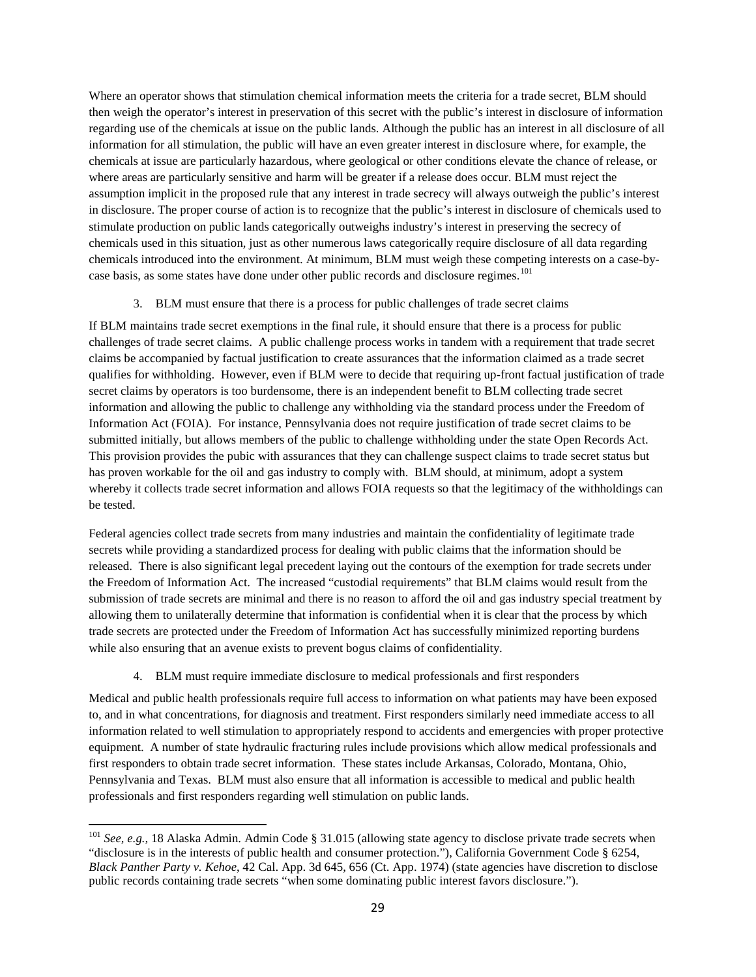Where an operator shows that stimulation chemical information meets the criteria for a trade secret, BLM should then weigh the operator's interest in preservation of this secret with the public's interest in disclosure of information regarding use of the chemicals at issue on the public lands. Although the public has an interest in all disclosure of all information for all stimulation, the public will have an even greater interest in disclosure where, for example, the chemicals at issue are particularly hazardous, where geological or other conditions elevate the chance of release, or where areas are particularly sensitive and harm will be greater if a release does occur. BLM must reject the assumption implicit in the proposed rule that any interest in trade secrecy will always outweigh the public's interest in disclosure. The proper course of action is to recognize that the public's interest in disclosure of chemicals used to stimulate production on public lands categorically outweighs industry's interest in preserving the secrecy of chemicals used in this situation, just as other numerous laws categorically require disclosure of all data regarding chemicals introduced into the environment. At minimum, BLM must weigh these competing interests on a case-by-case basis, as some states have done under other public records and disclosure regimes.<sup>[101](#page-28-0)</sup>

### 3. BLM must ensure that there is a process for public challenges of trade secret claims

If BLM maintains trade secret exemptions in the final rule, it should ensure that there is a process for public challenges of trade secret claims. A public challenge process works in tandem with a requirement that trade secret claims be accompanied by factual justification to create assurances that the information claimed as a trade secret qualifies for withholding. However, even if BLM were to decide that requiring up-front factual justification of trade secret claims by operators is too burdensome, there is an independent benefit to BLM collecting trade secret information and allowing the public to challenge any withholding via the standard process under the Freedom of Information Act (FOIA). For instance, Pennsylvania does not require justification of trade secret claims to be submitted initially, but allows members of the public to challenge withholding under the state Open Records Act. This provision provides the pubic with assurances that they can challenge suspect claims to trade secret status but has proven workable for the oil and gas industry to comply with. BLM should, at minimum, adopt a system whereby it collects trade secret information and allows FOIA requests so that the legitimacy of the withholdings can be tested.

Federal agencies collect trade secrets from many industries and maintain the confidentiality of legitimate trade secrets while providing a standardized process for dealing with public claims that the information should be released. There is also significant legal precedent laying out the contours of the exemption for trade secrets under the Freedom of Information Act. The increased "custodial requirements" that BLM claims would result from the submission of trade secrets are minimal and there is no reason to afford the oil and gas industry special treatment by allowing them to unilaterally determine that information is confidential when it is clear that the process by which trade secrets are protected under the Freedom of Information Act has successfully minimized reporting burdens while also ensuring that an avenue exists to prevent bogus claims of confidentiality.

### 4. BLM must require immediate disclosure to medical professionals and first responders

Medical and public health professionals require full access to information on what patients may have been exposed to, and in what concentrations, for diagnosis and treatment. First responders similarly need immediate access to all information related to well stimulation to appropriately respond to accidents and emergencies with proper protective equipment. A number of state hydraulic fracturing rules include provisions which allow medical professionals and first responders to obtain trade secret information. These states include Arkansas, Colorado, Montana, Ohio, Pennsylvania and Texas. BLM must also ensure that all information is accessible to medical and public health professionals and first responders regarding well stimulation on public lands.

<span id="page-28-0"></span><sup>&</sup>lt;sup>101</sup> See, e.g., 18 Alaska Admin. Admin Code § 31.015 (allowing state agency to disclose private trade secrets when "disclosure is in the interests of public health and consumer protection."), California Government Code § 6254, *Black Panther Party v. Kehoe*, 42 Cal. App. 3d 645, 656 (Ct. App. 1974) (state agencies have discretion to disclose public records containing trade secrets "when some dominating public interest favors disclosure.").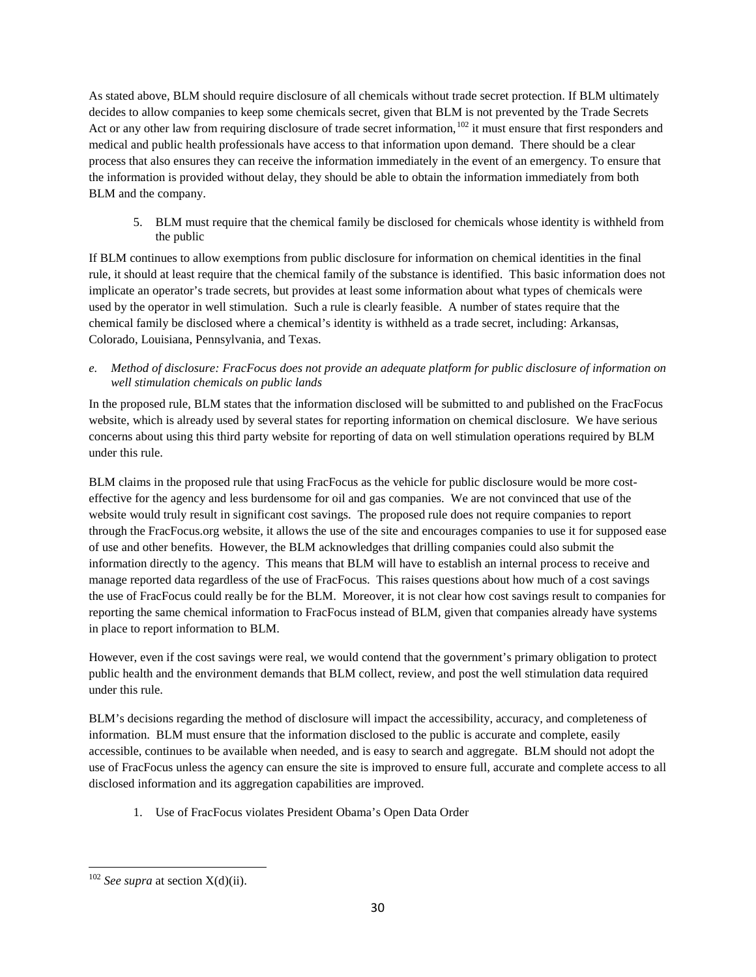As stated above, BLM should require disclosure of all chemicals without trade secret protection. If BLM ultimately decides to allow companies to keep some chemicals secret, given that BLM is not prevented by the Trade Secrets Act or any other law from requiring disclosure of trade secret information,<sup>[102](#page-29-0)</sup> it must ensure that first responders and medical and public health professionals have access to that information upon demand. There should be a clear process that also ensures they can receive the information immediately in the event of an emergency. To ensure that the information is provided without delay, they should be able to obtain the information immediately from both BLM and the company.

5. BLM must require that the chemical family be disclosed for chemicals whose identity is withheld from the public

If BLM continues to allow exemptions from public disclosure for information on chemical identities in the final rule, it should at least require that the chemical family of the substance is identified. This basic information does not implicate an operator's trade secrets, but provides at least some information about what types of chemicals were used by the operator in well stimulation. Such a rule is clearly feasible. A number of states require that the chemical family be disclosed where a chemical's identity is withheld as a trade secret, including: Arkansas, Colorado, Louisiana, Pennsylvania, and Texas.

*e. Method of disclosure: FracFocus does not provide an adequate platform for public disclosure of information on well stimulation chemicals on public lands*

In the proposed rule, BLM states that the information disclosed will be submitted to and published on the FracFocus website, which is already used by several states for reporting information on chemical disclosure. We have serious concerns about using this third party website for reporting of data on well stimulation operations required by BLM under this rule.

BLM claims in the proposed rule that using FracFocus as the vehicle for public disclosure would be more costeffective for the agency and less burdensome for oil and gas companies. We are not convinced that use of the website would truly result in significant cost savings. The proposed rule does not require companies to report through the FracFocus.org website, it allows the use of the site and encourages companies to use it for supposed ease of use and other benefits. However, the BLM acknowledges that drilling companies could also submit the information directly to the agency. This means that BLM will have to establish an internal process to receive and manage reported data regardless of the use of FracFocus. This raises questions about how much of a cost savings the use of FracFocus could really be for the BLM. Moreover, it is not clear how cost savings result to companies for reporting the same chemical information to FracFocus instead of BLM, given that companies already have systems in place to report information to BLM.

However, even if the cost savings were real, we would contend that the government's primary obligation to protect public health and the environment demands that BLM collect, review, and post the well stimulation data required under this rule.

BLM's decisions regarding the method of disclosure will impact the accessibility, accuracy, and completeness of information. BLM must ensure that the information disclosed to the public is accurate and complete, easily accessible, continues to be available when needed, and is easy to search and aggregate. BLM should not adopt the use of FracFocus unless the agency can ensure the site is improved to ensure full, accurate and complete access to all disclosed information and its aggregation capabilities are improved.

1. Use of FracFocus violates President Obama's Open Data Order

<span id="page-29-0"></span><sup>102</sup> *See supra* at section X(d)(ii).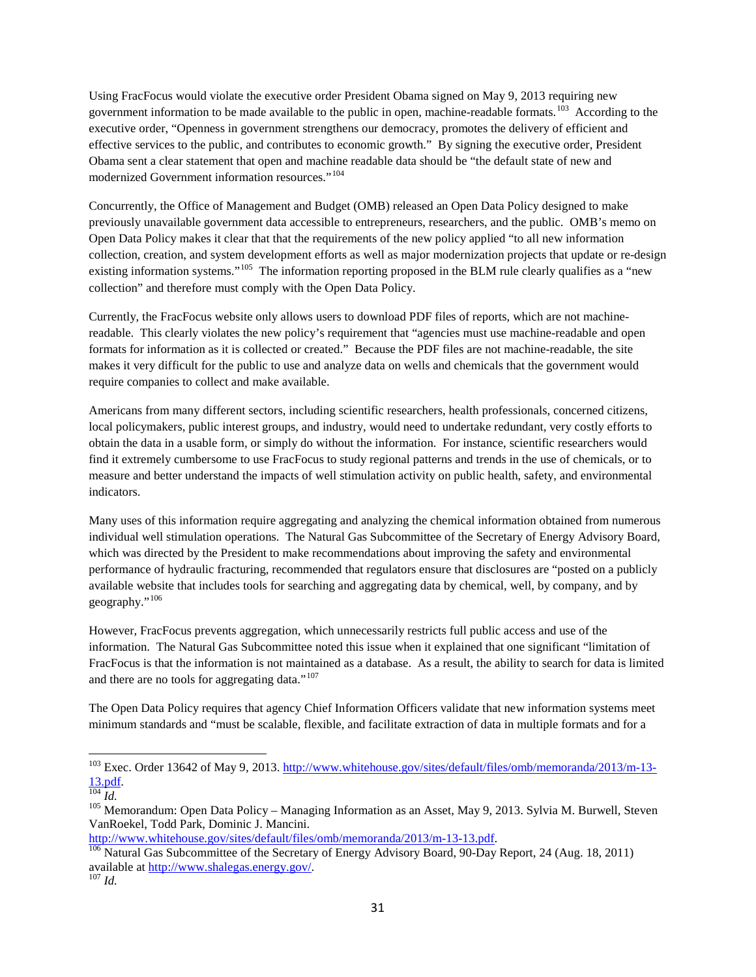Using FracFocus would violate the executive order President Obama signed on May 9, 2013 requiring new government information to be made available to the public in open, machine-readable formats.<sup>103</sup> According to the executive order, "Openness in government strengthens our democracy, promotes the delivery of efficient and effective services to the public, and contributes to economic growth." By signing the executive order, President Obama sent a clear statement that open and machine readable data should be "the default state of new and modernized Government information resources."<sup>104</sup>

Concurrently, the Office of Management and Budget (OMB) released an Open Data Policy designed to make previously unavailable government data accessible to entrepreneurs, researchers, and the public. OMB's memo on Open Data Policy makes it clear that that the requirements of the new policy applied "to all new information collection, creation, and system development efforts as well as major modernization projects that update or re-design existing information systems."<sup>105</sup> The information reporting proposed in the BLM rule clearly qualifies as a "new collection" and therefore must comply with the Open Data Policy.

Currently, the FracFocus website only allows users to download PDF files of reports, which are not machinereadable. This clearly violates the new policy's requirement that "agencies must use machine-readable and open formats for information as it is collected or created." Because the PDF files are not machine-readable, the site makes it very difficult for the public to use and analyze data on wells and chemicals that the government would require companies to collect and make available.

Americans from many different sectors, including scientific researchers, health professionals, concerned citizens, local policymakers, public interest groups, and industry, would need to undertake redundant, very costly efforts to obtain the data in a usable form, or simply do without the information. For instance, scientific researchers would find it extremely cumbersome to use FracFocus to study regional patterns and trends in the use of chemicals, or to measure and better understand the impacts of well stimulation activity on public health, safety, and environmental indicators.

Many uses of this information require aggregating and analyzing the chemical information obtained from numerous individual well stimulation operations. The Natural Gas Subcommittee of the Secretary of Energy Advisory Board, which was directed by the President to make recommendations about improving the safety and environmental performance of hydraulic fracturing, recommended that regulators ensure that disclosures are "posted on a publicly available website that includes tools for searching and aggregating data by chemical, well, by company, and by geography."[106](#page-30-3)

However, FracFocus prevents aggregation, which unnecessarily restricts full public access and use of the information. The Natural Gas Subcommittee noted this issue when it explained that one significant "limitation of FracFocus is that the information is not maintained as a database. As a result, the ability to search for data is limited and there are no tools for aggregating data." $107$ 

The Open Data Policy requires that agency Chief Information Officers validate that new information systems meet minimum standards and "must be scalable, flexible, and facilitate extraction of data in multiple formats and for a

<span id="page-30-0"></span><sup>&</sup>lt;sup>103</sup> Exec. Order 13642 of May 9, 2013. [http://www.whitehouse.gov/sites/default/files/omb/memoranda/2013/m-13-](http://www.whitehouse.gov/sites/default/files/omb/memoranda/2013/m-13-13.pdf) [13.pdf.](http://www.whitehouse.gov/sites/default/files/omb/memoranda/2013/m-13-13.pdf)<br><sup>105</sup> *Id.*<br><sup>105</sup> Memorandum: Open Data Policy – Managing Information as an Asset, May 9, 2013. Sylvia M. Burwell, Steven

<span id="page-30-2"></span><span id="page-30-1"></span>VanRoekel, Todd Park, Dominic J. Mancini.

<span id="page-30-3"></span>[http://www.whitehouse.gov/sites/default/files/omb/memoranda/2013/m-13-13.pdf.](http://www.whitehouse.gov/sites/default/files/omb/memoranda/2013/m-13-13.pdf)<br><sup>[106](http://www.whitehouse.gov/sites/default/files/omb/memoranda/2013/m-13-13.pdf)</sup> Natural Gas Subcommittee of the Secretary of Energy Advisory Board, 90-Day Report, 24 (Aug. 18, 2011) available at [http://www.shalegas.energy.gov/.](http://www.shalegas.energy.gov/) 107 *Id.*

<span id="page-30-4"></span>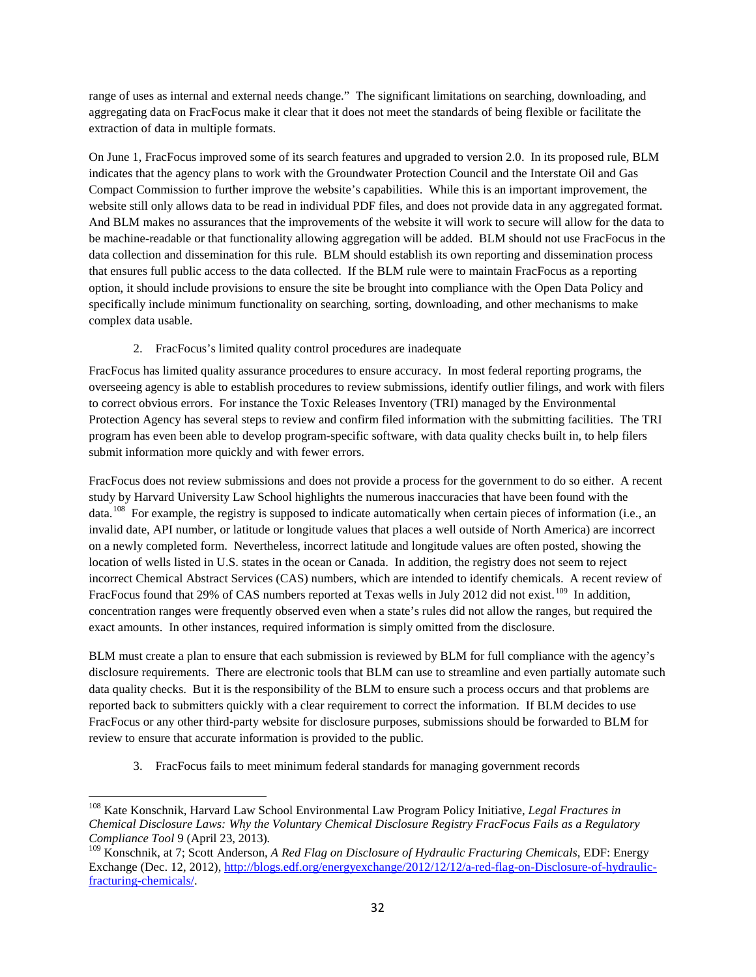range of uses as internal and external needs change." The significant limitations on searching, downloading, and aggregating data on FracFocus make it clear that it does not meet the standards of being flexible or facilitate the extraction of data in multiple formats.

On June 1, FracFocus improved some of its search features and upgraded to version 2.0. In its proposed rule, BLM indicates that the agency plans to work with the Groundwater Protection Council and the Interstate Oil and Gas Compact Commission to further improve the website's capabilities. While this is an important improvement, the website still only allows data to be read in individual PDF files, and does not provide data in any aggregated format. And BLM makes no assurances that the improvements of the website it will work to secure will allow for the data to be machine-readable or that functionality allowing aggregation will be added. BLM should not use FracFocus in the data collection and dissemination for this rule. BLM should establish its own reporting and dissemination process that ensures full public access to the data collected. If the BLM rule were to maintain FracFocus as a reporting option, it should include provisions to ensure the site be brought into compliance with the Open Data Policy and specifically include minimum functionality on searching, sorting, downloading, and other mechanisms to make complex data usable.

2. FracFocus's limited quality control procedures are inadequate

FracFocus has limited quality assurance procedures to ensure accuracy. In most federal reporting programs, the overseeing agency is able to establish procedures to review submissions, identify outlier filings, and work with filers to correct obvious errors. For instance the Toxic Releases Inventory (TRI) managed by the Environmental Protection Agency has several steps to review and confirm filed information with the submitting facilities. The TRI program has even been able to develop program-specific software, with data quality checks built in, to help filers submit information more quickly and with fewer errors.

FracFocus does not review submissions and does not provide a process for the government to do so either. A recent study by Harvard University Law School highlights the numerous inaccuracies that have been found with the data.<sup>[108](#page-31-0)</sup> For example, the registry is supposed to indicate automatically when certain pieces of information (i.e., an invalid date, API number, or latitude or longitude values that places a well outside of North America) are incorrect on a newly completed form. Nevertheless, incorrect latitude and longitude values are often posted, showing the location of wells listed in U.S. states in the ocean or Canada. In addition, the registry does not seem to reject incorrect Chemical Abstract Services (CAS) numbers, which are intended to identify chemicals. A recent review of FracFocus found that 29% of CAS numbers reported at Texas wells in July 2012 did not exist.<sup>109</sup> In addition, concentration ranges were frequently observed even when a state's rules did not allow the ranges, but required the exact amounts. In other instances, required information is simply omitted from the disclosure.

BLM must create a plan to ensure that each submission is reviewed by BLM for full compliance with the agency's disclosure requirements. There are electronic tools that BLM can use to streamline and even partially automate such data quality checks. But it is the responsibility of the BLM to ensure such a process occurs and that problems are reported back to submitters quickly with a clear requirement to correct the information. If BLM decides to use FracFocus or any other third-party website for disclosure purposes, submissions should be forwarded to BLM for review to ensure that accurate information is provided to the public.

3. FracFocus fails to meet minimum federal standards for managing government records

<span id="page-31-0"></span><sup>108</sup> Kate Konschnik, Harvard Law School Environmental Law Program Policy Initiative*, Legal Fractures in Chemical Disclosure Laws: Why the Voluntary Chemical Disclosure Registry FracFocus Fails as a Regulatory Compliance Tool* 9 (April 23, 2013).<br><sup>109</sup> Konschnik, at 7; Scott Anderson, *A Red Flag on Disclosure of Hydraulic Fracturing Chemicals*, EDF: Energy

<span id="page-31-1"></span>Exchange (Dec. 12, 2012)[, http://blogs.edf.org/energyexchange/2012/12/12/a-red-flag-on-Disclosure-of-hydraulic](http://blogs.edf.org/energyexchange/2012/12/12/a-red-flag-on-Disclosure-of-hydraulic-fracturing-chemicals/)[fracturing-chemicals/.](http://blogs.edf.org/energyexchange/2012/12/12/a-red-flag-on-Disclosure-of-hydraulic-fracturing-chemicals/)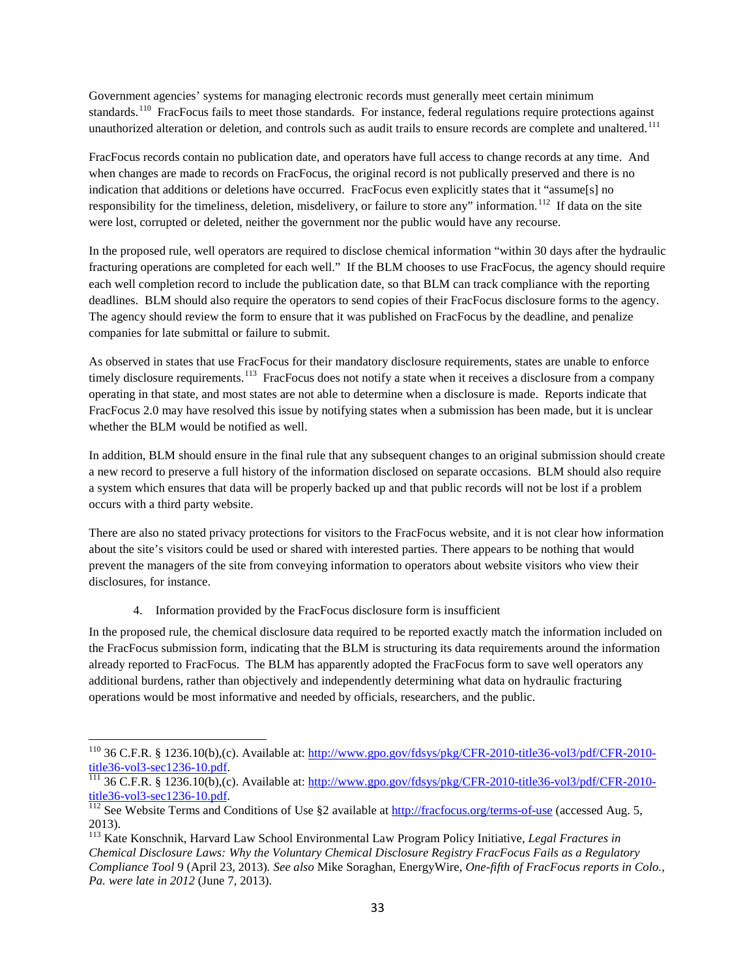Government agencies' systems for managing electronic records must generally meet certain minimum standards.<sup>[110](#page-32-0)</sup> FracFocus fails to meet those standards. For instance, federal regulations require protections against unauthorized alteration or deletion, and controls such as audit trails to ensure records are complete and unaltered.<sup>[111](#page-32-1)</sup>

FracFocus records contain no publication date, and operators have full access to change records at any time. And when changes are made to records on FracFocus, the original record is not publically preserved and there is no indication that additions or deletions have occurred. FracFocus even explicitly states that it "assume[s] no responsibility for the timeliness, deletion, misdelivery, or failure to store any" information.<sup>[112](#page-32-2)</sup> If data on the site were lost, corrupted or deleted, neither the government nor the public would have any recourse.

In the proposed rule, well operators are required to disclose chemical information "within 30 days after the hydraulic fracturing operations are completed for each well." If the BLM chooses to use FracFocus, the agency should require each well completion record to include the publication date, so that BLM can track compliance with the reporting deadlines. BLM should also require the operators to send copies of their FracFocus disclosure forms to the agency. The agency should review the form to ensure that it was published on FracFocus by the deadline, and penalize companies for late submittal or failure to submit.

As observed in states that use FracFocus for their mandatory disclosure requirements, states are unable to enforce timely disclosure requirements.<sup>[113](#page-32-3)</sup> FracFocus does not notify a state when it receives a disclosure from a company operating in that state, and most states are not able to determine when a disclosure is made. Reports indicate that FracFocus 2.0 may have resolved this issue by notifying states when a submission has been made, but it is unclear whether the BLM would be notified as well.

In addition, BLM should ensure in the final rule that any subsequent changes to an original submission should create a new record to preserve a full history of the information disclosed on separate occasions. BLM should also require a system which ensures that data will be properly backed up and that public records will not be lost if a problem occurs with a third party website.

There are also no stated privacy protections for visitors to the FracFocus website, and it is not clear how information about the site's visitors could be used or shared with interested parties. There appears to be nothing that would prevent the managers of the site from conveying information to operators about website visitors who view their disclosures, for instance.

4. Information provided by the FracFocus disclosure form is insufficient

In the proposed rule, the chemical disclosure data required to be reported exactly match the information included on the FracFocus submission form, indicating that the BLM is structuring its data requirements around the information already reported to FracFocus. The BLM has apparently adopted the FracFocus form to save well operators any additional burdens, rather than objectively and independently determining what data on hydraulic fracturing operations would be most informative and needed by officials, researchers, and the public.

<span id="page-32-0"></span><sup>&</sup>lt;sup>110</sup> 36 C.F.R. § 1236.10(b),(c). Available at: [http://www.gpo.gov/fdsys/pkg/CFR-2010-title36-vol3/pdf/CFR-2010-](http://www.gpo.gov/fdsys/pkg/CFR-2010-title36-vol3/pdf/CFR-2010-title36-vol3-sec1236-10.pdf)<br>title36-vol3-sec1236-10.pdf.

<span id="page-32-1"></span> $\frac{111}{111}$  $\frac{111}{111}$  $\frac{111}{111}$  36 C.F.R. § 1236.10(b),(c). Available at: [http://www.gpo.gov/fdsys/pkg/CFR-2010-title36-vol3/pdf/CFR-2010](http://www.gpo.gov/fdsys/pkg/CFR-2010-title36-vol3/pdf/CFR-2010-title36-vol3-sec1236-10.pdf) [title36-vol3-sec1236-10.pdf.](http://www.gpo.gov/fdsys/pkg/CFR-2010-title36-vol3/pdf/CFR-2010-title36-vol3-sec1236-10.pdf) 112 See Website Terms and Conditions of Use §2 available at<http://fracfocus.org/terms-of-use> (accessed Aug. 5,

<span id="page-32-2"></span><sup>2013).</sup> 

<span id="page-32-3"></span><sup>113</sup> Kate Konschnik, Harvard Law School Environmental Law Program Policy Initiative*, Legal Fractures in Chemical Disclosure Laws: Why the Voluntary Chemical Disclosure Registry FracFocus Fails as a Regulatory Compliance Tool* 9 (April 23, 2013)*. See also* Mike Soraghan, EnergyWire, *One-fifth of FracFocus reports in Colo., Pa. were late in 2012* (June 7, 2013).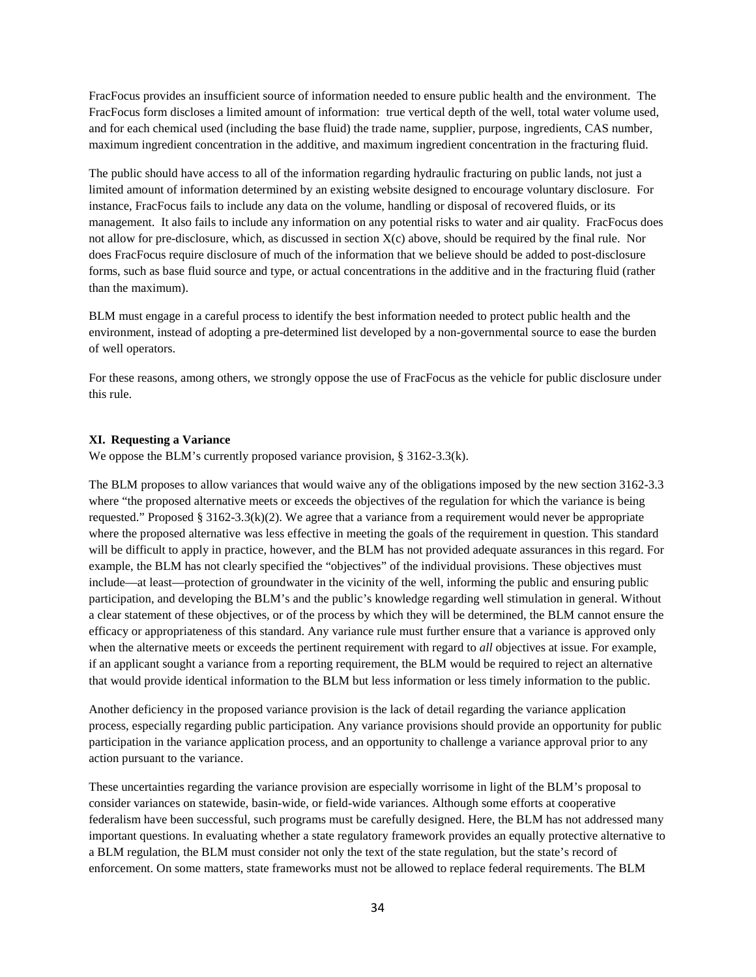FracFocus provides an insufficient source of information needed to ensure public health and the environment. The FracFocus form discloses a limited amount of information: true vertical depth of the well, total water volume used, and for each chemical used (including the base fluid) the trade name, supplier, purpose, ingredients, CAS number, maximum ingredient concentration in the additive, and maximum ingredient concentration in the fracturing fluid.

The public should have access to all of the information regarding hydraulic fracturing on public lands, not just a limited amount of information determined by an existing website designed to encourage voluntary disclosure. For instance, FracFocus fails to include any data on the volume, handling or disposal of recovered fluids, or its management. It also fails to include any information on any potential risks to water and air quality. FracFocus does not allow for pre-disclosure, which, as discussed in section X(c) above, should be required by the final rule. Nor does FracFocus require disclosure of much of the information that we believe should be added to post-disclosure forms, such as base fluid source and type, or actual concentrations in the additive and in the fracturing fluid (rather than the maximum).

BLM must engage in a careful process to identify the best information needed to protect public health and the environment, instead of adopting a pre-determined list developed by a non-governmental source to ease the burden of well operators.

For these reasons, among others, we strongly oppose the use of FracFocus as the vehicle for public disclosure under this rule.

### <span id="page-33-0"></span>**XI. Requesting a Variance**

We oppose the BLM's currently proposed variance provision, § 3162-3.3(k).

The BLM proposes to allow variances that would waive any of the obligations imposed by the new section 3162-3.3 where "the proposed alternative meets or exceeds the objectives of the regulation for which the variance is being requested." Proposed § 3162-3.3(k)(2). We agree that a variance from a requirement would never be appropriate where the proposed alternative was less effective in meeting the goals of the requirement in question. This standard will be difficult to apply in practice, however, and the BLM has not provided adequate assurances in this regard. For example, the BLM has not clearly specified the "objectives" of the individual provisions. These objectives must include—at least—protection of groundwater in the vicinity of the well, informing the public and ensuring public participation, and developing the BLM's and the public's knowledge regarding well stimulation in general. Without a clear statement of these objectives, or of the process by which they will be determined, the BLM cannot ensure the efficacy or appropriateness of this standard. Any variance rule must further ensure that a variance is approved only when the alternative meets or exceeds the pertinent requirement with regard to *all* objectives at issue. For example, if an applicant sought a variance from a reporting requirement, the BLM would be required to reject an alternative that would provide identical information to the BLM but less information or less timely information to the public.

Another deficiency in the proposed variance provision is the lack of detail regarding the variance application process, especially regarding public participation. Any variance provisions should provide an opportunity for public participation in the variance application process, and an opportunity to challenge a variance approval prior to any action pursuant to the variance.

These uncertainties regarding the variance provision are especially worrisome in light of the BLM's proposal to consider variances on statewide, basin-wide, or field-wide variances. Although some efforts at cooperative federalism have been successful, such programs must be carefully designed. Here, the BLM has not addressed many important questions. In evaluating whether a state regulatory framework provides an equally protective alternative to a BLM regulation, the BLM must consider not only the text of the state regulation, but the state's record of enforcement. On some matters, state frameworks must not be allowed to replace federal requirements. The BLM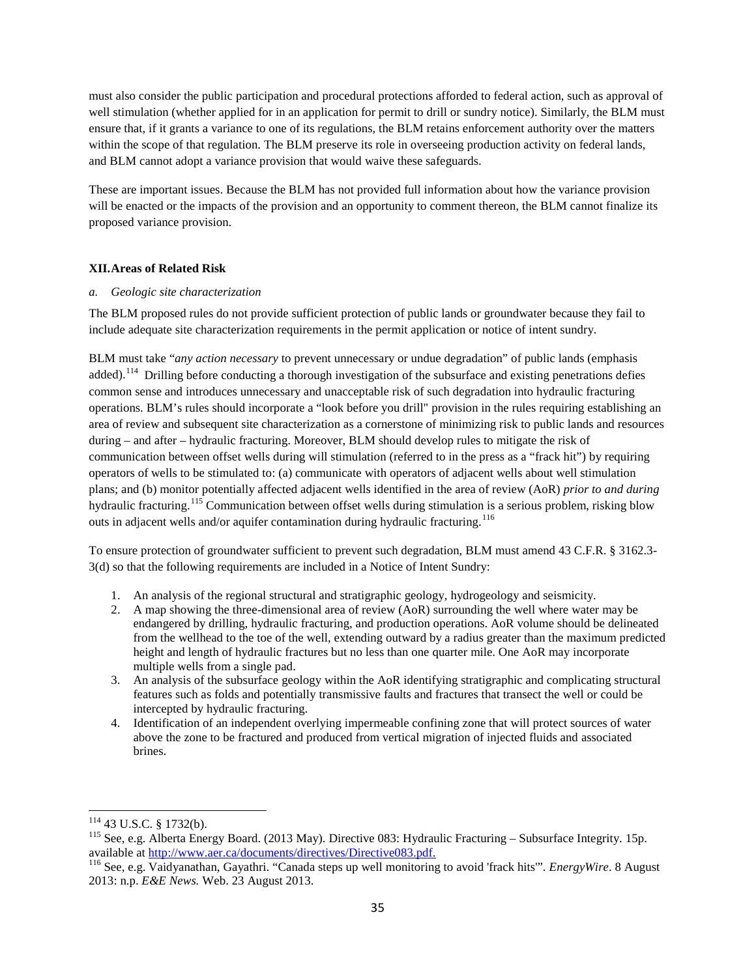must also consider the public participation and procedural protections afforded to federal action, such as approval of well stimulation (whether applied for in an application for permit to drill or sundry notice). Similarly, the BLM must ensure that, if it grants a variance to one of its regulations, the BLM retains enforcement authority over the matters within the scope of that regulation. The BLM preserve its role in overseeing production activity on federal lands, and BLM cannot adopt a variance provision that would waive these safeguards.

These are important issues. Because the BLM has not provided full information about how the variance provision will be enacted or the impacts of the provision and an opportunity to comment thereon, the BLM cannot finalize its proposed variance provision.

### <span id="page-34-0"></span>**XII.Areas of Related Risk**

#### *a. Geologic site characterization*

The BLM proposed rules do not provide sufficient protection of public lands or groundwater because they fail to include adequate site characterization requirements in the permit application or notice of intent sundry.

BLM must take "*any action necessary* to prevent unnecessary or undue degradation" of public lands (emphasis added).[114](#page-34-1)Drilling before conducting a thorough investigation of the subsurface and existing penetrations defies common sense and introduces unnecessary and unacceptable risk of such degradation into hydraulic fracturing operations. BLM's rules should incorporate a "look before you drill" provision in the rules requiring establishing an area of review and subsequent site characterization as a cornerstone of minimizing risk to public lands and resources during – and after – hydraulic fracturing. Moreover, BLM should develop rules to mitigate the risk of communication between offset wells during will stimulation (referred to in the press as a "frack hit") by requiring operators of wells to be stimulated to: (a) communicate with operators of adjacent wells about well stimulation plans; and (b) monitor potentially affected adjacent wells identified in the area of review (AoR) *prior to and during* hydraulic fracturing.<sup>[115](#page-34-2)</sup> Communication between offset wells during stimulation is a serious problem, risking blow outs in adjacent wells and/or aquifer contamination during hydraulic fracturing.<sup>[116](#page-34-3)</sup>

To ensure protection of groundwater sufficient to prevent such degradation, BLM must amend 43 C.F.R. § 3162.3- 3(d) so that the following requirements are included in a Notice of Intent Sundry:

- 1. An analysis of the regional structural and stratigraphic geology, hydrogeology and seismicity.
- 2. A map showing the three-dimensional area of review (AoR) surrounding the well where water may be endangered by drilling, hydraulic fracturing, and production operations. AoR volume should be delineated from the wellhead to the toe of the well, extending outward by a radius greater than the maximum predicted height and length of hydraulic fractures but no less than one quarter mile. One AoR may incorporate multiple wells from a single pad.
- 3. An analysis of the subsurface geology within the AoR identifying stratigraphic and complicating structural features such as folds and potentially transmissive faults and fractures that transect the well or could be intercepted by hydraulic fracturing.
- 4. Identification of an independent overlying impermeable confining zone that will protect sources of water above the zone to be fractured and produced from vertical migration of injected fluids and associated brines.

<span id="page-34-2"></span><span id="page-34-1"></span><sup>&</sup>lt;sup>114</sup> 43 U.S.C. § 1732(b).<br><sup>115</sup> See, e.g. Alberta Energy Board. (2013 May). Directive 083: Hydraulic Fracturing – Subsurface Integrity. 15p. available at [http://www.aer.ca/documents/directives/Directive083.pdf.](http://www.aer.ca/documents/directives/Directive083.pdf) <sup>116</sup> See, e.g. Vaidyanathan, Gayathri. "Canada steps up well monitoring to avoid 'frack hits'". *EnergyWire*. 8 August

<span id="page-34-3"></span><sup>2013:</sup> n.p. *E&E News.* Web. 23 August 2013.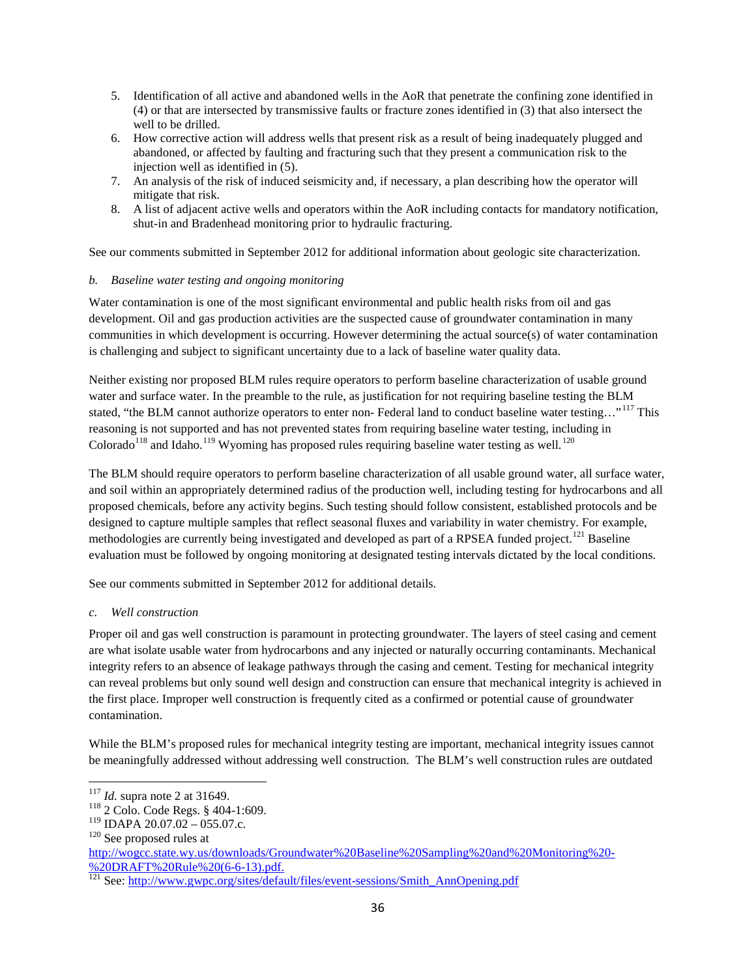- 5. Identification of all active and abandoned wells in the AoR that penetrate the confining zone identified in (4) or that are intersected by transmissive faults or fracture zones identified in (3) that also intersect the well to be drilled.
- 6. How corrective action will address wells that present risk as a result of being inadequately plugged and abandoned, or affected by faulting and fracturing such that they present a communication risk to the injection well as identified in (5).
- 7. An analysis of the risk of induced seismicity and, if necessary, a plan describing how the operator will mitigate that risk.
- 8. A list of adjacent active wells and operators within the AoR including contacts for mandatory notification, shut-in and Bradenhead monitoring prior to hydraulic fracturing.

See our comments submitted in September 2012 for additional information about geologic site characterization.

## *b. Baseline water testing and ongoing monitoring*

Water contamination is one of the most significant environmental and public health risks from oil and gas development. Oil and gas production activities are the suspected cause of groundwater contamination in many communities in which development is occurring. However determining the actual source(s) of water contamination is challenging and subject to significant uncertainty due to a lack of baseline water quality data.

Neither existing nor proposed BLM rules require operators to perform baseline characterization of usable ground water and surface water. In the preamble to the rule, as justification for not requiring baseline testing the BLM stated, "the BLM cannot authorize operators to enter non- Federal land to conduct baseline water testing..."<sup>[117](#page-35-0)</sup> This reasoning is not supported and has not prevented states from requiring baseline water testing, including in  $Colorado<sup>118</sup>$  $Colorado<sup>118</sup>$  $Colorado<sup>118</sup>$  and Idaho.<sup>[119](#page-35-2)</sup> Wyoming has proposed rules requiring baseline water testing as well.<sup>[120](#page-35-3)</sup>

The BLM should require operators to perform baseline characterization of all usable ground water, all surface water, and soil within an appropriately determined radius of the production well, including testing for hydrocarbons and all proposed chemicals, before any activity begins. Such testing should follow consistent, established protocols and be designed to capture multiple samples that reflect seasonal fluxes and variability in water chemistry. For example, methodologies are currently being investigated and developed as part of a RPSEA funded project.<sup>[121](#page-35-4)</sup> Baseline evaluation must be followed by ongoing monitoring at designated testing intervals dictated by the local conditions.

See our comments submitted in September 2012 for additional details.

# *c. Well construction*

Proper oil and gas well construction is paramount in protecting groundwater. The layers of steel casing and cement are what isolate usable water from hydrocarbons and any injected or naturally occurring contaminants. Mechanical integrity refers to an absence of leakage pathways through the casing and cement. Testing for mechanical integrity can reveal problems but only sound well design and construction can ensure that mechanical integrity is achieved in the first place. Improper well construction is frequently cited as a confirmed or potential cause of groundwater contamination.

While the BLM's proposed rules for mechanical integrity testing are important, mechanical integrity issues cannot be meaningfully addressed without addressing well construction. The BLM's well construction rules are outdated

<span id="page-35-1"></span><span id="page-35-0"></span><sup>&</sup>lt;sup>117</sup> *Id.* supra note 2 at 31649.<br><sup>118</sup> 2 Colo. Code Regs. § 404-1:609.

<span id="page-35-2"></span><sup>&</sup>lt;sup>119</sup> IDAPA 20.07.02 – 055.07.c.<br><sup>120</sup> See proposed rules at

<span id="page-35-3"></span>[http://wogcc.state.wy.us/downloads/Groundwater%20Baseline%20Sampling%20and%20Monitoring%20-](http://wogcc.state.wy.us/downloads/Groundwater%20Baseline%20Sampling%20and%20Monitoring%20-%20DRAFT%20Rule%20(6-6-13).pdf)<br>%20DRAFT%20Rule%20(6-6-13).pdf.

<span id="page-35-4"></span><sup>&</sup>lt;sup>121</sup> See: [http://www.gwpc.org/sites/default/files/event-sessions/Smith\\_AnnOpening.pdf](http://www.gwpc.org/sites/default/files/event-sessions/Smith_AnnOpening.pdf)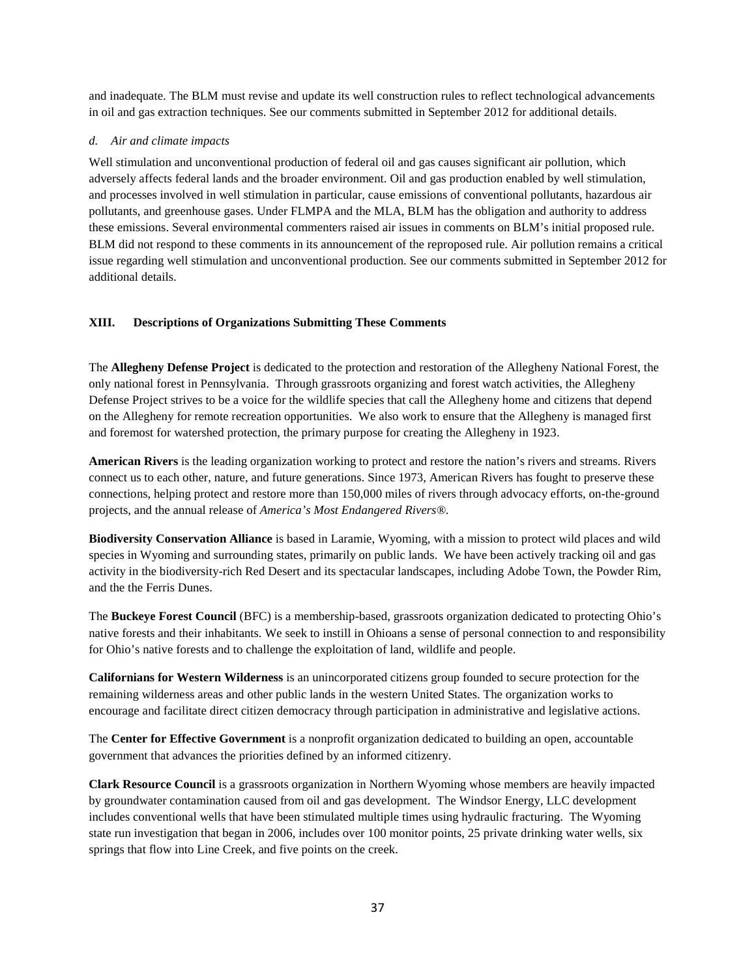and inadequate. The BLM must revise and update its well construction rules to reflect technological advancements in oil and gas extraction techniques. See our comments submitted in September 2012 for additional details.

### *d. Air and climate impacts*

Well stimulation and unconventional production of federal oil and gas causes significant air pollution, which adversely affects federal lands and the broader environment. Oil and gas production enabled by well stimulation, and processes involved in well stimulation in particular, cause emissions of conventional pollutants, hazardous air pollutants, and greenhouse gases. Under FLMPA and the MLA, BLM has the obligation and authority to address these emissions. Several environmental commenters raised air issues in comments on BLM's initial proposed rule. BLM did not respond to these comments in its announcement of the reproposed rule. Air pollution remains a critical issue regarding well stimulation and unconventional production. See our comments submitted in September 2012 for additional details.

### <span id="page-36-0"></span>**XIII. Descriptions of Organizations Submitting These Comments**

The **Allegheny Defense Project** is dedicated to the protection and restoration of the Allegheny National Forest, the only national forest in Pennsylvania. Through grassroots organizing and forest watch activities, the Allegheny Defense Project strives to be a voice for the wildlife species that call the Allegheny home and citizens that depend on the Allegheny for remote recreation opportunities. We also work to ensure that the Allegheny is managed first and foremost for watershed protection, the primary purpose for creating the Allegheny in 1923.

**American Rivers** is the leading organization working to protect and restore the nation's rivers and streams. Rivers connect us to each other, nature, and future generations. Since 1973, American Rivers has fought to preserve these connections, helping protect and restore more than 150,000 miles of rivers through advocacy efforts, on-the-ground projects, and the annual release of *America's Most Endangered Rivers®*.

**Biodiversity Conservation Alliance** is based in Laramie, Wyoming, with a mission to protect wild places and wild species in Wyoming and surrounding states, primarily on public lands. We have been actively tracking oil and gas activity in the biodiversity-rich Red Desert and its spectacular landscapes, including Adobe Town, the Powder Rim, and the the Ferris Dunes.

The **Buckeye Forest Council** (BFC) is a membership-based, grassroots organization dedicated to protecting Ohio's native forests and their inhabitants. We seek to instill in Ohioans a sense of personal connection to and responsibility for Ohio's native forests and to challenge the exploitation of land, wildlife and people.

**Californians for Western Wilderness** is an unincorporated citizens group founded to secure protection for the remaining wilderness areas and other public lands in the western United States. The organization works to encourage and facilitate direct citizen democracy through participation in administrative and legislative actions.

The **Center for Effective Government** is a nonprofit organization dedicated to building an open, accountable government that advances the priorities defined by an informed citizenry.

**Clark Resource Council** is a grassroots organization in Northern Wyoming whose members are heavily impacted by groundwater contamination caused from oil and gas development. The Windsor Energy, LLC development includes conventional wells that have been stimulated multiple times using hydraulic fracturing. The Wyoming state run investigation that began in 2006, includes over 100 monitor points, 25 private drinking water wells, six springs that flow into Line Creek, and five points on the creek.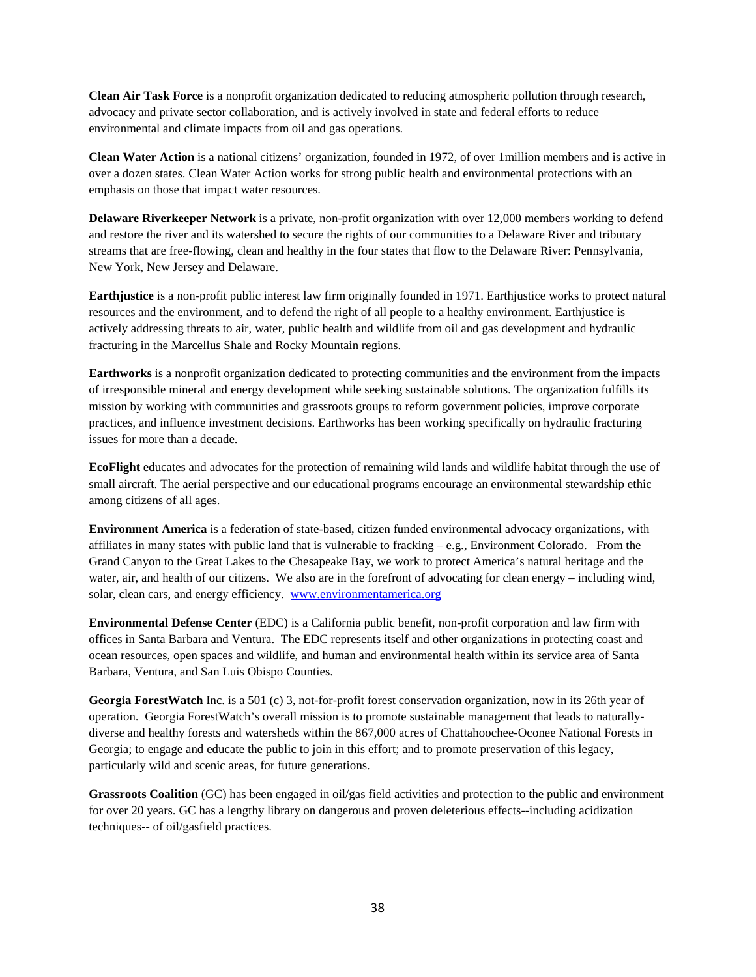**Clean Air Task Force** is a nonprofit organization dedicated to reducing atmospheric pollution through research, advocacy and private sector collaboration, and is actively involved in state and federal efforts to reduce environmental and climate impacts from oil and gas operations.

**Clean Water Action** is a national citizens' organization, founded in 1972, of over 1million members and is active in over a dozen states. Clean Water Action works for strong public health and environmental protections with an emphasis on those that impact water resources.

**Delaware Riverkeeper Network** is a private, non-profit organization with over 12,000 members working to defend and restore the river and its watershed to secure the rights of our communities to a Delaware River and tributary streams that are free-flowing, clean and healthy in the four states that flow to the Delaware River: Pennsylvania, New York, New Jersey and Delaware.

**Earthjustice** is a non-profit public interest law firm originally founded in 1971. Earthjustice works to protect natural resources and the environment, and to defend the right of all people to a healthy environment. Earthjustice is actively addressing threats to air, water, public health and wildlife from oil and gas development and hydraulic fracturing in the Marcellus Shale and Rocky Mountain regions.

**Earthworks** is a nonprofit organization dedicated to protecting communities and the environment from the impacts of irresponsible mineral and energy development while seeking sustainable solutions. The organization fulfills its mission by working with communities and grassroots groups to reform government policies, improve corporate practices, and influence investment decisions. Earthworks has been working specifically on hydraulic fracturing issues for more than a decade.

**EcoFlight** educates and advocates for the protection of remaining wild lands and wildlife habitat through the use of small aircraft. The aerial perspective and our educational programs encourage an environmental stewardship ethic among citizens of all ages.

**Environment America** is a federation of state-based, citizen funded environmental advocacy organizations, with affiliates in many states with public land that is vulnerable to fracking  $-e.g.,$  Environment Colorado. From the Grand Canyon to the Great Lakes to the Chesapeake Bay, we work to protect America's natural heritage and the water, air, and health of our citizens. We also are in the forefront of advocating for clean energy – including wind, solar, clean cars, and energy efficiency. [www.environmentamerica.org](http://www.environmentamerica.org/)

**Environmental Defense Center** (EDC) is a California public benefit, non-profit corporation and law firm with offices in Santa Barbara and Ventura. The EDC represents itself and other organizations in protecting coast and ocean resources, open spaces and wildlife, and human and environmental health within its service area of Santa Barbara, Ventura, and San Luis Obispo Counties.

**Georgia ForestWatch** Inc. is a 501 (c) 3, not-for-profit forest conservation organization, now in its 26th year of operation. Georgia ForestWatch's overall mission is to promote sustainable management that leads to naturallydiverse and healthy forests and watersheds within the 867,000 acres of Chattahoochee-Oconee National Forests in Georgia; to engage and educate the public to join in this effort; and to promote preservation of this legacy, particularly wild and scenic areas, for future generations.

**Grassroots Coalition** (GC) has been engaged in oil/gas field activities and protection to the public and environment for over 20 years. GC has a lengthy library on dangerous and proven deleterious effects--including acidization techniques-- of oil/gasfield practices.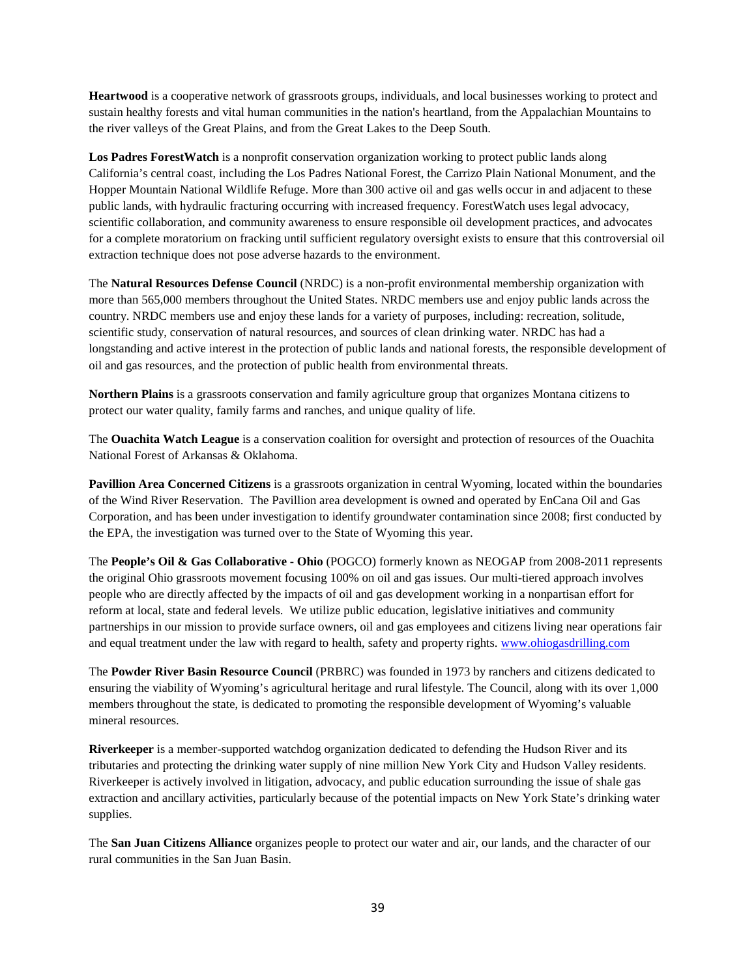**Heartwood** is a cooperative network of grassroots groups, individuals, and local businesses working to protect and sustain healthy forests and vital human communities in the nation's heartland, from the Appalachian Mountains to the river valleys of the Great Plains, and from the Great Lakes to the Deep South.

**Los Padres ForestWatch** is a nonprofit conservation organization working to protect public lands along California's central coast, including the Los Padres National Forest, the Carrizo Plain National Monument, and the Hopper Mountain National Wildlife Refuge. More than 300 active oil and gas wells occur in and adjacent to these public lands, with hydraulic fracturing occurring with increased frequency. ForestWatch uses legal advocacy, scientific collaboration, and community awareness to ensure responsible oil development practices, and advocates for a complete moratorium on fracking until sufficient regulatory oversight exists to ensure that this controversial oil extraction technique does not pose adverse hazards to the environment.

The **Natural Resources Defense Council** (NRDC) is a non-profit environmental membership organization with more than 565,000 members throughout the United States. NRDC members use and enjoy public lands across the country. NRDC members use and enjoy these lands for a variety of purposes, including: recreation, solitude, scientific study, conservation of natural resources, and sources of clean drinking water. NRDC has had a longstanding and active interest in the protection of public lands and national forests, the responsible development of oil and gas resources, and the protection of public health from environmental threats.

**Northern Plains** is a grassroots conservation and family agriculture group that organizes Montana citizens to protect our water quality, family farms and ranches, and unique quality of life.

The **Ouachita Watch League** is a conservation coalition for oversight and protection of resources of the Ouachita National Forest of Arkansas & Oklahoma.

**Pavillion Area Concerned Citizens** is a grassroots organization in central Wyoming, located within the boundaries of the Wind River Reservation. The Pavillion area development is owned and operated by EnCana Oil and Gas Corporation, and has been under investigation to identify groundwater contamination since 2008; first conducted by the EPA, the investigation was turned over to the State of Wyoming this year.

The **People's Oil & Gas Collaborative - Ohio** (POGCO) formerly known as NEOGAP from 2008-2011 represents the original Ohio grassroots movement focusing 100% on oil and gas issues. Our multi-tiered approach involves people who are directly affected by the impacts of oil and gas development working in a nonpartisan effort for reform at local, state and federal levels. We utilize public education, legislative initiatives and community partnerships in our mission to provide surface owners, oil and gas employees and citizens living near operations fair and equal treatment under the law with regard to health, safety and property rights. [www.ohiogasdrilling.com](http://www.ohiogasdrilling.com/)

The **Powder River Basin Resource Council** (PRBRC) was founded in 1973 by ranchers and citizens dedicated to ensuring the viability of Wyoming's agricultural heritage and rural lifestyle. The Council, along with its over 1,000 members throughout the state, is dedicated to promoting the responsible development of Wyoming's valuable mineral resources.

**Riverkeeper** is a member-supported watchdog organization dedicated to defending the Hudson River and its tributaries and protecting the drinking water supply of nine million New York City and Hudson Valley residents. Riverkeeper is actively involved in litigation, advocacy, and public education surrounding the issue of shale gas extraction and ancillary activities, particularly because of the potential impacts on New York State's drinking water supplies.

The **San Juan Citizens Alliance** organizes people to protect our water and air, our lands, and the character of our rural communities in the San Juan Basin.